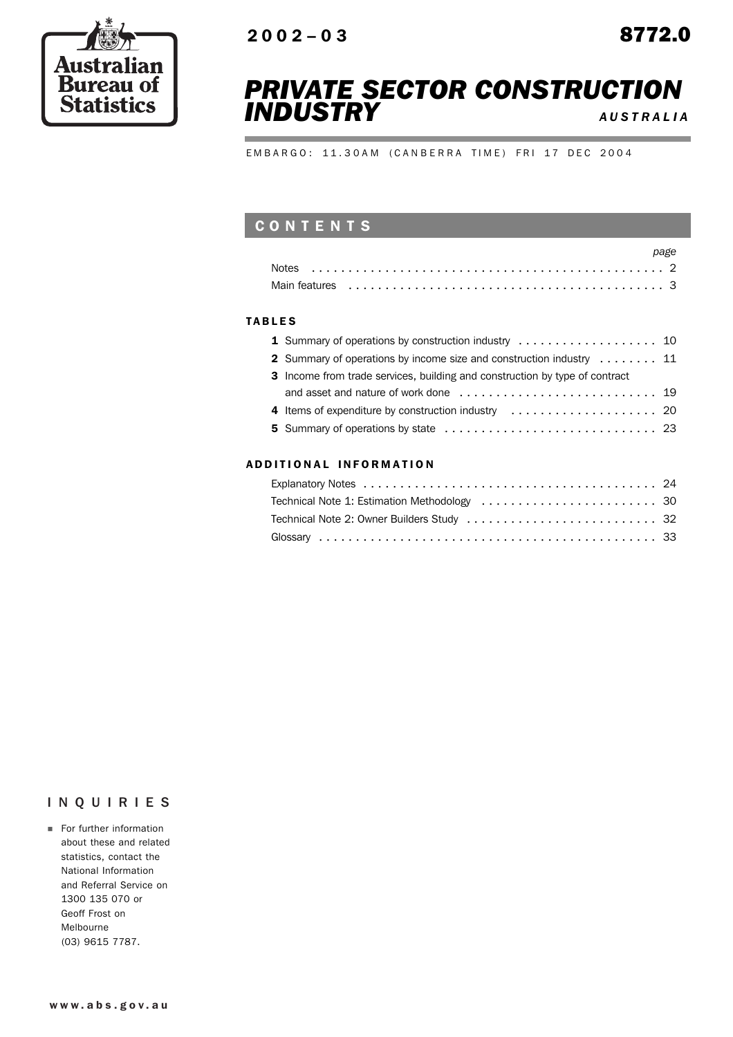

# *PRIVATE SECTOR CONSTRUCTION INDUSTRY <sup>A</sup> USTRALIA*

EMBARGO: 11.30AM (CANBERRA TIME) FRI 17 DEC 2004

## **CONTENTS**

| Main features entry the contract of the contract of the contract of the contract of the Minimum of Theorem and |
|----------------------------------------------------------------------------------------------------------------|

#### TABLES

| 2 Summary of operations by income size and construction industry 11         |  |
|-----------------------------------------------------------------------------|--|
| 3 Income from trade services, building and construction by type of contract |  |
|                                                                             |  |
|                                                                             |  |
|                                                                             |  |

#### ADD ITIONAL INFORMATION

## INQUIRIES

**For further information** about these and related statistics, contact the National Information and Referral Service on 1300 135 070 or Geoff Frost on Melbourne (03) 9615 7787.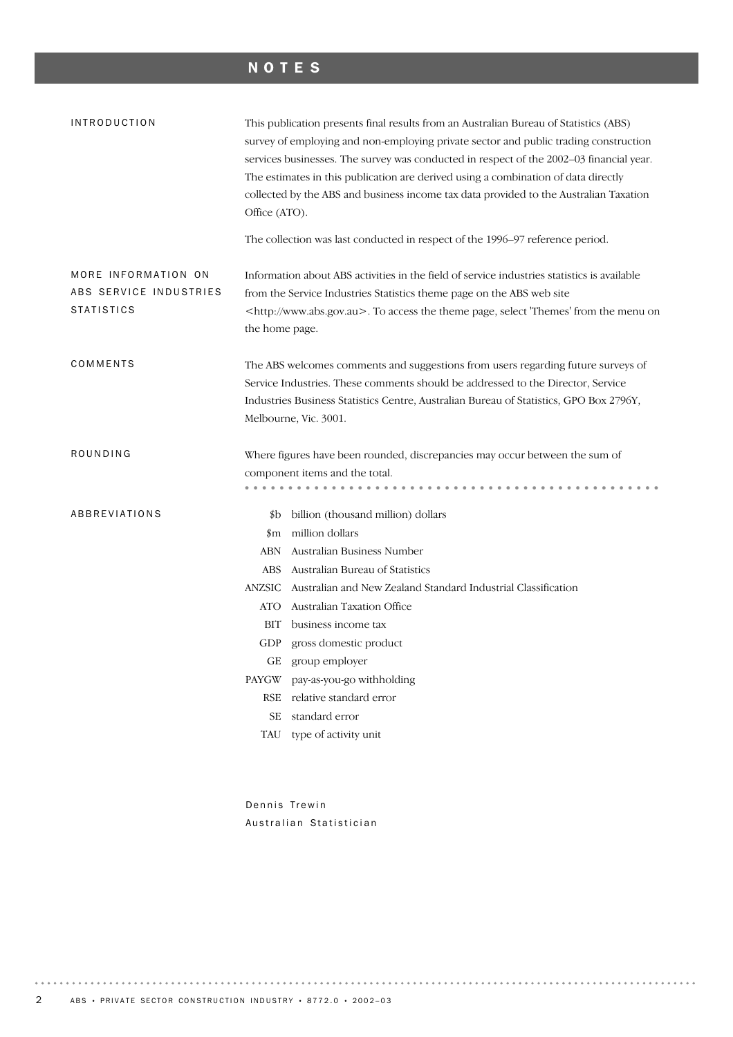## NOTES

| <b>INTRODUCTION</b>                                                | Office (ATO). | This publication presents final results from an Australian Bureau of Statistics (ABS)<br>survey of employing and non-employing private sector and public trading construction<br>services businesses. The survey was conducted in respect of the 2002–03 financial year.<br>The estimates in this publication are derived using a combination of data directly<br>collected by the ABS and business income tax data provided to the Australian Taxation |  |  |  |  |  |  |
|--------------------------------------------------------------------|---------------|---------------------------------------------------------------------------------------------------------------------------------------------------------------------------------------------------------------------------------------------------------------------------------------------------------------------------------------------------------------------------------------------------------------------------------------------------------|--|--|--|--|--|--|
|                                                                    |               | The collection was last conducted in respect of the 1996–97 reference period.                                                                                                                                                                                                                                                                                                                                                                           |  |  |  |  |  |  |
| MORE INFORMATION ON<br>ABS SERVICE INDUSTRIES<br><b>STATISTICS</b> |               | Information about ABS activities in the field of service industries statistics is available<br>from the Service Industries Statistics theme page on the ABS web site<br><http: www.abs.gov.au="">. To access the theme page, select 'Themes' from the menu on<br/>the home page.</http:>                                                                                                                                                                |  |  |  |  |  |  |
| COMMENTS                                                           |               | The ABS welcomes comments and suggestions from users regarding future surveys of<br>Service Industries. These comments should be addressed to the Director, Service<br>Industries Business Statistics Centre, Australian Bureau of Statistics, GPO Box 2796Y,<br>Melbourne, Vic. 3001.                                                                                                                                                                  |  |  |  |  |  |  |
| ROUNDING                                                           |               | Where figures have been rounded, discrepancies may occur between the sum of<br>component items and the total.                                                                                                                                                                                                                                                                                                                                           |  |  |  |  |  |  |
| ABBREVIATIONS                                                      |               | \$b billion (thousand million) dollars                                                                                                                                                                                                                                                                                                                                                                                                                  |  |  |  |  |  |  |
|                                                                    |               | \$m million dollars                                                                                                                                                                                                                                                                                                                                                                                                                                     |  |  |  |  |  |  |
|                                                                    | ABN           | Australian Business Number                                                                                                                                                                                                                                                                                                                                                                                                                              |  |  |  |  |  |  |
|                                                                    | ABS.          | Australian Bureau of Statistics                                                                                                                                                                                                                                                                                                                                                                                                                         |  |  |  |  |  |  |
|                                                                    |               | ANZSIC Australian and New Zealand Standard Industrial Classification                                                                                                                                                                                                                                                                                                                                                                                    |  |  |  |  |  |  |
|                                                                    | ATO<br>BIT    | <b>Australian Taxation Office</b><br>business income tax                                                                                                                                                                                                                                                                                                                                                                                                |  |  |  |  |  |  |
|                                                                    | GDP           | gross domestic product                                                                                                                                                                                                                                                                                                                                                                                                                                  |  |  |  |  |  |  |
|                                                                    | GE            | group employer                                                                                                                                                                                                                                                                                                                                                                                                                                          |  |  |  |  |  |  |
|                                                                    | PAYGW         | pay-as-you-go withholding                                                                                                                                                                                                                                                                                                                                                                                                                               |  |  |  |  |  |  |
|                                                                    | RSE           | relative standard error                                                                                                                                                                                                                                                                                                                                                                                                                                 |  |  |  |  |  |  |
|                                                                    | SE.           | standard error                                                                                                                                                                                                                                                                                                                                                                                                                                          |  |  |  |  |  |  |
|                                                                    |               | TAU type of activity unit                                                                                                                                                                                                                                                                                                                                                                                                                               |  |  |  |  |  |  |
|                                                                    |               |                                                                                                                                                                                                                                                                                                                                                                                                                                                         |  |  |  |  |  |  |

Dennis Trewin Australian Statistician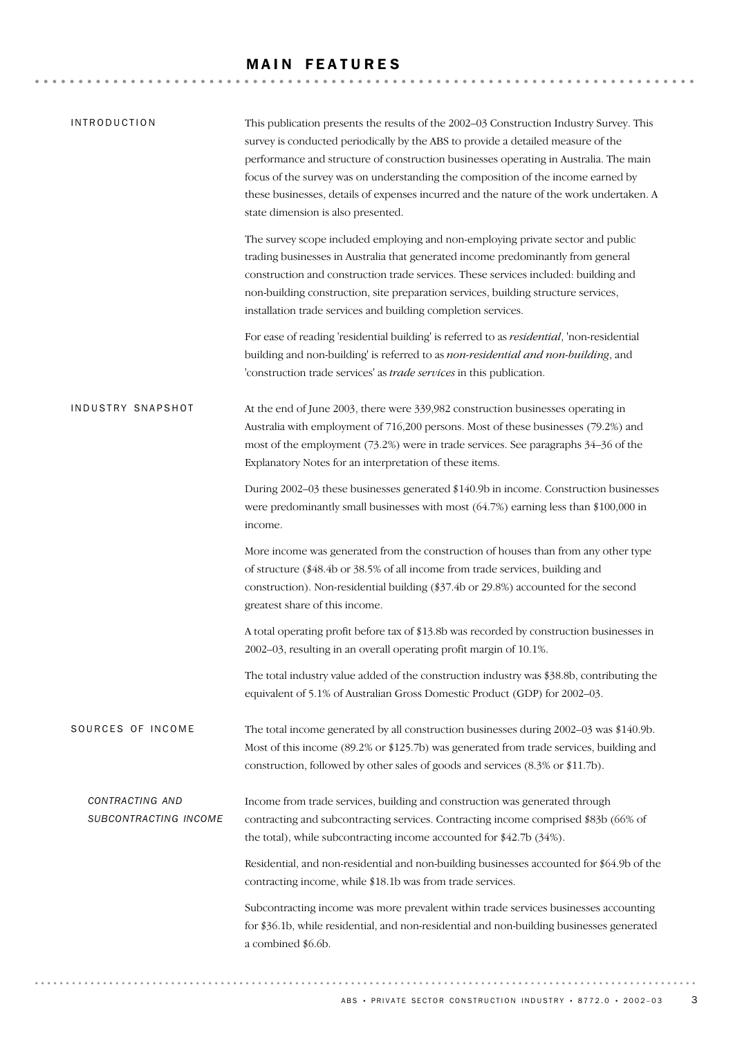## **MAIN FEATURES**

| <i><b>INTRODUCTION</b></i>               | This publication presents the results of the 2002-03 Construction Industry Survey. This<br>survey is conducted periodically by the ABS to provide a detailed measure of the<br>performance and structure of construction businesses operating in Australia. The main<br>focus of the survey was on understanding the composition of the income earned by<br>these businesses, details of expenses incurred and the nature of the work undertaken. A<br>state dimension is also presented. |
|------------------------------------------|-------------------------------------------------------------------------------------------------------------------------------------------------------------------------------------------------------------------------------------------------------------------------------------------------------------------------------------------------------------------------------------------------------------------------------------------------------------------------------------------|
|                                          | The survey scope included employing and non-employing private sector and public<br>trading businesses in Australia that generated income predominantly from general<br>construction and construction trade services. These services included: building and<br>non-building construction, site preparation services, building structure services,<br>installation trade services and building completion services.                                                                         |
|                                          | For ease of reading 'residential building' is referred to as <i>residential</i> , 'non-residential<br>building and non-building' is referred to as non-residential and non-building, and<br>'construction trade services' as trade services in this publication.                                                                                                                                                                                                                          |
| INDUSTRY SNAPSHOT                        | At the end of June 2003, there were 339,982 construction businesses operating in<br>Australia with employment of 716,200 persons. Most of these businesses (79.2%) and<br>most of the employment (73.2%) were in trade services. See paragraphs 34-36 of the<br>Explanatory Notes for an interpretation of these items.                                                                                                                                                                   |
|                                          | During 2002-03 these businesses generated \$140.9b in income. Construction businesses<br>were predominantly small businesses with most $(64.7%)$ earning less than \$100,000 in<br>income.                                                                                                                                                                                                                                                                                                |
|                                          | More income was generated from the construction of houses than from any other type<br>of structure (\$48.4b or 38.5% of all income from trade services, building and<br>construction). Non-residential building (\$37.4b or 29.8%) accounted for the second<br>greatest share of this income.                                                                                                                                                                                             |
|                                          | A total operating profit before tax of \$13.8b was recorded by construction businesses in<br>2002-03, resulting in an overall operating profit margin of 10.1%.                                                                                                                                                                                                                                                                                                                           |
|                                          | The total industry value added of the construction industry was \$38.8b, contributing the<br>equivalent of 5.1% of Australian Gross Domestic Product (GDP) for 2002-03.                                                                                                                                                                                                                                                                                                                   |
| SOURCES OF INCOME                        | The total income generated by all construction businesses during 2002-03 was \$140.9b.<br>Most of this income (89.2% or \$125.7b) was generated from trade services, building and<br>construction, followed by other sales of goods and services (8.3% or \$11.7b).                                                                                                                                                                                                                       |
| CONTRACTING AND<br>SUBCONTRACTING INCOME | Income from trade services, building and construction was generated through<br>contracting and subcontracting services. Contracting income comprised \$83b (66% of<br>the total), while subcontracting income accounted for \$42.7b (34%).                                                                                                                                                                                                                                                |
|                                          | Residential, and non-residential and non-building businesses accounted for \$64.9b of the<br>contracting income, while \$18.1b was from trade services.                                                                                                                                                                                                                                                                                                                                   |
|                                          | Subcontracting income was more prevalent within trade services businesses accounting<br>for \$36.1b, while residential, and non-residential and non-building businesses generated<br>a combined \$6.6b.                                                                                                                                                                                                                                                                                   |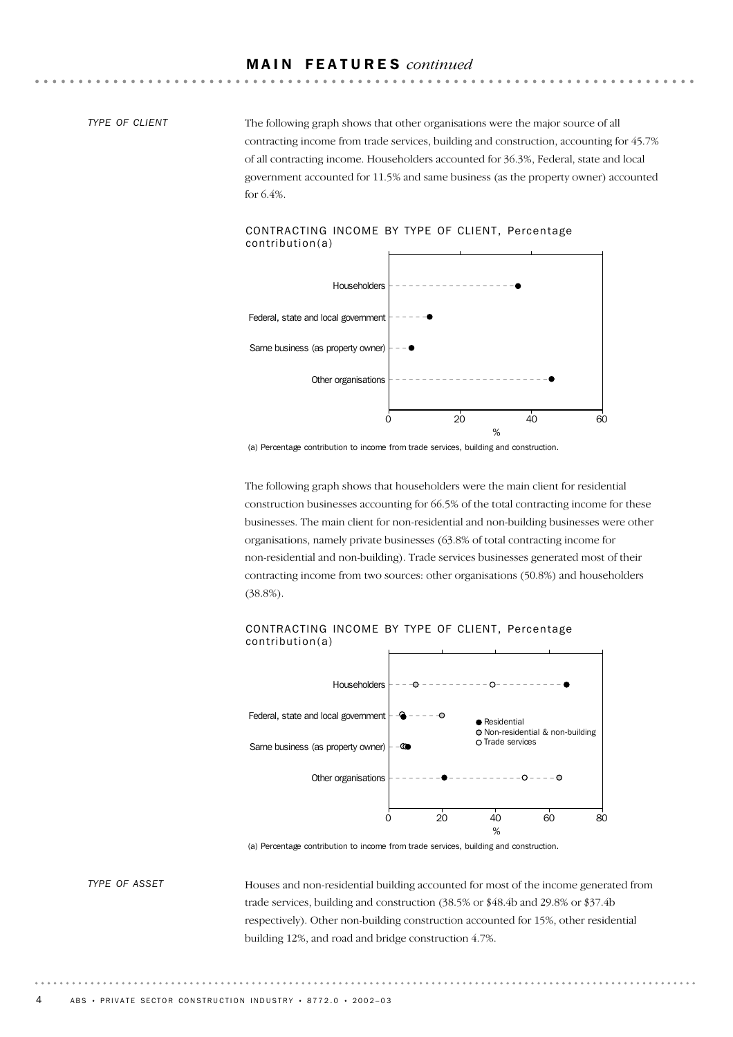*TYPE OF CLIENT*

The following graph shows that other organisations were the major source of all contracting income from trade services, building and construction, accounting for 45.7% of all contracting income. Householders accounted for 36.3%, Federal, state and local government accounted for 11.5% and same business (as the property owner) accounted for 6.4%.



## CONTRACTING INCOME BY TYPE OF CLIENT, Percentage

(a) Percentage contribution to income from trade services, building and construction.

The following graph shows that householders were the main client for residential construction businesses accounting for 66.5% of the total contracting income for these businesses. The main client for non-residential and non-building businesses were other organisations, namely private businesses (63.8% of total contracting income for non-residential and non-building). Trade services businesses generated most of their contracting income from two sources: other organisations (50.8%) and householders (38.8%).

#### CONTRACTING INCOME BY TYPE OF CLIENT, Percentage contribution(a)



(a) Percentage contribution to income from trade services, building and construction.

*TYPE OF ASSET*

Houses and non-residential building accounted for most of the income generated from trade services, building and construction (38.5% or \$48.4b and 29.8% or \$37.4b respectively). Other non-building construction accounted for 15%, other residential building 12%, and road and bridge construction 4.7%.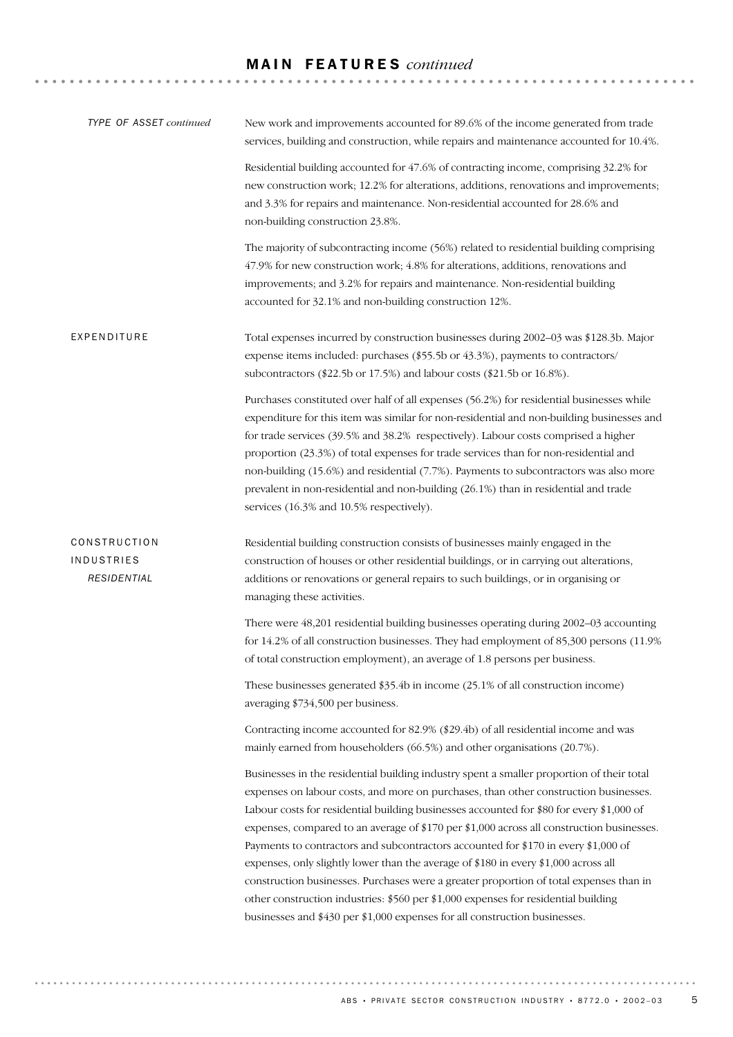| <b>TYPE OF ASSET continued</b>            | New work and improvements accounted for 89.6% of the income generated from trade<br>services, building and construction, while repairs and maintenance accounted for 10.4%.                                                                                                                                                                                                                                                                                                                                                                                                                     |
|-------------------------------------------|-------------------------------------------------------------------------------------------------------------------------------------------------------------------------------------------------------------------------------------------------------------------------------------------------------------------------------------------------------------------------------------------------------------------------------------------------------------------------------------------------------------------------------------------------------------------------------------------------|
|                                           | Residential building accounted for 47.6% of contracting income, comprising 32.2% for<br>new construction work; 12.2% for alterations, additions, renovations and improvements;<br>and 3.3% for repairs and maintenance. Non-residential accounted for 28.6% and<br>non-building construction 23.8%.                                                                                                                                                                                                                                                                                             |
|                                           | The majority of subcontracting income (56%) related to residential building comprising<br>47.9% for new construction work; 4.8% for alterations, additions, renovations and<br>improvements; and 3.2% for repairs and maintenance. Non-residential building<br>accounted for 32.1% and non-building construction 12%.                                                                                                                                                                                                                                                                           |
| EXPENDITURE                               | Total expenses incurred by construction businesses during 2002–03 was \$128.3b. Major<br>expense items included: purchases (\$55.5b or 43.3%), payments to contractors/<br>subcontractors (\$22.5b or 17.5%) and labour costs (\$21.5b or 16.8%).                                                                                                                                                                                                                                                                                                                                               |
|                                           | Purchases constituted over half of all expenses (56.2%) for residential businesses while<br>expenditure for this item was similar for non-residential and non-building businesses and<br>for trade services (39.5% and 38.2% respectively). Labour costs comprised a higher<br>proportion (23.3%) of total expenses for trade services than for non-residential and<br>non-building (15.6%) and residential (7.7%). Payments to subcontractors was also more<br>prevalent in non-residential and non-building (26.1%) than in residential and trade<br>services (16.3% and 10.5% respectively). |
| CONSTRUCTION<br>INDUSTRIES<br>RESIDENTIAL | Residential building construction consists of businesses mainly engaged in the<br>construction of houses or other residential buildings, or in carrying out alterations,<br>additions or renovations or general repairs to such buildings, or in organising or<br>managing these activities.                                                                                                                                                                                                                                                                                                    |
|                                           | There were 48,201 residential building businesses operating during 2002-03 accounting<br>for 14.2% of all construction businesses. They had employment of 85,300 persons (11.9%)<br>of total construction employment), an average of 1.8 persons per business.                                                                                                                                                                                                                                                                                                                                  |
|                                           | These businesses generated \$35.4b in income (25.1% of all construction income)<br>averaging \$734,500 per business.                                                                                                                                                                                                                                                                                                                                                                                                                                                                            |
|                                           | Contracting income accounted for 82.9% (\$29.4b) of all residential income and was<br>mainly earned from householders (66.5%) and other organisations (20.7%).                                                                                                                                                                                                                                                                                                                                                                                                                                  |
|                                           |                                                                                                                                                                                                                                                                                                                                                                                                                                                                                                                                                                                                 |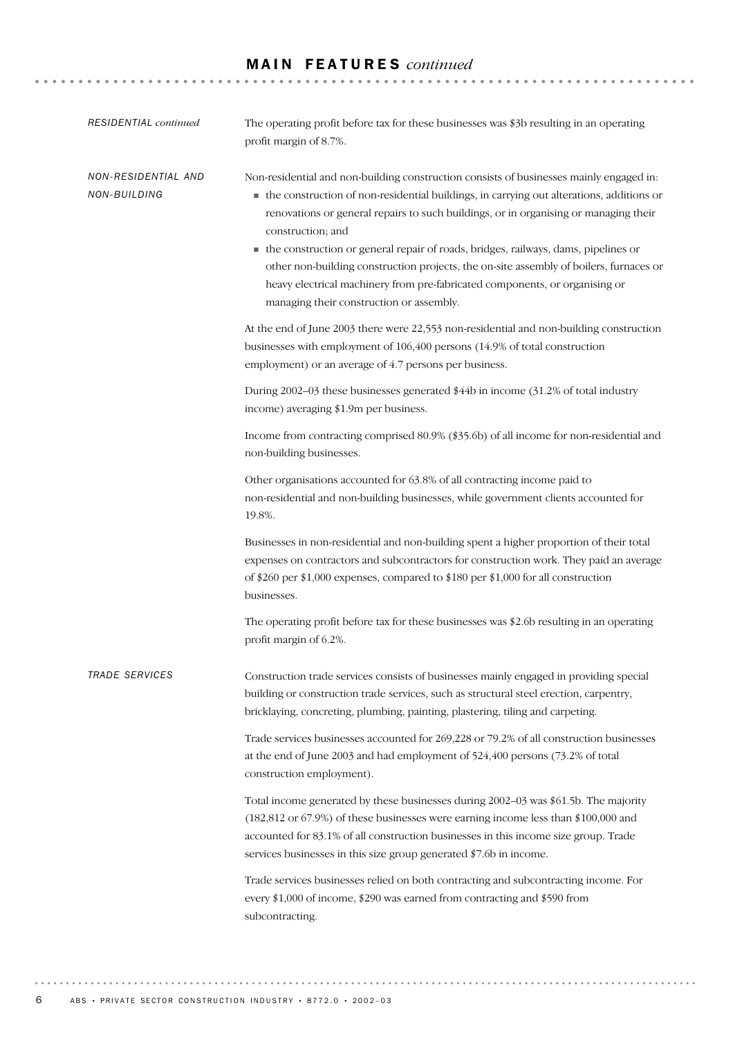| <b>RESIDENTIAL</b> continued        | The operating profit before tax for these businesses was \$3b resulting in an operating<br>profit margin of 8.7%.                                                                                                                                                                                                                                                                                                                                                                                                                                                                                               |
|-------------------------------------|-----------------------------------------------------------------------------------------------------------------------------------------------------------------------------------------------------------------------------------------------------------------------------------------------------------------------------------------------------------------------------------------------------------------------------------------------------------------------------------------------------------------------------------------------------------------------------------------------------------------|
| NON-RESIDENTIAL AND<br>NON-BUILDING | Non-residential and non-building construction consists of businesses mainly engaged in:<br>• the construction of non-residential buildings, in carrying out alterations, additions or<br>renovations or general repairs to such buildings, or in organising or managing their<br>construction; and<br>• the construction or general repair of roads, bridges, railways, dams, pipelines or<br>other non-building construction projects, the on-site assembly of boilers, furnaces or<br>heavy electrical machinery from pre-fabricated components, or organising or<br>managing their construction or assembly. |
|                                     | At the end of June 2003 there were 22,553 non-residential and non-building construction<br>businesses with employment of 106,400 persons (14.9% of total construction<br>employment) or an average of 4.7 persons per business.                                                                                                                                                                                                                                                                                                                                                                                 |
|                                     | During 2002-03 these businesses generated \$44b in income (31.2% of total industry<br>income) averaging \$1.9m per business.                                                                                                                                                                                                                                                                                                                                                                                                                                                                                    |
|                                     | Income from contracting comprised 80.9% (\$35.6b) of all income for non-residential and<br>non-building businesses.                                                                                                                                                                                                                                                                                                                                                                                                                                                                                             |
|                                     | Other organisations accounted for 63.8% of all contracting income paid to<br>non-residential and non-building businesses, while government clients accounted for<br>19.8%.                                                                                                                                                                                                                                                                                                                                                                                                                                      |
|                                     | Businesses in non-residential and non-building spent a higher proportion of their total<br>expenses on contractors and subcontractors for construction work. They paid an average<br>of \$260 per \$1,000 expenses, compared to \$180 per \$1,000 for all construction<br>businesses.                                                                                                                                                                                                                                                                                                                           |
|                                     | The operating profit before tax for these businesses was \$2.6b resulting in an operating<br>profit margin of 6.2%.                                                                                                                                                                                                                                                                                                                                                                                                                                                                                             |
| <b>TRADE SERVICES</b>               | Construction trade services consists of businesses mainly engaged in providing special<br>building or construction trade services, such as structural steel erection, carpentry,<br>bricklaying, concreting, plumbing, painting, plastering, tiling and carpeting.                                                                                                                                                                                                                                                                                                                                              |
|                                     | Trade services businesses accounted for 269,228 or 79.2% of all construction businesses<br>at the end of June 2003 and had employment of 524,400 persons (73.2% of total<br>construction employment).                                                                                                                                                                                                                                                                                                                                                                                                           |
|                                     | Total income generated by these businesses during 2002–03 was \$61.5b. The majority<br>(182,812 or 67.9%) of these businesses were earning income less than \$100,000 and<br>accounted for 83.1% of all construction businesses in this income size group. Trade<br>services businesses in this size group generated \$7.6b in income.                                                                                                                                                                                                                                                                          |
|                                     | Trade services businesses relied on both contracting and subcontracting income. For<br>every \$1,000 of income, \$290 was earned from contracting and \$590 from<br>subcontracting.                                                                                                                                                                                                                                                                                                                                                                                                                             |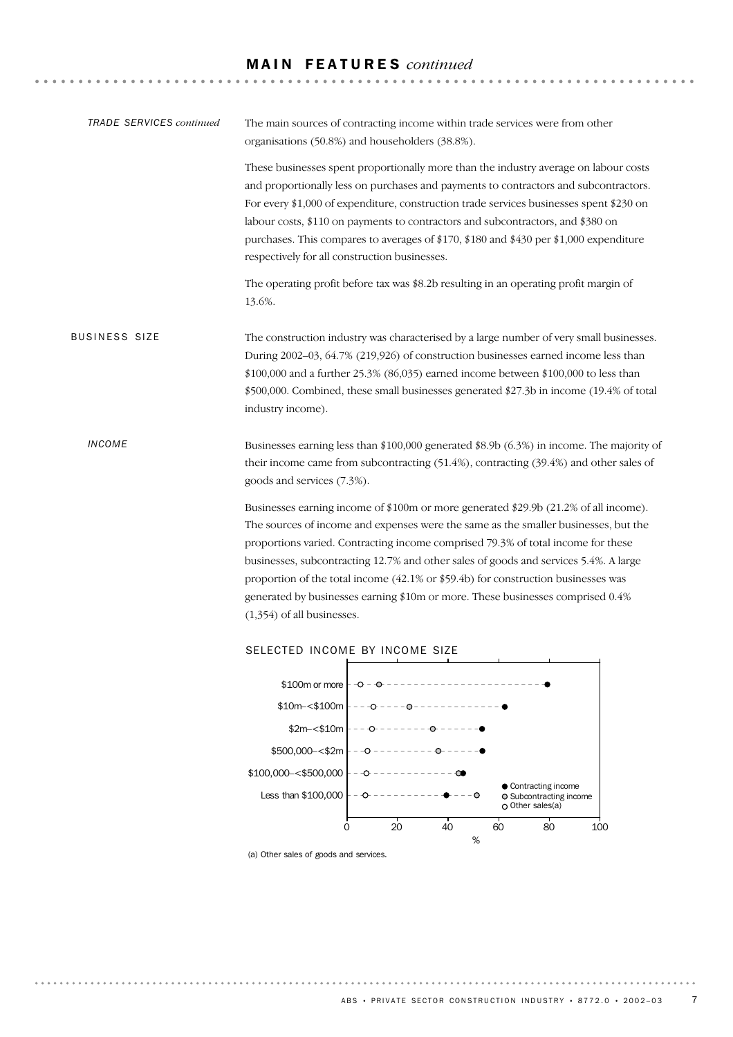. . . . . . . . . . . . . . . . .

| <b>TRADE SERVICES continued</b> | The main sources of contracting income within trade services were from other<br>organisations (50.8%) and householders (38.8%).                                                                                                                                                                                                                                                                                                                                                                                                                                 |  |  |  |  |  |  |
|---------------------------------|-----------------------------------------------------------------------------------------------------------------------------------------------------------------------------------------------------------------------------------------------------------------------------------------------------------------------------------------------------------------------------------------------------------------------------------------------------------------------------------------------------------------------------------------------------------------|--|--|--|--|--|--|
|                                 | These businesses spent proportionally more than the industry average on labour costs<br>and proportionally less on purchases and payments to contractors and subcontractors.<br>For every \$1,000 of expenditure, construction trade services businesses spent \$230 on<br>labour costs, \$110 on payments to contractors and subcontractors, and \$380 on<br>purchases. This compares to averages of \$170, \$180 and \$430 per \$1,000 expenditure<br>respectively for all construction businesses.                                                           |  |  |  |  |  |  |
|                                 | The operating profit before tax was \$8.2b resulting in an operating profit margin of<br>13.6%.                                                                                                                                                                                                                                                                                                                                                                                                                                                                 |  |  |  |  |  |  |
| <b>BUSINESS SIZE</b>            | The construction industry was characterised by a large number of very small businesses.<br>During 2002-03, 64.7% (219,926) of construction businesses earned income less than<br>\$100,000 and a further 25.3% (86,035) earned income between \$100,000 to less than<br>\$500,000. Combined, these small businesses generated \$27.3b in income (19.4% of total<br>industry income).                                                                                                                                                                            |  |  |  |  |  |  |
| <b>INCOME</b>                   | Businesses earning less than $$100,000$ generated $$8.9b (6.3%)$ in income. The majority of<br>their income came from subcontracting $(51.4\%)$ , contracting $(39.4\%)$ and other sales of<br>goods and services (7.3%).                                                                                                                                                                                                                                                                                                                                       |  |  |  |  |  |  |
|                                 | Businesses earning income of \$100m or more generated \$29.9b (21.2% of all income).<br>The sources of income and expenses were the same as the smaller businesses, but the<br>proportions varied. Contracting income comprised 79.3% of total income for these<br>businesses, subcontracting 12.7% and other sales of goods and services 5.4%. A large<br>proportion of the total income (42.1% or \$59.4b) for construction businesses was<br>generated by businesses earning $$10m$ or more. These businesses comprised 0.4%<br>$(1,354)$ of all businesses. |  |  |  |  |  |  |
|                                 | SELECTED INCOME BY INCOME SIZE                                                                                                                                                                                                                                                                                                                                                                                                                                                                                                                                  |  |  |  |  |  |  |
|                                 |                                                                                                                                                                                                                                                                                                                                                                                                                                                                                                                                                                 |  |  |  |  |  |  |
|                                 |                                                                                                                                                                                                                                                                                                                                                                                                                                                                                                                                                                 |  |  |  |  |  |  |
|                                 |                                                                                                                                                                                                                                                                                                                                                                                                                                                                                                                                                                 |  |  |  |  |  |  |

 $$500,000$  -  $$\text{\textdegree}$  + -0 - - - - - - - - 0 - - - - - 0

Less than  $$100,000$  - - - - - - - - - - - - - - - - - 0

 $$100,000-< $500,000$  - - - - - - - - - - - - - -  $\odot$ 

(a) Other sales of goods and services.

Contracting income Subcontracting income Other sales(a)

0 20 40 60 80 100 %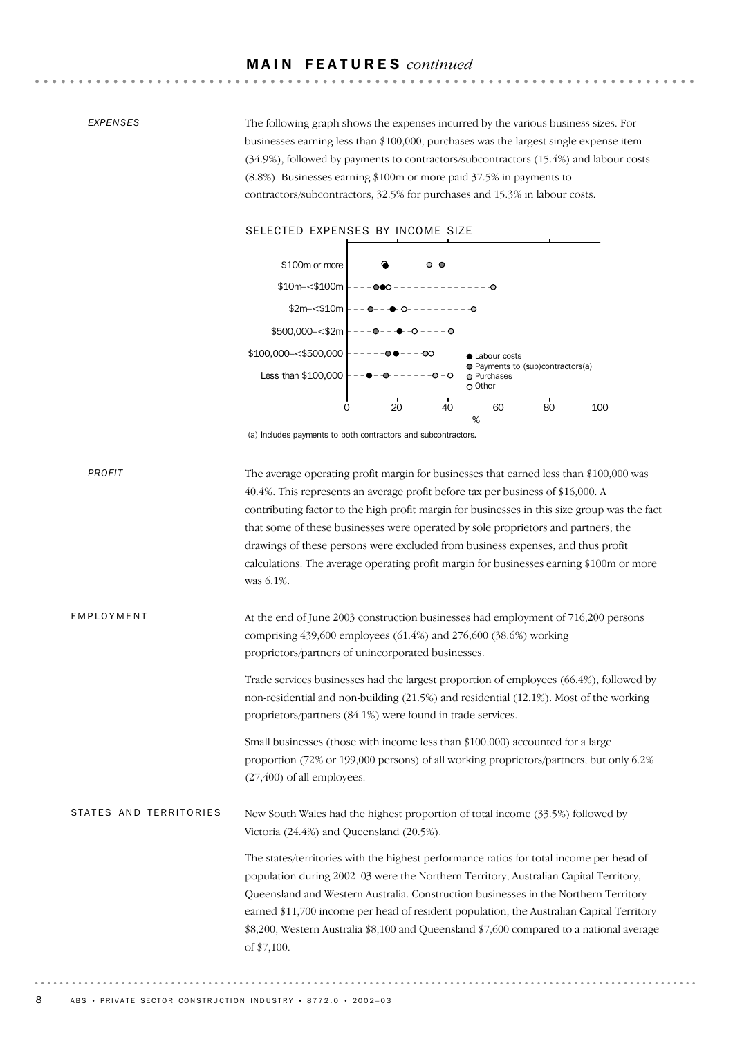#### *EXPENSES*

The following graph shows the expenses incurred by the various business sizes. For businesses earning less than \$100,000, purchases was the largest single expense item (34.9%), followed by payments to contractors/subcontractors (15.4%) and labour costs (8.8%). Businesses earning \$100m or more paid 37.5% in payments to contractors/subcontractors, 32.5% for purchases and 15.3% in labour costs.



#### SELECTED EXPENSES BY INCOME SIZE

(a) Includes payments to both contractors and subcontractors.

The average operating profit margin for businesses that earned less than \$100,000 was 40.4%. This represents an average profit before tax per business of \$16,000. A contributing factor to the high profit margin for businesses in this size group was the fact that some of these businesses were operated by sole proprietors and partners; the drawings of these persons were excluded from business expenses, and thus profit calculations. The average operating profit margin for businesses earning \$100m or more was 6.1%. *PROFIT*

EMPLOYMENT

At the end of June 2003 construction businesses had employment of 716,200 persons comprising 439,600 employees (61.4%) and 276,600 (38.6%) working proprietors/partners of unincorporated businesses.

Trade services businesses had the largest proportion of employees (66.4%), followed by non-residential and non-building (21.5%) and residential (12.1%). Most of the working proprietors/partners (84.1%) were found in trade services.

Small businesses (those with income less than \$100,000) accounted for a large proportion (72% or 199,000 persons) of all working proprietors/partners, but only 6.2% (27,400) of all employees.

New South Wales had the highest proportion of total income (33.5%) followed by Victoria (24.4%) and Queensland (20.5%). STATES AND TERRITORIES

> The states/territories with the highest performance ratios for total income per head of population during 2002–03 were the Northern Territory, Australian Capital Territory, Queensland and Western Australia. Construction businesses in the Northern Territory earned \$11,700 income per head of resident population, the Australian Capital Territory \$8,200, Western Australia \$8,100 and Queensland \$7,600 compared to a national average of \$7,100.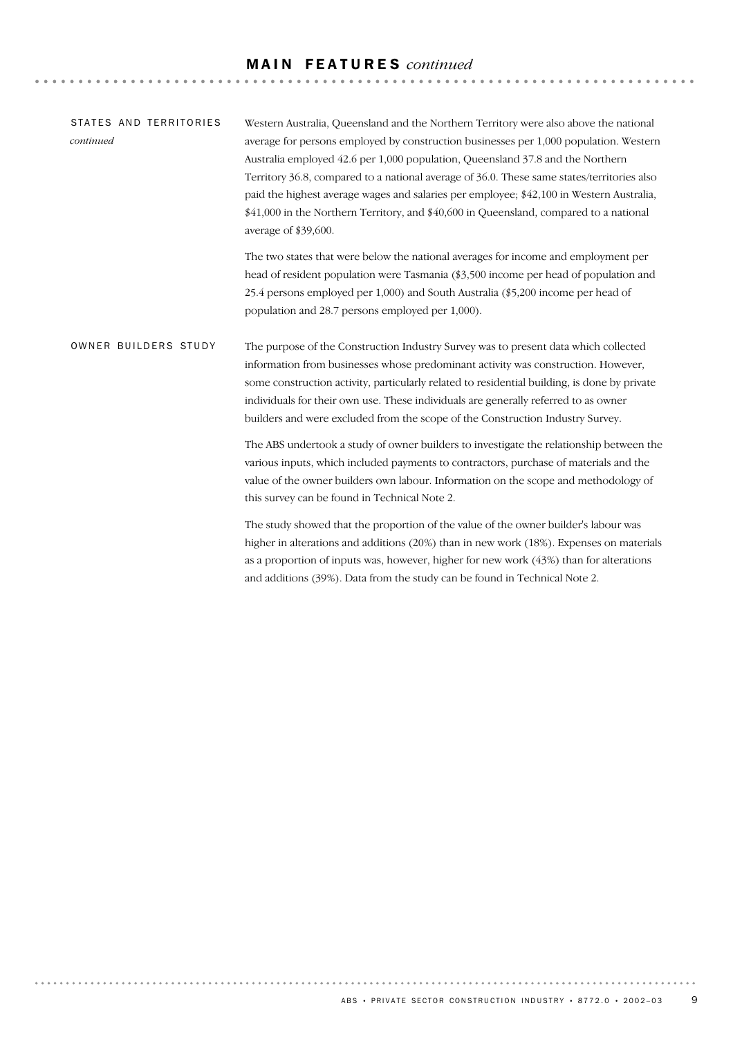| STATES AND TERRITORIES<br>continued | Western Australia, Queensland and the Northern Territory were also above the national<br>average for persons employed by construction businesses per 1,000 population. Western<br>Australia employed 42.6 per 1,000 population, Queensland 37.8 and the Northern<br>Territory 36.8, compared to a national average of 36.0. These same states/territories also<br>paid the highest average wages and salaries per employee; \$42,100 in Western Australia,<br>\$41,000 in the Northern Territory, and \$40,600 in Queensland, compared to a national<br>average of \$39,600. |
|-------------------------------------|------------------------------------------------------------------------------------------------------------------------------------------------------------------------------------------------------------------------------------------------------------------------------------------------------------------------------------------------------------------------------------------------------------------------------------------------------------------------------------------------------------------------------------------------------------------------------|
|                                     | The two states that were below the national averages for income and employment per<br>head of resident population were Tasmania (\$3,500 income per head of population and<br>25.4 persons employed per 1,000) and South Australia (\$5,200 income per head of<br>population and 28.7 persons employed per 1,000).                                                                                                                                                                                                                                                           |
| OWNER BUILDERS STUDY                | The purpose of the Construction Industry Survey was to present data which collected<br>information from businesses whose predominant activity was construction. However,<br>some construction activity, particularly related to residential building, is done by private<br>individuals for their own use. These individuals are generally referred to as owner<br>builders and were excluded from the scope of the Construction Industry Survey.                                                                                                                            |
|                                     | The ABS undertook a study of owner builders to investigate the relationship between the<br>various inputs, which included payments to contractors, purchase of materials and the<br>value of the owner builders own labour. Information on the scope and methodology of<br>this survey can be found in Technical Note 2.                                                                                                                                                                                                                                                     |
|                                     | The study showed that the proportion of the value of the owner builder's labour was<br>higher in alterations and additions (20%) than in new work (18%). Expenses on materials<br>as a proportion of inputs was, however, higher for new work (43%) than for alterations<br>and additions (39%). Data from the study can be found in Technical Note 2.                                                                                                                                                                                                                       |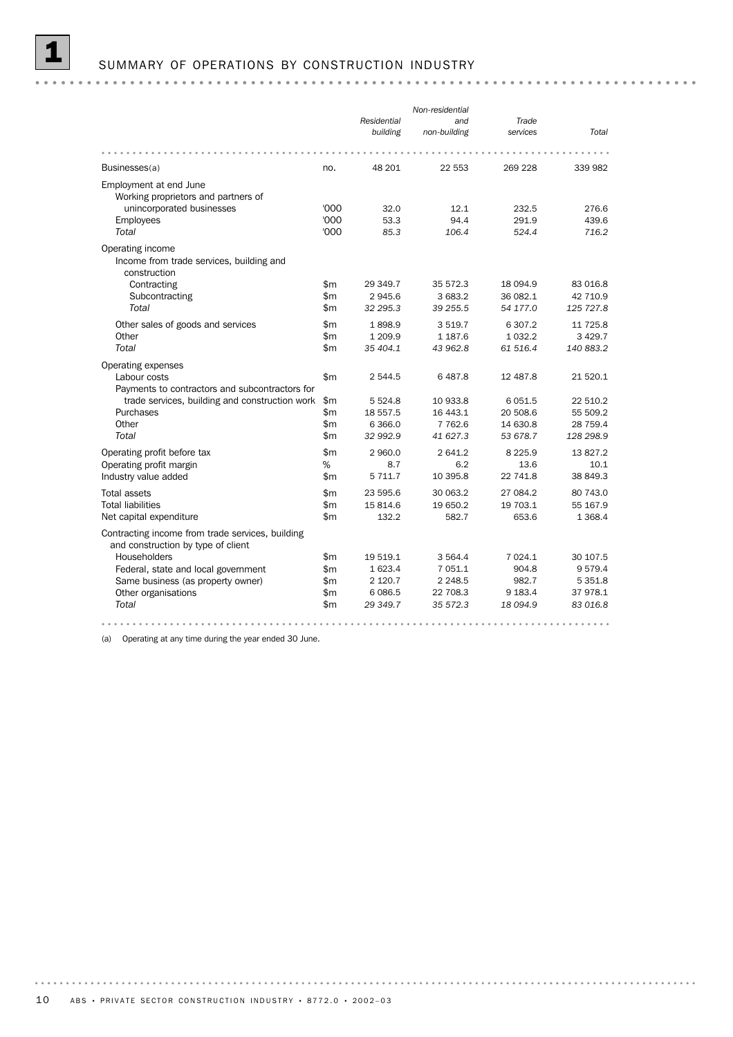## SUMMARY OF OPERATIONS BY CONSTRUCTION INDUSTRY

|                                                                                        | Non-residential |             |              |             |           |  |  |
|----------------------------------------------------------------------------------------|-----------------|-------------|--------------|-------------|-----------|--|--|
|                                                                                        |                 | Residential | and          | Trade       |           |  |  |
|                                                                                        |                 | building    | non-building | services    | Total     |  |  |
|                                                                                        |                 |             |              |             |           |  |  |
| Businesses(a)                                                                          | no.             | 48 201      | 22 553       | 269 228     | 339 982   |  |  |
| Employment at end June<br>Working proprietors and partners of                          |                 |             |              |             |           |  |  |
| unincorporated businesses                                                              | '000            | 32.0        | 12.1         | 232.5       | 276.6     |  |  |
| Employees                                                                              | '000            | 53.3        | 94.4         | 291.9       | 439.6     |  |  |
| Total                                                                                  | '000            | 85.3        | 106.4        | 524.4       | 716.2     |  |  |
| Operating income<br>Income from trade services, building and<br>construction           |                 |             |              |             |           |  |  |
| Contracting                                                                            | \$m             | 29 349.7    | 35 572.3     | 18 094.9    | 83 016.8  |  |  |
| Subcontracting                                                                         | \$m             | 2 945.6     | 3 683.2      | 36 082.1    | 42 710.9  |  |  |
| Total                                                                                  | \$m             | 32 295.3    | 39 255.5     | 54 177.0    | 125 727.8 |  |  |
| Other sales of goods and services                                                      | \$m             | 1898.9      | 3 5 1 9.7    | 6 30 7.2    | 11 725.8  |  |  |
| Other                                                                                  | \$m             | 1 209.9     | 1 187.6      | 1 0 3 2.2   | 3 4 2 9.7 |  |  |
| Total                                                                                  | \$m             | 35 404.1    | 43 962.8     | 61 516.4    | 140 883.2 |  |  |
| Operating expenses<br>Labour costs<br>Payments to contractors and subcontractors for   | \$m             | 2 544.5     | 6487.8       | 12 487.8    | 21 520.1  |  |  |
| trade services, building and construction work                                         | \$m             | 5 5 2 4.8   | 10 933.8     | 6 0 5 1.5   | 22 510.2  |  |  |
| Purchases                                                                              | \$m             | 18 557.5    | 16 443.1     | 20 508.6    | 55 509.2  |  |  |
| Other                                                                                  | \$m             | 6366.0      | 7 7 6 2.6    | 14 630.8    | 28 759.4  |  |  |
| Total                                                                                  | \$m             | 32 992.9    | 41 627.3     | 53 678.7    | 128 298.9 |  |  |
| Operating profit before tax                                                            | \$m             | 2 960.0     | 2 641.2      | 8 2 2 5.9   | 13827.2   |  |  |
| Operating profit margin                                                                | %               | 8.7         | 6.2          | 13.6        | 10.1      |  |  |
| Industry value added                                                                   | \$m             | 5 711.7     | 10 395.8     | 22 741.8    | 38 849.3  |  |  |
| <b>Total assets</b>                                                                    | \$m             | 23 595.6    | 30 063.2     | 27 084.2    | 80 743.0  |  |  |
| <b>Total liabilities</b>                                                               | \$m             | 15 814.6    | 19 650.2     | 19 703.1    | 55 167.9  |  |  |
| Net capital expenditure                                                                | \$m             | 132.2       | 582.7        | 653.6       | 1 3 6 8.4 |  |  |
| Contracting income from trade services, building<br>and construction by type of client |                 |             |              |             |           |  |  |
| Householders                                                                           | \$m             | 19 519.1    | 3 5 6 4.4    | 7 0 24.1    | 30 107.5  |  |  |
| Federal, state and local government                                                    | \$m             | 1 623.4     | 7 051.1      | 904.8       | 9579.4    |  |  |
| Same business (as property owner)                                                      | \$m\$           | 2 120.7     | 2 2 4 8.5    | 982.7       | 5 3 5 1.8 |  |  |
| Other organisations                                                                    | \$m             | 6 086.5     | 22 708.3     | 9 1 8 3 . 4 | 37 978.1  |  |  |
| Total                                                                                  | \$m             | 29 349.7    | 35 572.3     | 18 094.9    | 83 016.8  |  |  |
|                                                                                        |                 |             |              |             |           |  |  |

(a) Operating at any time during the year ended 30 June.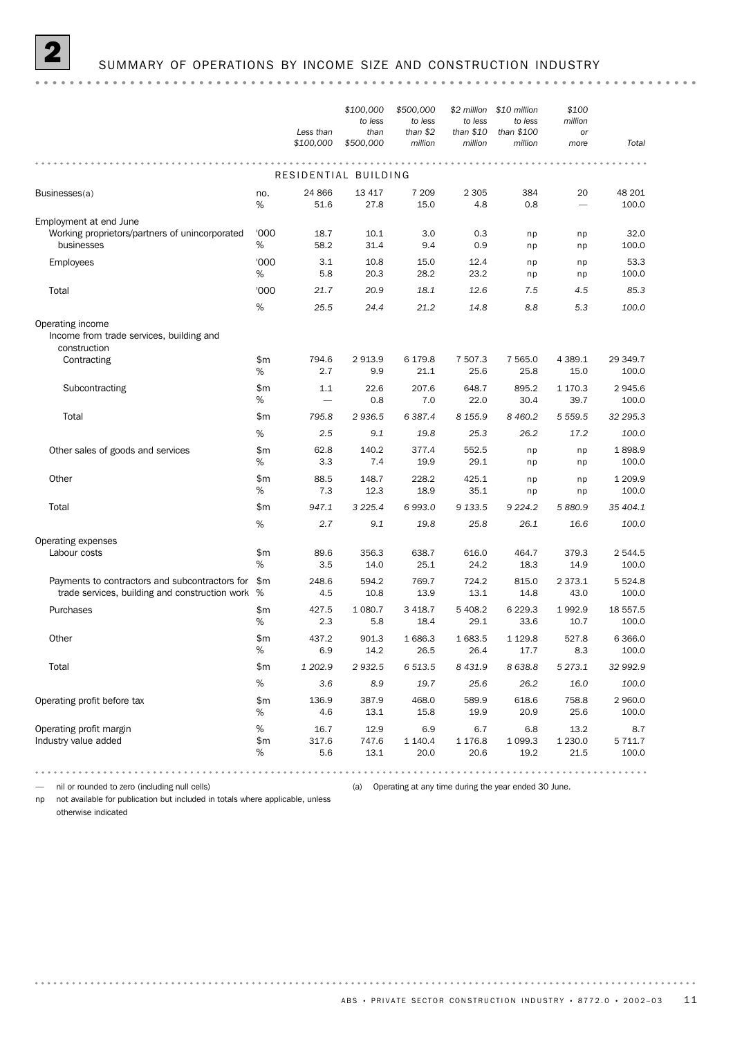|                                                                                             |                  | Less than<br>\$100,000   | \$100,000<br>to less<br>than<br>\$500,000 | \$500,000<br>to less<br>than $$2$<br>million | \$2 million<br>to less<br>than $$10$<br>million | \$10 million<br>to less<br>than \$100<br>million | \$100<br>million<br>or<br>more | Total                     |
|---------------------------------------------------------------------------------------------|------------------|--------------------------|-------------------------------------------|----------------------------------------------|-------------------------------------------------|--------------------------------------------------|--------------------------------|---------------------------|
|                                                                                             |                  | RESIDENTIAL BUILDING     |                                           | $- 0 - 0 - 0 - 0$                            | .                                               |                                                  |                                |                           |
| Businesses(a)                                                                               | no.              | 24 866                   | 13 417                                    | 7 2 0 9                                      | 2 3 0 5                                         | 384                                              | 20                             | 48 201                    |
|                                                                                             | $\%$             | 51.6                     | 27.8                                      | 15.0                                         | 4.8                                             | 0.8                                              | $\overline{\phantom{0}}$       | 100.0                     |
| Employment at end June<br>Working proprietors/partners of unincorporated<br>businesses      | '000<br>$\%$     | 18.7<br>58.2             | 10.1<br>31.4                              | 3.0<br>9.4                                   | 0.3<br>0.9                                      | np<br>np                                         | np<br>np                       | 32.0<br>100.0             |
| Employees                                                                                   | '000             | 3.1                      | 10.8                                      | 15.0                                         | 12.4                                            | np                                               | np                             | 53.3                      |
|                                                                                             | %                | 5.8                      | 20.3                                      | 28.2                                         | 23.2                                            | np                                               | np                             | 100.0                     |
| Total                                                                                       | '000             | 21.7                     | 20.9                                      | 18.1                                         | 12.6                                            | 7.5                                              | 4.5                            | 85.3                      |
|                                                                                             | %                | 25.5                     | 24.4                                      | 21.2                                         | 14.8                                            | 8.8                                              | 5.3                            | 100.0                     |
| Operating income<br>Income from trade services, building and<br>construction<br>Contracting | \$m              | 794.6                    | 2913.9                                    | 6 179.8                                      | 7 507.3                                         | 7 565.0                                          | 4 3 8 9.1                      | 29 349.7                  |
| Subcontracting                                                                              | $\%$             | 2.7                      | 9.9                                       | 21.1                                         | 25.6                                            | 25.8                                             | 15.0                           | 100.0                     |
|                                                                                             | \$m              | 1.1                      | 22.6                                      | 207.6                                        | 648.7                                           | 895.2                                            | 1 170.3                        | 2945.6                    |
|                                                                                             | %                | $\overline{\phantom{0}}$ | 0.8                                       | 7.0                                          | 22.0                                            | 30.4                                             | 39.7                           | 100.0                     |
| Total                                                                                       | \$m              | 795.8                    | 2936.5                                    | 6 3 8 7.4                                    | 8 1 5 5.9                                       | 8 4 6 0.2                                        | 5 5 5 9.5                      | 32 295.3                  |
| Other sales of goods and services                                                           | $\%$             | 2.5                      | 9.1                                       | 19.8                                         | 25.3                                            | 26.2                                             | 17.2                           | 100.0                     |
|                                                                                             | \$m              | 62.8                     | 140.2                                     | 377.4                                        | 552.5                                           | np                                               | np                             | 1898.9                    |
|                                                                                             | %                | 3.3                      | 7.4                                       | 19.9                                         | 29.1                                            | np                                               | np                             | 100.0                     |
| Other                                                                                       | \$m              | 88.5                     | 148.7                                     | 228.2                                        | 425.1                                           | np                                               | np                             | 1 209.9                   |
|                                                                                             | $\%$             | 7.3                      | 12.3                                      | 18.9                                         | 35.1                                            | np                                               | np                             | 100.0                     |
| Total                                                                                       | \$m              | 947.1                    | 3 2 2 5.4                                 | 6993.0                                       | 9 1 3 3 . 5                                     | 9 2 2 4.2                                        | 5880.9                         | 35 404.1                  |
|                                                                                             | $\%$             | 2.7                      | 9.1                                       | 19.8                                         | 25.8                                            | 26.1                                             | 16.6                           | 100.0                     |
| Operating expenses                                                                          |                  |                          |                                           |                                              |                                                 |                                                  |                                |                           |
| Labour costs                                                                                | \$m              | 89.6                     | 356.3                                     | 638.7                                        | 616.0                                           | 464.7                                            | 379.3                          | 2 544.5                   |
|                                                                                             | $\%$             | 3.5                      | 14.0                                      | 25.1                                         | 24.2                                            | 18.3                                             | 14.9                           | 100.0                     |
| Payments to contractors and subcontractors for                                              | \$m              | 248.6                    | 594.2                                     | 769.7                                        | 724.2                                           | 815.0                                            | 2 373.1                        | 5 5 2 4.8                 |
| trade services, building and construction work                                              | %                | 4.5                      | 10.8                                      | 13.9                                         | 13.1                                            | 14.8                                             | 43.0                           | 100.0                     |
| Purchases                                                                                   | \$m              | 427.5                    | 1 080.7                                   | 3 4 18.7                                     | 5 408.2                                         | 6 2 2 9.3                                        | 1992.9                         | 18 557.5                  |
|                                                                                             | %                | 2.3                      | 5.8                                       | 18.4                                         | 29.1                                            | 33.6                                             | 10.7                           | 100.0                     |
| Other                                                                                       | \$m              | 437.2                    | 901.3                                     | 1 686.3                                      | 1683.5                                          | 1 1 2 9.8                                        | 527.8                          | 6 3 6 6.0                 |
|                                                                                             | %                | 6.9                      | 14.2                                      | 26.5                                         | 26.4                                            | 17.7                                             | 8.3                            | 100.0                     |
| Total                                                                                       | \$m              | 1 202.9                  | 2932.5                                    | 6 513.5                                      | 8 4 3 1.9                                       | 8 6 38.8                                         | 5 2 7 3 . 1                    | 32 992.9                  |
|                                                                                             | $\%$             | 3.6                      | 8.9                                       | 19.7                                         | 25.6                                            | 26.2                                             | 16.0                           | 100.0                     |
| Operating profit before tax                                                                 | \$m              | 136.9                    | 387.9                                     | 468.0                                        | 589.9                                           | 618.6                                            | 758.8                          | 2 960.0                   |
|                                                                                             | $\%$             | 4.6                      | 13.1                                      | 15.8                                         | 19.9                                            | 20.9                                             | 25.6                           | 100.0                     |
| Operating profit margin<br>Industry value added                                             | $\%$<br>\$m<br>% | 16.7<br>317.6<br>5.6     | 12.9<br>747.6<br>13.1                     | 6.9<br>1 140.4<br>20.0                       | 6.7<br>1 1 7 6.8<br>20.6                        | 6.8<br>1 0 9 9.3<br>19.2                         | 13.2<br>1 2 3 0.0<br>21.5      | 8.7<br>5 7 1 1.7<br>100.0 |

— nil or rounded to zero (including null cells) and the state of the control of the year ended 30 June.

np not available for publication but included in totals where applicable, unless otherwise indicated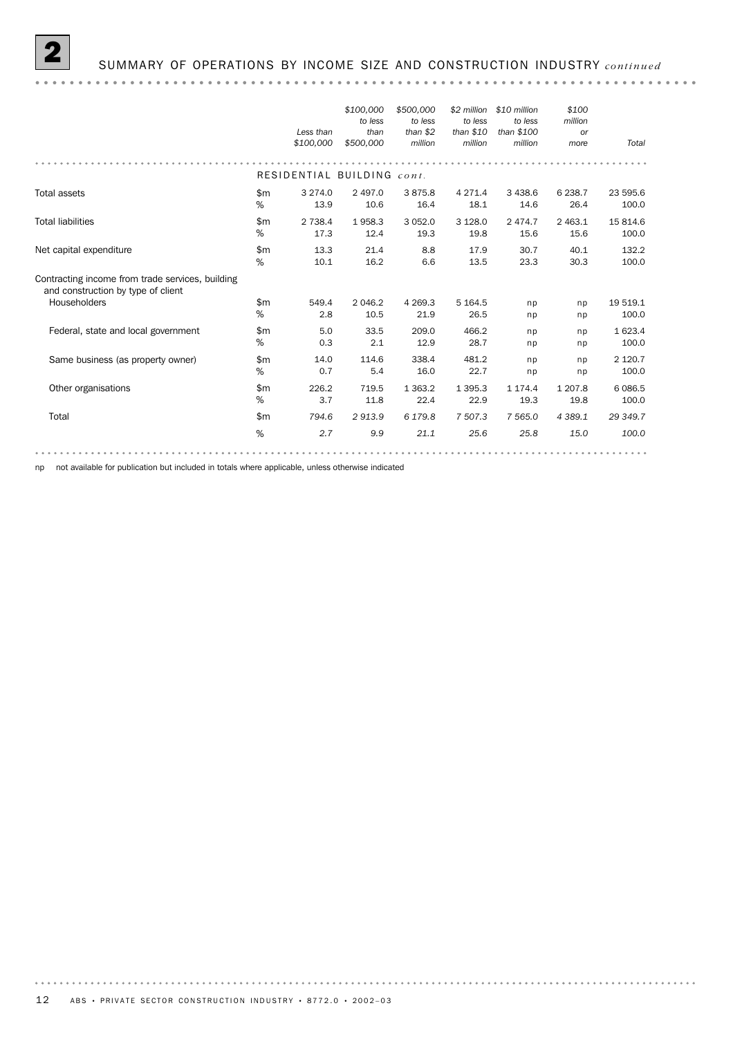. . . . . . . . . . . . .

*\$100 \$10 million \$2 million \$500,000 \$100,000 to less to less to less to less million than \$2 Less than than than \$100 than \$10 or million million million more Total \$500,000 \$100,000* RESIDENTIAL BUILDING  $\mathit{cont.}$ Total assets \$m 3 274.0 2 497.0 3 875.8 4 271.4 3 438.6 6 238.7 23 595.6 % 13.9 10.6 16.4 18.1 14.6 26.4 100.0 Total liabilities **12 128.4** 1 958.4 1 958.3 3 052.0 3 128.0 2 474.7 2 463.1 15 814.6 % 17.3 12.4 19.3 19.8 15.6 15.6 100.0 Net capital expenditure  $\begin{array}{cccccccc}\n\text{$m$} & & 13.3 & & 21.4 & & 8.8 & & 17.9 & & 30.7 & & 40.1 & 132.2 \\
& & & \text{$m$} & & 10.1 & & 16.2 & & 6.6 & & 13.5 & & 23.3 & & 30.3 & & 100.0\n\end{array}$ % 10.1 16.2 6.6 13.5 23.3 30.3 100.0 Contracting income from trade services, building and construction by type of client Householders \$m 549.4 2 046.2 4 269.3 5 164.5 np np 19 519.1 % 2.8 10.5 21.9 26.5 np np 100.0 Federal, state and local government  $\frac{1623.4}{1623.4}$  \$m 5.0 33.5 209.0 466.2 np np 1 623.4 % 0.3 2.1 12.9 28.7 np np 100.0 Same business (as property owner)  $\frac{14.0}{14.0}$  114.6 338.4 481.2 np np 2 120.7 % 0.7 5.4 16.0 22.7 np np 100.0 Other organisations 6086.5 % 3.7 11.8 22.4 22.9 19.3 19.8 100.0 Total \$m *794.6 2 913.9 6 179.8 7 507.3 7 565.0 4 389.1 29 349.7* % *2.7 9.9 21.1 25.6 25.8 15.0 100.0* 

np not available for publication but included in totals where applicable, unless otherwise indicated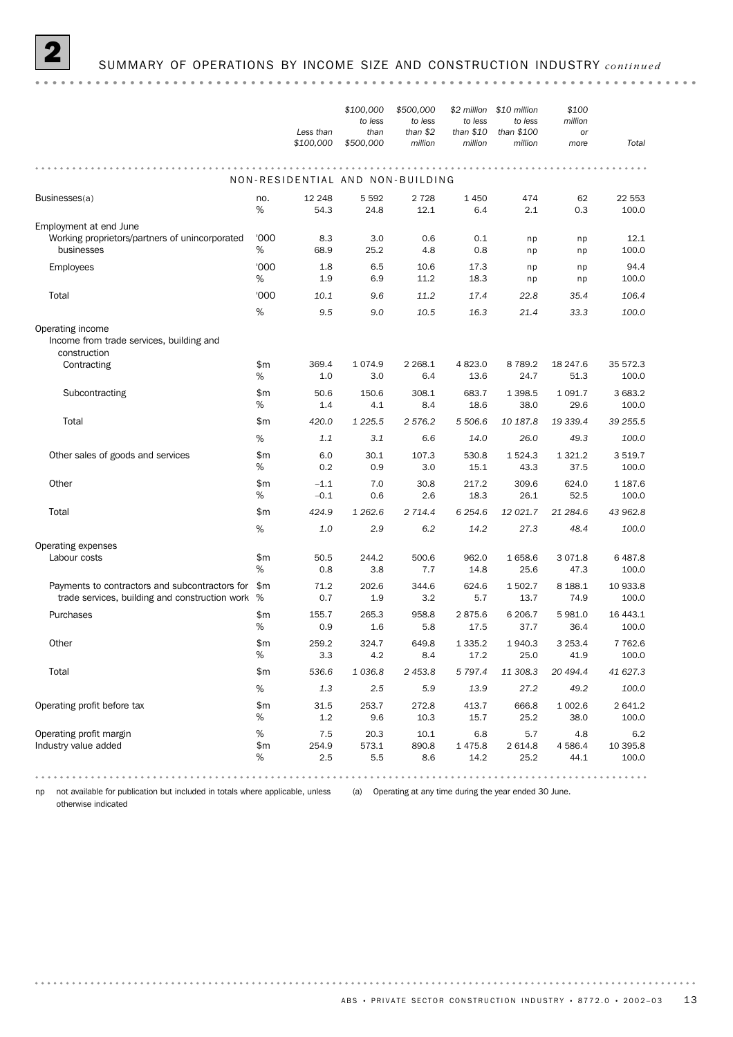|                                                                                                  |                  | Less than<br>\$100,000           | \$100,000<br>to less<br>than<br>\$500,000 | \$500,000<br>to less<br>than $$2$<br>million | \$2 million<br>to less<br>than $$10$<br>million | \$10 million<br>to less<br>than \$100<br>million | \$100<br>million<br>or<br>more | Total                    |
|--------------------------------------------------------------------------------------------------|------------------|----------------------------------|-------------------------------------------|----------------------------------------------|-------------------------------------------------|--------------------------------------------------|--------------------------------|--------------------------|
|                                                                                                  |                  | NON-RESIDENTIAL AND NON-BUILDING |                                           |                                              |                                                 |                                                  |                                |                          |
| Businesses(a)                                                                                    | no.<br>%         | 12 248<br>54.3                   | 5 5 9 2<br>24.8                           | 2 7 2 8<br>12.1                              | 1450<br>6.4                                     | 474<br>2.1                                       | 62<br>0.3                      | 22 553<br>100.0          |
| Employment at end June<br>Working proprietors/partners of unincorporated<br>businesses           | '000<br>%        | 8.3<br>68.9                      | 3.0<br>25.2                               | 0.6<br>4.8                                   | 0.1<br>0.8                                      | np<br>np                                         | np<br>np                       | 12.1<br>100.0            |
| Employees                                                                                        | '000<br>%        | 1.8<br>1.9                       | 6.5<br>6.9                                | 10.6<br>11.2                                 | 17.3<br>18.3                                    | np<br>np                                         | np<br>np                       | 94.4<br>100.0            |
| Total                                                                                            | '000<br>$\%$     | 10.1<br>9.5                      | 9.6<br>9.0                                | 11.2<br>10.5                                 | 17.4<br>16.3                                    | 22.8<br>21.4                                     | 35.4<br>33.3                   | 106.4<br>100.0           |
| Operating income<br>Income from trade services, building and<br>construction<br>Contracting      | \$m              | 369.4                            | 1074.9                                    | 2 2 68.1                                     | 4 8 23.0                                        | 8789.2                                           | 18 247.6                       | 35 572.3                 |
|                                                                                                  | %                | 1.0                              | 3.0                                       | 6.4                                          | 13.6                                            | 24.7                                             | 51.3                           | 100.0                    |
| Subcontracting                                                                                   | \$m<br>%         | 50.6<br>1.4                      | 150.6<br>4.1                              | 308.1<br>8.4                                 | 683.7<br>18.6                                   | 1 3 9 8.5<br>38.0                                | 1 0 9 1.7<br>29.6              | 3 683.2<br>100.0         |
| Total                                                                                            | \$m              | 420.0                            | 1 2 2 5 . 5                               | 2 576.2                                      | 5 506.6                                         | 10 187.8                                         | 19 339.4                       | 39 255.5                 |
|                                                                                                  | $\%$             | 1.1                              | 3.1                                       | 6.6                                          | 14.0                                            | 26.0                                             | 49.3                           | 100.0                    |
| Other sales of goods and services                                                                | \$m<br>%         | 6.0<br>0.2                       | 30.1<br>0.9                               | 107.3<br>3.0                                 | 530.8<br>15.1                                   | 1 5 2 4 . 3<br>43.3                              | 1 3 2 1 . 2<br>37.5            | 3 5 1 9.7<br>100.0       |
| Other                                                                                            | \$m<br>%         | $-1.1$<br>$-0.1$                 | 7.0<br>0.6                                | 30.8<br>2.6                                  | 217.2<br>18.3                                   | 309.6<br>26.1                                    | 624.0<br>52.5                  | 1 1 8 7 . 6<br>100.0     |
| Total                                                                                            | \$m              | 424.9                            | 1 262.6                                   | 2 7 1 4 . 4                                  | 6 2 5 4.6                                       | 12 021.7                                         | 21 284.6                       | 43 962.8                 |
|                                                                                                  | %                | 1.0                              | 2.9                                       | 6.2                                          | 14.2                                            | 27.3                                             | 48.4                           | 100.0                    |
| Operating expenses<br>Labour costs                                                               | \$m<br>$\%$      | 50.5<br>0.8                      | 244.2<br>3.8                              | 500.6<br>7.7                                 | 962.0<br>14.8                                   | 1658.6<br>25.6                                   | 3071.8<br>47.3                 | 6487.8<br>100.0          |
| Payments to contractors and subcontractors for<br>trade services, building and construction work | \$m<br>%         | 71.2<br>0.7                      | 202.6<br>1.9                              | 344.6<br>3.2                                 | 624.6<br>5.7                                    | 1 502.7<br>13.7                                  | 8 188.1<br>74.9                | 10 933.8<br>100.0        |
| Purchases                                                                                        | \$m<br>%         | 155.7<br>0.9                     | 265.3<br>1.6                              | 958.8<br>5.8                                 | 2875.6<br>17.5                                  | 6 206.7<br>37.7                                  | 5 981.0<br>36.4                | 16 443.1<br>100.0        |
| Other                                                                                            | \$m<br>$\%$      | 259.2<br>3.3                     | 324.7<br>4.2                              | 649.8<br>8.4                                 | 1 3 3 5 . 2<br>17.2                             | 1940.3<br>25.0                                   | 3 253.4<br>41.9                | 7 7 6 2.6<br>100.0       |
| Total                                                                                            | \$m              | 536.6                            | 1036.8                                    | 2 453.8                                      | 5 7 9 7.4                                       | 11 308.3                                         | 20 494.4                       | 41 627.3                 |
|                                                                                                  | $\%$             | 1.3                              | 2.5                                       | 5.9                                          | 13.9                                            | 27.2                                             | 49.2                           | 100.0                    |
| Operating profit before tax                                                                      | \$m<br>%         | 31.5<br>1.2                      | 253.7<br>9.6                              | 272.8<br>10.3                                | 413.7<br>15.7                                   | 666.8<br>25.2                                    | 1 0 0 2.6<br>38.0              | 2 641.2<br>100.0         |
| Operating profit margin<br>Industry value added                                                  | $\%$<br>\$m<br>% | 7.5<br>254.9<br>2.5              | 20.3<br>573.1<br>5.5                      | 10.1<br>890.8<br>8.6                         | 6.8<br>1475.8<br>14.2                           | 5.7<br>2614.8<br>25.2                            | 4.8<br>4586.4<br>44.1          | 6.2<br>10 395.8<br>100.0 |

np not available for publication but included in totals where applicable, unless (a) Operating at any time during the year ended 30 June.

otherwise indicated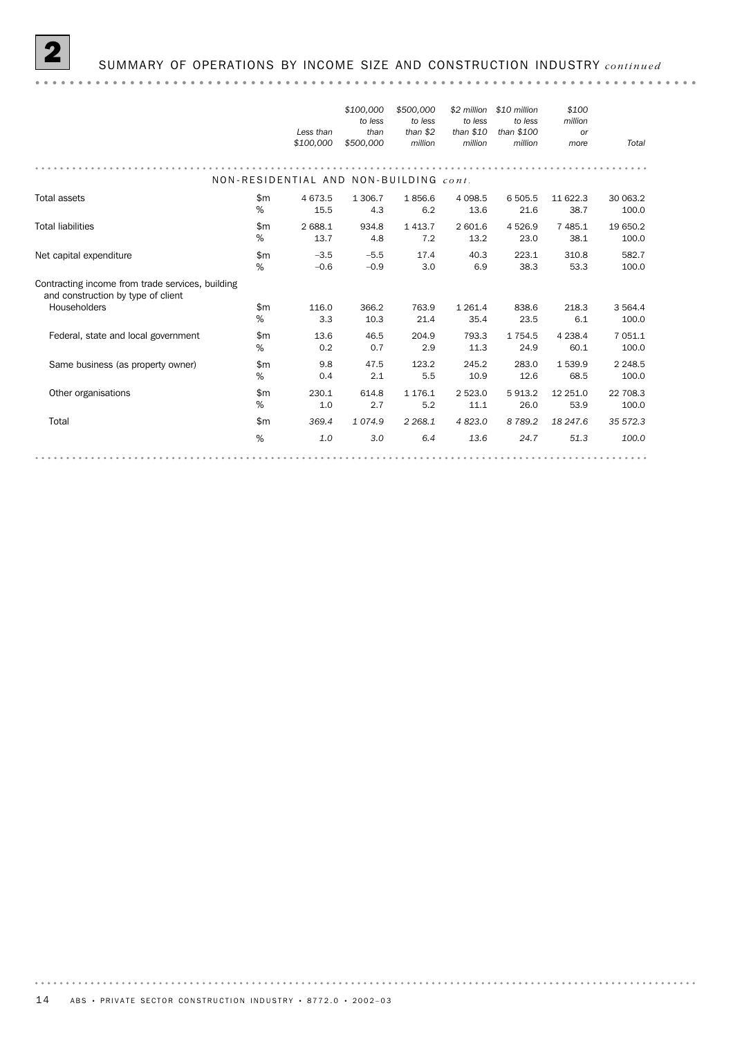|                                                                                        |                                        | Less than<br>\$100,000 | \$100,000<br>to less<br>than<br>\$500,000 | \$500,000<br>to less<br>than $$2$<br>million | \$2 million<br>to less<br>than \$10<br>million | \$10 million<br>to less<br>than \$100<br>million | \$100<br>million<br><b>or</b><br>more | Total     |
|----------------------------------------------------------------------------------------|----------------------------------------|------------------------|-------------------------------------------|----------------------------------------------|------------------------------------------------|--------------------------------------------------|---------------------------------------|-----------|
|                                                                                        | NON-RESIDENTIAL AND NON-BUILDING cont. |                        |                                           |                                              |                                                |                                                  |                                       |           |
| <b>Total assets</b>                                                                    | \$m                                    | 4673.5                 | 1 306.7                                   | 1856.6                                       | 4 0 98.5                                       | 6 505.5                                          | 11 622.3                              | 30 063.2  |
|                                                                                        | %                                      | 15.5                   | 4.3                                       | 6.2                                          | 13.6                                           | 21.6                                             | 38.7                                  | 100.0     |
| <b>Total liabilities</b>                                                               | \$m                                    | 2 688.1                | 934.8                                     | 1 4 1 3.7                                    | 2 601.6                                        | 4 5 2 6.9                                        | 7 485.1                               | 19 650.2  |
|                                                                                        | %                                      | 13.7                   | 4.8                                       | 7.2                                          | 13.2                                           | 23.0                                             | 38.1                                  | 100.0     |
| Net capital expenditure                                                                | \$m                                    | $-3.5$                 | $-5.5$                                    | 17.4                                         | 40.3                                           | 223.1                                            | 310.8                                 | 582.7     |
|                                                                                        | %                                      | $-0.6$                 | $-0.9$                                    | 3.0                                          | 6.9                                            | 38.3                                             | 53.3                                  | 100.0     |
| Contracting income from trade services, building<br>and construction by type of client |                                        |                        |                                           |                                              |                                                |                                                  |                                       |           |
| Householders                                                                           | \$m                                    | 116.0                  | 366.2                                     | 763.9                                        | 1 2 6 1.4                                      | 838.6                                            | 218.3                                 | 3 5 6 4.4 |
|                                                                                        | %                                      | 3.3                    | 10.3                                      | 21.4                                         | 35.4                                           | 23.5                                             | 6.1                                   | 100.0     |
| Federal, state and local government                                                    | \$m                                    | 13.6                   | 46.5                                      | 204.9                                        | 793.3                                          | 1 7 5 4 . 5                                      | 4 2 3 8.4                             | 7 0 5 1.1 |
|                                                                                        | %                                      | 0.2                    | 0.7                                       | 2.9                                          | 11.3                                           | 24.9                                             | 60.1                                  | 100.0     |
| Same business (as property owner)                                                      | \$m                                    | 9.8                    | 47.5                                      | 123.2                                        | 245.2                                          | 283.0                                            | 1539.9                                | 2 2 4 8.5 |
|                                                                                        | %                                      | 0.4                    | 2.1                                       | 5.5                                          | 10.9                                           | 12.6                                             | 68.5                                  | 100.0     |
| Other organisations                                                                    | \$m\$                                  | 230.1                  | 614.8                                     | 1 176.1                                      | 2 5 2 3 .0                                     | 5913.2                                           | 12 251.0                              | 22 708.3  |
|                                                                                        | %                                      | 1.0                    | 2.7                                       | 5.2                                          | 11.1                                           | 26.0                                             | 53.9                                  | 100.0     |
| Total                                                                                  | \$m                                    | 369.4                  | 1074.9                                    | 2 2 68.1                                     | 4823.0                                         | 8789.2                                           | 18 247.6                              | 35 572.3  |
|                                                                                        | %                                      | 1.0                    | 3.0                                       | 6.4                                          | 13.6                                           | 24.7                                             | 51.3                                  | 100.0     |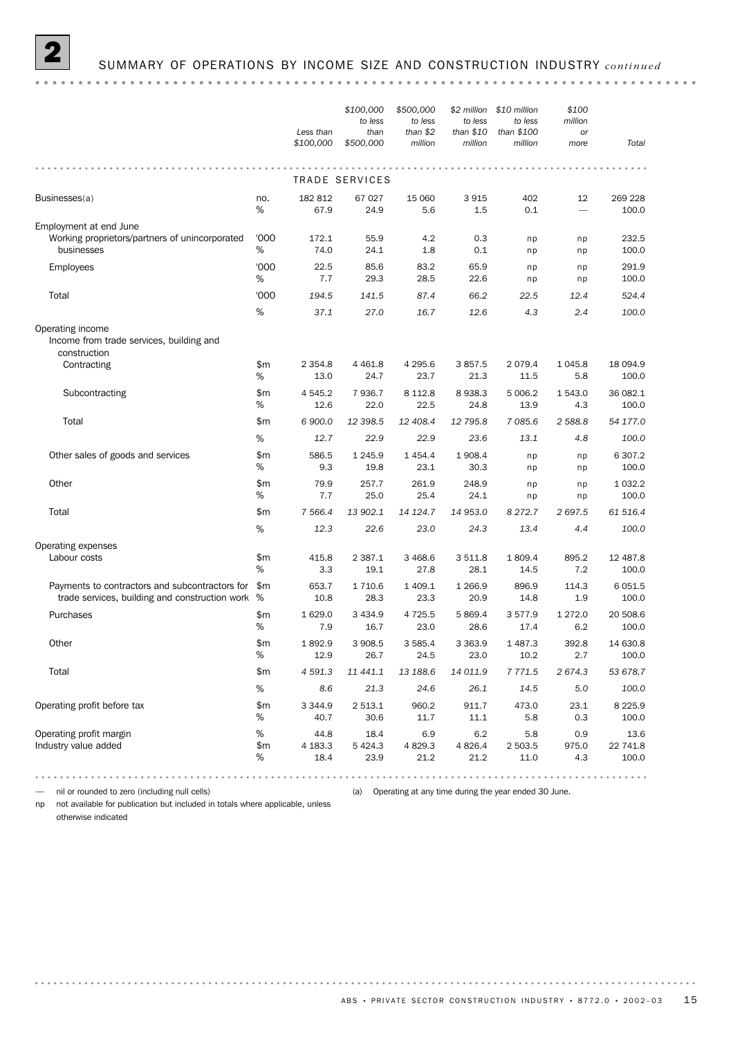|                                                                                             |                  | Less than<br>\$100,000  | \$100,000<br>to less<br>than<br>\$500,000 | \$500,000<br>to less<br>than $$2$<br>million | \$2 million<br>to less<br>than $$10$<br>million | \$10 million<br>to less<br>than \$100<br>million | \$100<br>million<br>or<br>more | Total                     |
|---------------------------------------------------------------------------------------------|------------------|-------------------------|-------------------------------------------|----------------------------------------------|-------------------------------------------------|--------------------------------------------------|--------------------------------|---------------------------|
|                                                                                             |                  |                         | TRADE SERVICES                            |                                              |                                                 |                                                  |                                |                           |
| Businesses(a)                                                                               | no.              | 182 812                 | 67 027                                    | 15 060                                       | 3915                                            | 402                                              | 12                             | 269 228                   |
|                                                                                             | %                | 67.9                    | 24.9                                      | 5.6                                          | 1.5                                             | 0.1                                              | $\overline{\phantom{0}}$       | 100.0                     |
| Employment at end June<br>Working proprietors/partners of unincorporated<br>businesses      | '000<br>%        | 172.1<br>74.0           | 55.9<br>24.1                              | 4.2<br>1.8                                   | 0.3<br>0.1                                      | np<br>np                                         | np<br>np                       | 232.5<br>100.0            |
| Employees                                                                                   | '000             | 22.5                    | 85.6                                      | 83.2                                         | 65.9                                            | np                                               | np                             | 291.9                     |
|                                                                                             | %                | 7.7                     | 29.3                                      | 28.5                                         | 22.6                                            | np                                               | np                             | 100.0                     |
| Total                                                                                       | '000             | 194.5                   | 141.5                                     | 87.4                                         | 66.2                                            | 22.5                                             | 12.4                           | 524.4                     |
|                                                                                             | %                | 37.1                    | 27.0                                      | 16.7                                         | 12.6                                            | 4.3                                              | 2.4                            | 100.0                     |
| Operating income<br>Income from trade services, building and<br>construction<br>Contracting | \$m              | 2 3 5 4.8               | 4 4 6 1.8                                 | 4 295.6                                      | 3857.5                                          | 2079.4                                           | 1 0 4 5.8                      | 18 094.9                  |
| Subcontracting                                                                              | $\%$             | 13.0                    | 24.7                                      | 23.7                                         | 21.3                                            | 11.5                                             | 5.8                            | 100.0                     |
|                                                                                             | \$m              | 4 5 4 5.2               | 7936.7                                    | 8 1 1 2.8                                    | 8938.3                                          | 5 006.2                                          | 1 543.0                        | 36 082.1                  |
| Total                                                                                       | %                | 12.6                    | 22.0                                      | 22.5                                         | 24.8                                            | 13.9                                             | 4.3                            | 100.0                     |
|                                                                                             | \$m              | 6 900.0                 | 12 398.5                                  | 12 408.4                                     | 12 795.8                                        | 7085.6                                           | 2 588.8                        | 54 177.0                  |
|                                                                                             | $\%$             | 12.7                    | 22.9                                      | 22.9                                         | 23.6                                            | 13.1                                             | 4.8                            | 100.0                     |
| Other sales of goods and services                                                           | \$m              | 586.5                   | 1 2 4 5 . 9                               | 1454.4                                       | 1908.4                                          | np                                               | np                             | 6 307.2                   |
|                                                                                             | %                | 9.3                     | 19.8                                      | 23.1                                         | 30.3                                            | np                                               | np                             | 100.0                     |
| Other                                                                                       | \$m              | 79.9                    | 257.7                                     | 261.9                                        | 248.9                                           | np                                               | np                             | 1 0 3 2.2                 |
|                                                                                             | $\%$             | 7.7                     | 25.0                                      | 25.4                                         | 24.1                                            | np                                               | np                             | 100.0                     |
| Total                                                                                       | \$m              | 7 5 6 6.4               | 13 902.1                                  | 14 124.7                                     | 14 953.0                                        | 8 2 7 2.7                                        | 2697.5                         | 61 516.4                  |
|                                                                                             | %                | 12.3                    | 22.6                                      | 23.0                                         | 24.3                                            | 13.4                                             | 4.4                            | 100.0                     |
| Operating expenses                                                                          |                  |                         |                                           |                                              |                                                 |                                                  |                                |                           |
| Labour costs                                                                                | \$m              | 415.8                   | 2 3 8 7 . 1                               | 3 4 68.6                                     | 3511.8                                          | 1809.4                                           | 895.2                          | 12 487.8                  |
|                                                                                             | $\%$             | 3.3                     | 19.1                                      | 27.8                                         | 28.1                                            | 14.5                                             | 7.2                            | 100.0                     |
| Payments to contractors and subcontractors for                                              | \$m              | 653.7                   | 1 710.6                                   | 1 409.1                                      | 1 2 6 6.9                                       | 896.9                                            | 114.3                          | 6 0 5 1.5                 |
| trade services, building and construction work                                              | %                | 10.8                    | 28.3                                      | 23.3                                         | 20.9                                            | 14.8                                             | 1.9                            | 100.0                     |
| Purchases                                                                                   | \$m              | 1629.0                  | 3 4 3 4 .9                                | 4 7 2 5 .5                                   | 5 8 6 9.4                                       | 3577.9                                           | 1 272.0                        | 20 508.6                  |
|                                                                                             | $\%$             | 7.9                     | 16.7                                      | 23.0                                         | 28.6                                            | 17.4                                             | 6.2                            | 100.0                     |
| Other                                                                                       | \$m              | 1892.9                  | 3 908.5                                   | 3 585.4                                      | 3 3 6 3 . 9                                     | 1487.3                                           | 392.8                          | 14 630.8                  |
|                                                                                             | %                | 12.9                    | 26.7                                      | 24.5                                         | 23.0                                            | 10.2                                             | 2.7                            | 100.0                     |
| Total                                                                                       | \$m              | 4 5 9 1.3               | 11 441.1                                  | 13 188.6                                     | 14 011.9                                        | 7771.5                                           | 2674.3                         | 53 678.7                  |
|                                                                                             | $\%$             | 8.6                     | 21.3                                      | 24.6                                         | 26.1                                            | 14.5                                             | 5.0                            | 100.0                     |
| Operating profit before tax                                                                 | \$m              | 3 3 4 4.9               | 2 513.1                                   | 960.2                                        | 911.7                                           | 473.0                                            | 23.1                           | 8 2 2 5.9                 |
|                                                                                             | %                | 40.7                    | 30.6                                      | 11.7                                         | 11.1                                            | 5.8                                              | 0.3                            | 100.0                     |
| Operating profit margin<br>Industry value added                                             | $\%$<br>\$m<br>% | 44.8<br>4 183.3<br>18.4 | 18.4<br>5 4 2 4 . 3<br>23.9               | 6.9<br>4 8 29.3<br>21.2                      | 6.2<br>4 8 2 6.4<br>21.2                        | 5.8<br>2 503.5<br>11.0                           | 0.9<br>975.0<br>4.3            | 13.6<br>22 741.8<br>100.0 |

— nil or rounded to zero (including null cells) and the state of the control of the year ended 30 June.

np not available for publication but included in totals where applicable, unless otherwise indicated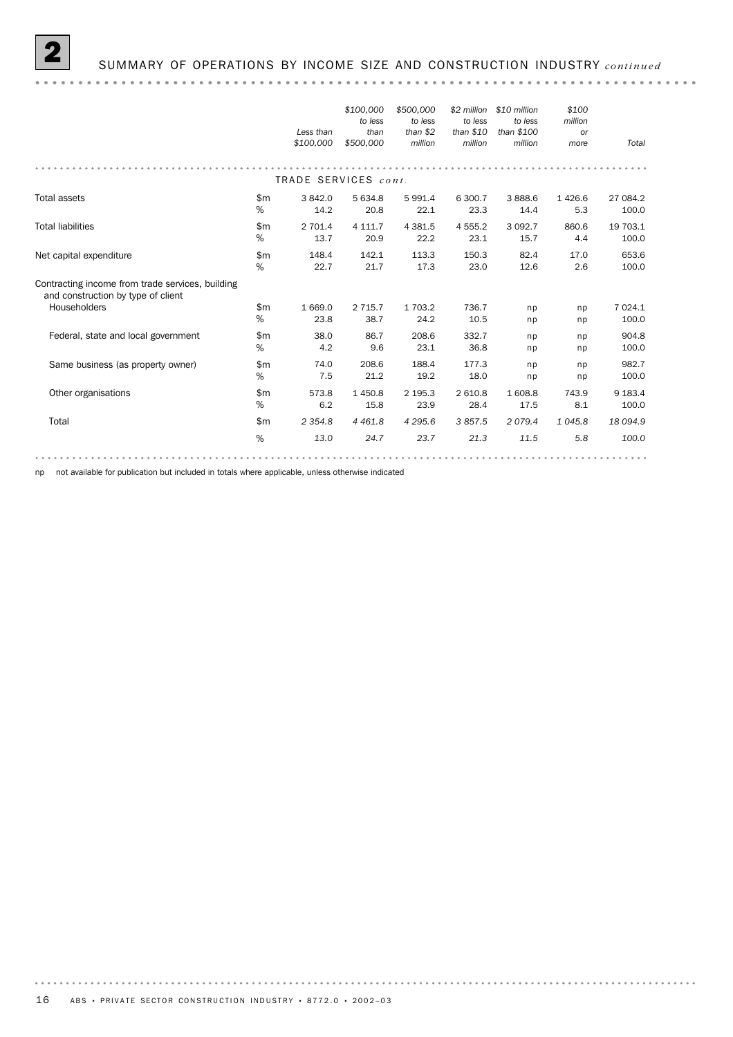|                                                                                        |               | Less than<br>\$100,000 | \$100,000<br>to less<br>than<br>\$500,000 | \$500,000<br>to less<br>than $$2$<br>million | \$2 million<br>to less<br>than \$10<br>million | \$10 million<br>to less<br>than \$100<br>million | \$100<br>million<br><b>or</b><br>more | Total     |
|----------------------------------------------------------------------------------------|---------------|------------------------|-------------------------------------------|----------------------------------------------|------------------------------------------------|--------------------------------------------------|---------------------------------------|-----------|
|                                                                                        |               | TRADE SERVICES cont.   |                                           |                                              |                                                |                                                  |                                       |           |
| <b>Total assets</b>                                                                    | \$m\$         | 3842.0                 | 5 634.8                                   | 5 9 9 1.4                                    | 6 300.7                                        | 3888.6                                           | 1426.6                                | 27 084.2  |
|                                                                                        | %             | 14.2                   | 20.8                                      | 22.1                                         | 23.3                                           | 14.4                                             | 5.3                                   | 100.0     |
| <b>Total liabilities</b>                                                               | \$m           | 2 701.4                | 4 111.7                                   | 4 3 8 1.5                                    | 4 5 5 5.2                                      | 3 0 9 2.7                                        | 860.6                                 | 19 703.1  |
|                                                                                        | %             | 13.7                   | 20.9                                      | 22.2                                         | 23.1                                           | 15.7                                             | 4.4                                   | 100.0     |
| Net capital expenditure                                                                | \$m           | 148.4                  | 142.1                                     | 113.3                                        | 150.3                                          | 82.4                                             | 17.0                                  | 653.6     |
|                                                                                        | $\frac{1}{2}$ | 22.7                   | 21.7                                      | 17.3                                         | 23.0                                           | 12.6                                             | 2.6                                   | 100.0     |
| Contracting income from trade services, building<br>and construction by type of client |               |                        |                                           |                                              |                                                |                                                  |                                       |           |
| Householders                                                                           | \$m           | 1 669.0                | 2 7 1 5 . 7                               | 1 703.2                                      | 736.7                                          | np                                               | np                                    | 7 0 24.1  |
|                                                                                        | %             | 23.8                   | 38.7                                      | 24.2                                         | 10.5                                           | np                                               | np                                    | 100.0     |
| Federal, state and local government                                                    | $\mathsf{m}$  | 38.0                   | 86.7                                      | 208.6                                        | 332.7                                          | np                                               | np                                    | 904.8     |
|                                                                                        | %             | 4.2                    | 9.6                                       | 23.1                                         | 36.8                                           | np                                               | np                                    | 100.0     |
| Same business (as property owner)                                                      | $\mathsf{m}$  | 74.0                   | 208.6                                     | 188.4                                        | 177.3                                          | np                                               | np                                    | 982.7     |
|                                                                                        | %             | 7.5                    | 21.2                                      | 19.2                                         | 18.0                                           | np                                               | np                                    | 100.0     |
| Other organisations                                                                    | \$m           | 573.8                  | 1450.8                                    | 2 195.3                                      | 2 610.8                                        | 1 608.8                                          | 743.9                                 | 9 1 8 3.4 |
|                                                                                        | %             | 6.2                    | 15.8                                      | 23.9                                         | 28.4                                           | 17.5                                             | 8.1                                   | 100.0     |
| Total                                                                                  | \$m           | 2 3 5 4.8              | 4 4 6 1.8                                 | 4 2 9 5.6                                    | 3857.5                                         | 2079.4                                           | 1045.8                                | 18 094.9  |
|                                                                                        | %             | 13.0                   | 24.7                                      | 23.7                                         | 21.3                                           | 11.5                                             | 5.8                                   | 100.0     |

np not available for publication but included in totals where applicable, unless otherwise indicated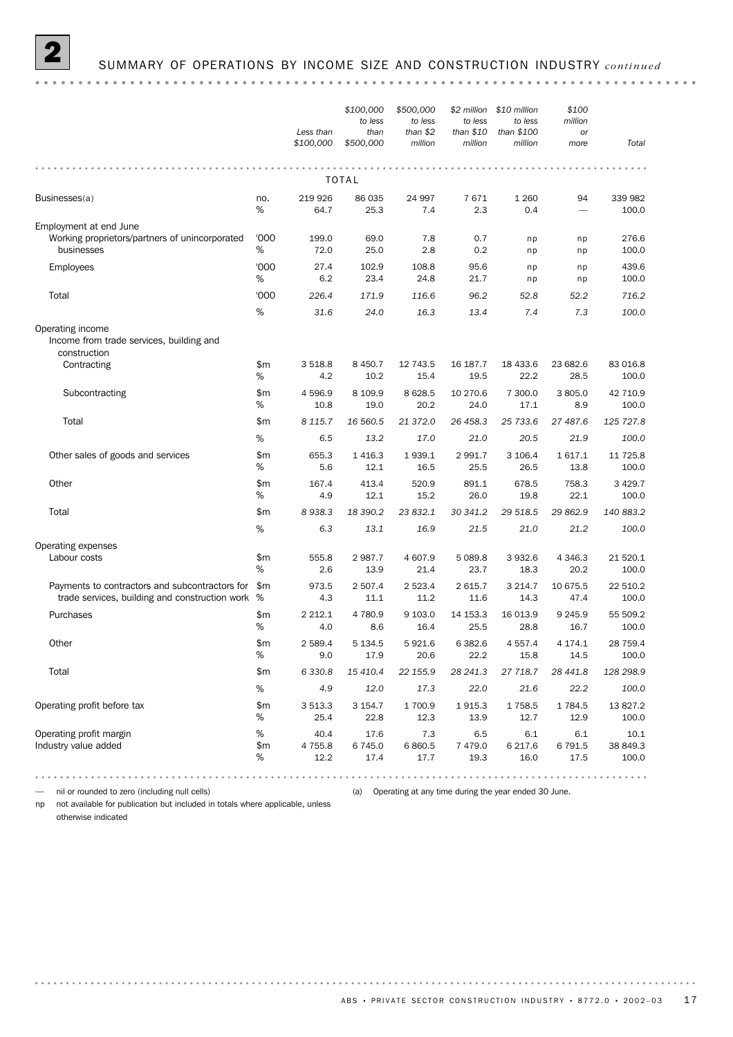|                                                                                        |                    | Less than<br>\$100,000 | \$100,000<br>to less<br>than<br>\$500,000 | \$500,000<br>to less<br>than $$2$<br>million | \$2 million<br>to less<br>than $$10$<br>million | \$10 million<br>to less<br>than \$100<br>million | \$100<br>million<br>or<br>more | Total                      |
|----------------------------------------------------------------------------------------|--------------------|------------------------|-------------------------------------------|----------------------------------------------|-------------------------------------------------|--------------------------------------------------|--------------------------------|----------------------------|
|                                                                                        |                    |                        | <b>TOTAL</b>                              |                                              |                                                 |                                                  |                                |                            |
| Businesses(a)                                                                          | no.                | 219 926                | 86 035                                    | 24 997                                       | 7671                                            | 1 2 6 0                                          | 94                             | 339 982                    |
|                                                                                        | %                  | 64.7                   | 25.3                                      | 7.4                                          | 2.3                                             | 0.4                                              |                                | 100.0                      |
| Employment at end June<br>Working proprietors/partners of unincorporated<br>businesses | '000<br>%          | 199.0<br>72.0          | 69.0<br>25.0                              | 7.8<br>2.8                                   | 0.7<br>0.2                                      | np<br>np                                         | np<br>np                       | 276.6<br>100.0             |
| Employees                                                                              | '000               | 27.4                   | 102.9                                     | 108.8                                        | 95.6                                            | np                                               | np                             | 439.6                      |
|                                                                                        | %                  | 6.2                    | 23.4                                      | 24.8                                         | 21.7                                            | np                                               | np                             | 100.0                      |
| Total                                                                                  | '000               | 226.4                  | 171.9                                     | 116.6                                        | 96.2                                            | 52.8                                             | 52.2                           | 716.2                      |
|                                                                                        | %                  | 31.6                   | 24.0                                      | 16.3                                         | 13.4                                            | 7.4                                              | 7.3                            | 100.0                      |
| Operating income<br>Income from trade services, building and<br>construction           |                    |                        |                                           |                                              |                                                 |                                                  |                                |                            |
| Contracting                                                                            | \$m                | 3 5 18.8               | 8 4 5 0.7                                 | 12 743.5                                     | 16 187.7                                        | 18 433.6                                         | 23 682.6                       | 83 016.8                   |
|                                                                                        | %                  | 4.2                    | 10.2                                      | 15.4                                         | 19.5                                            | 22.2                                             | 28.5                           | 100.0                      |
| Subcontracting                                                                         | \$m                | 4596.9                 | 8 109.9                                   | 8 6 28.5                                     | 10 270.6                                        | 7 300.0                                          | 3 805.0                        | 42 710.9                   |
|                                                                                        | %                  | 10.8                   | 19.0                                      | 20.2                                         | 24.0                                            | 17.1                                             | 8.9                            | 100.0                      |
| Total                                                                                  | \$m                | 8 1 1 5 . 7            | 16 560.5                                  | 21 372.0                                     | 26 458.3                                        | 25 733.6                                         | 27 487.6                       | 125 727.8                  |
|                                                                                        | %                  | 6.5                    | 13.2                                      | 17.0                                         | 21.0                                            | 20.5                                             | 21.9                           | 100.0                      |
| Other sales of goods and services                                                      | \$m                | 655.3                  | 1 4 1 6 . 3                               | 1939.1                                       | 2991.7                                          | 3 106.4                                          | 1617.1                         | 11 725.8                   |
|                                                                                        | %                  | 5.6                    | 12.1                                      | 16.5                                         | 25.5                                            | 26.5                                             | 13.8                           | 100.0                      |
| Other                                                                                  | \$m                | 167.4                  | 413.4                                     | 520.9                                        | 891.1                                           | 678.5                                            | 758.3                          | 3 4 2 9.7                  |
|                                                                                        | %                  | 4.9                    | 12.1                                      | 15.2                                         | 26.0                                            | 19.8                                             | 22.1                           | 100.0                      |
| Total                                                                                  | \$m                | 8 9 38.3               | 18 390.2                                  | 23 832.1                                     | 30 341.2                                        | 29 518.5                                         | 29 862.9                       | 140 883.2                  |
|                                                                                        | %                  | 6.3                    | 13.1                                      | 16.9                                         | 21.5                                            | 21.0                                             | 21.2                           | 100.0                      |
| Operating expenses                                                                     |                    |                        |                                           |                                              |                                                 |                                                  |                                |                            |
| Labour costs                                                                           | \$m                | 555.8                  | 2987.7                                    | 4 607.9                                      | 5 0 8 9.8                                       | 3 9 3 2.6                                        | 4 3 4 6 .3                     | 21 520.1                   |
|                                                                                        | $\%$               | 2.6                    | 13.9                                      | 21.4                                         | 23.7                                            | 18.3                                             | 20.2                           | 100.0                      |
| Payments to contractors and subcontractors for                                         | \$m                | 973.5                  | 2 507.4                                   | 2 523.4                                      | 2 615.7                                         | 3 2 1 4.7                                        | 10 675.5                       | 22 510.2                   |
| trade services, building and construction work                                         | %                  | 4.3                    | 11.1                                      | 11.2                                         | 11.6                                            | 14.3                                             | 47.4                           | 100.0                      |
| Purchases                                                                              | \$m                | 2 2 1 2 . 1            | 4780.9                                    | 9 103.0                                      | 14 153.3                                        | 16 013.9                                         | 9 2 4 5 . 9                    | 55 509.2                   |
|                                                                                        | %                  | 4.0                    | 8.6                                       | 16.4                                         | 25.5                                            | 28.8                                             | 16.7                           | 100.0                      |
| Other                                                                                  | \$m                | 2 589.4                | 5 134.5                                   | 5921.6                                       | 6 3 8 2.6                                       | 4 557.4                                          | 4 174.1                        | 28 759.4                   |
|                                                                                        | $\%$               | 9.0                    | 17.9                                      | 20.6                                         | 22.2                                            | 15.8                                             | 14.5                           | 100.0                      |
| Total                                                                                  | \$m<br>$\%$        | 6 3 3 0.8              | 15 410.4                                  | 22 155.9                                     | 28 241.3                                        | 27 718.7                                         | 28 441.8                       | 128 298.9                  |
| Operating profit before tax                                                            | \$m<br>$\%$        | 4.9<br>3513.3<br>25.4  | 12.0<br>3 1 5 4 . 7<br>22.8               | 17.3<br>1700.9<br>12.3                       | 22.0<br>1915.3<br>13.9                          | 21.6<br>1758.5<br>12.7                           | 22.2<br>1784.5<br>12.9         | 100.0<br>13 827.2<br>100.0 |
| Operating profit margin<br>Industry value added                                        | $\%$<br>\$m\$<br>% | 40.4<br>4755.8<br>12.2 | 17.6<br>6745.0<br>17.4                    | 7.3<br>6860.5<br>17.7                        | 6.5<br>7 4 7 9 .0<br>19.3                       | 6.1<br>6 217.6<br>16.0                           | 6.1<br>6791.5<br>17.5          | 10.1<br>38 849.3<br>100.0  |

— nil or rounded to zero (including null cells) and the state of the control of the operating at any time during the year ended 30 June.

np not available for publication but included in totals where applicable, unless otherwise indicated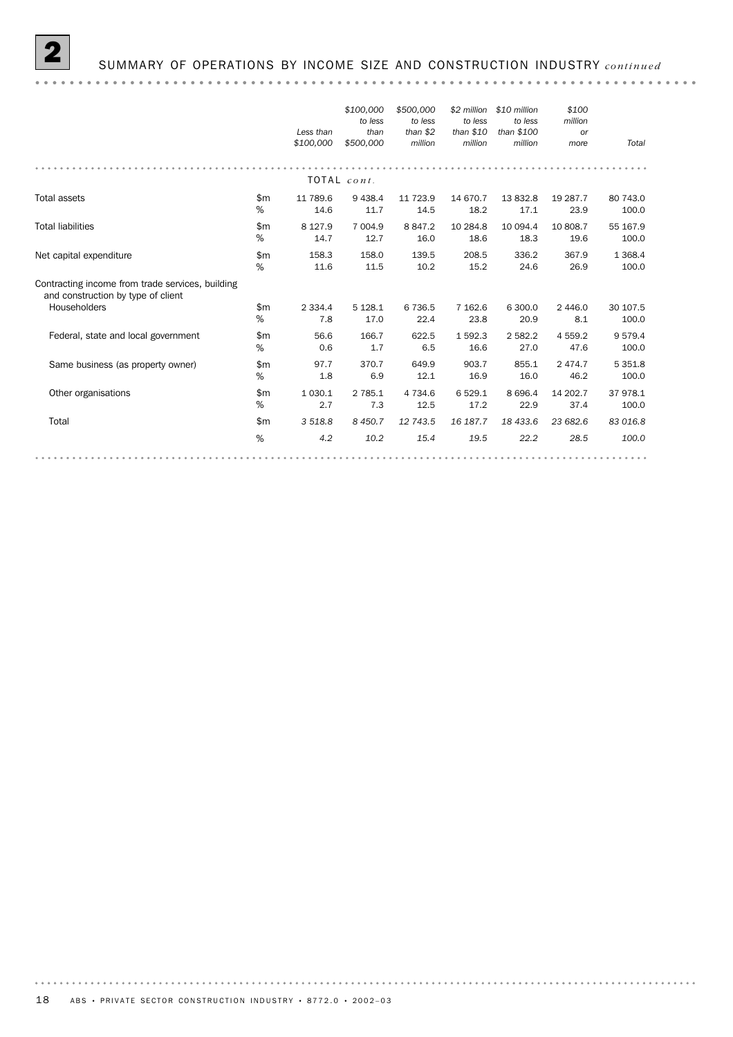|                                                                                        |              | Less than<br>\$100,000 | \$100,000<br>to less<br>than<br>\$500,000 | \$500,000<br>to less<br>than $$2$<br>million | \$2 million<br>to less<br>than \$10<br>million | \$10 million<br>to less<br>than \$100<br>million | \$100<br>million<br><b>or</b><br>more | Total     |
|----------------------------------------------------------------------------------------|--------------|------------------------|-------------------------------------------|----------------------------------------------|------------------------------------------------|--------------------------------------------------|---------------------------------------|-----------|
|                                                                                        |              |                        | TOTAL cont.                               |                                              |                                                |                                                  |                                       |           |
| <b>Total assets</b>                                                                    | \$m          | 11 789.6               | 9 4 38.4                                  | 11 723.9                                     | 14 670.7                                       | 13 832.8                                         | 19 287.7                              | 80 743.0  |
|                                                                                        | %            | 14.6                   | 11.7                                      | 14.5                                         | 18.2                                           | 17.1                                             | 23.9                                  | 100.0     |
| <b>Total liabilities</b>                                                               | \$m          | 8 1 2 7 . 9            | 7 0 0 4.9                                 | 8847.2                                       | 10 284.8                                       | 10 094.4                                         | 10 808.7                              | 55 167.9  |
|                                                                                        | %            | 14.7                   | 12.7                                      | 16.0                                         | 18.6                                           | 18.3                                             | 19.6                                  | 100.0     |
| Net capital expenditure                                                                | \$m          | 158.3                  | 158.0                                     | 139.5                                        | 208.5                                          | 336.2                                            | 367.9                                 | 1 3 6 8.4 |
|                                                                                        | %            | 11.6                   | 11.5                                      | 10.2                                         | 15.2                                           | 24.6                                             | 26.9                                  | 100.0     |
| Contracting income from trade services, building<br>and construction by type of client |              |                        |                                           |                                              |                                                |                                                  |                                       |           |
| Householders                                                                           | \$m          | 2 3 3 4 . 4            | 5 1 28.1                                  | 6 7 3 6.5                                    | 7 162.6                                        | 6 300.0                                          | 2 4 4 6.0                             | 30 107.5  |
|                                                                                        | %            | 7.8                    | 17.0                                      | 22.4                                         | 23.8                                           | 20.9                                             | 8.1                                   | 100.0     |
| Federal, state and local government                                                    | \$m          | 56.6                   | 166.7                                     | 622.5                                        | 1592.3                                         | 2 5 8 2.2                                        | 4 5 5 9.2                             | 9579.4    |
|                                                                                        | %            | 0.6                    | 1.7                                       | 6.5                                          | 16.6                                           | 27.0                                             | 47.6                                  | 100.0     |
| Same business (as property owner)                                                      | \$m          | 97.7                   | 370.7                                     | 649.9                                        | 903.7                                          | 855.1                                            | 2 4 7 4 . 7                           | 5 3 5 1.8 |
|                                                                                        | %            | 1.8                    | 6.9                                       | 12.1                                         | 16.9                                           | 16.0                                             | 46.2                                  | 100.0     |
| Other organisations                                                                    | \$m          | 1 0 3 0.1              | 2 785.1                                   | 4 7 3 4 . 6                                  | 6 5 29.1                                       | 8 6 9 6.4                                        | 14 202.7                              | 37 978.1  |
|                                                                                        | %            | 2.7                    | 7.3                                       | 12.5                                         | 17.2                                           | 22.9                                             | 37.4                                  | 100.0     |
| Total                                                                                  | $\mathsf{m}$ | 3 518.8                | 8 4 5 0.7                                 | 12 743.5                                     | 16 187.7                                       | 18 433.6                                         | 23 682.6                              | 83 016.8  |
|                                                                                        | %            | 4.2                    | 10.2                                      | 15.4                                         | 19.5                                           | 22.2                                             | 28.5                                  | 100.0     |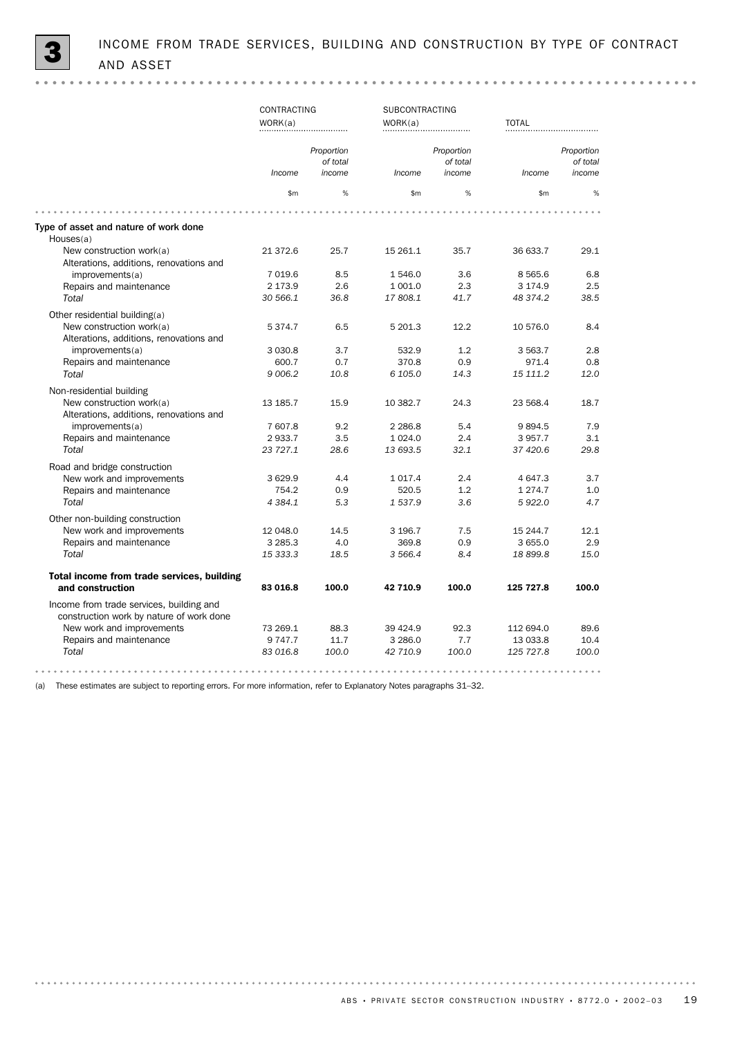

INCOME FROM TRADE SERVICES, BUILDING AND CONSTRUCTION BY TYPE OF CONTRACT<br>AND ASSET

CONTRACTING SUBCONTRACTING WORK(a) TOTAL WORK(a) . . . . . . . . . . . . . . . . . . . . *Proportion Proportion Proportion of total of total of total Income income Income income Income income* \$m % \$m % \$m % . . . . . . . . Type of asset and nature of work done Houses(a) New construction work(a) 21 372.6 25.7 15 261.1 35.7 36 633.7 29.1 Alterations, additions, renovations and improvements(a) 7 019.6 8.5 1 546.0 3.6 8 565.6 6.8 Repairs and maintenance  $\begin{array}{cccc} 2 & 173.9 & 2.6 & 1 & 001.0 & 2.3 & 3 & 174.9 & 2.5 \\ 2 & 2 & 2 & 3 & 3 & 5 & 17 & 41.7 & 48 & 374.2 & 38.5 \end{array}$ *Total 30 566.1 36.8 17 808.1 41.7 48 374.2 38.5* Other residential building(a) New construction work(a)  $5374.7$   $6.5$   $5201.3$   $12.2$   $10\,576.0$   $8.4$ Alterations, additions, renovations and improvements(a) 3 030.8 3.7 532.9 1.2 3 563.7 2.8 Repairs and maintenance  $\begin{array}{cccc} 600.7 & 0.7 & 370.8 & 0.9 & 971.4 & 0.8 \\ 9006.2 & 10.8 & 6105.0 & 14.3 & 15111.2 & 12.0 \end{array}$ *Total 9 006.2 10.8 6 105.0 14.3 15 111.2 12.0* Non-residential building New construction work(a) 13 185.7 15.9 10 382.7 24.3 23 568.4 18.7 Alterations, additions, renovations and 7 607.8 9.2 2 286.8 5.4 9 894.5 7.9 improvements(a) Repairs and maintenance **2 933.7** 3.5 1 024.0 2.4 3 957.7 3.1<br>  $Total \text{Total}$  23 727.1 28.6 13 693.5 32.1 37 420.6 29.8 *Total 23 727.1 28.6 13 693.5 32.1 37 420.6 29.8* Road and bridge construction New work and improvements 3 629.9 4.4 1 017.4 2.4 4 647.3 3.7 Repairs and maintenance  $754.2$  0.9 520.5 1.2 1 274.7 1.0 *Total 4 384.1 5.3 1 537.9 3.6 5 922.0 4.7* Other non-building construction New work and improvements 12 048.0 14.5 3 196.7 15 15 244.7 12.1 Repairs and maintenance 3 285.3 4.0 369.8 0.9 3 655.0 2.9 *Total 15 333.3 18.5 3 566.4 8.4 18 899.8 15.0* Total income from trade services, building and construction 83 016.8 100.0 42 710.9 100.0 125 727.8 100.0 Income from trade services, building and construction work by nature of work done New work and improvements  $73\,269.1$  88.3  $39\,424.9$  92.3 112 694.0 89.6 Repairs and maintenance **9747.7** 11.7 3 286.0 7.7 13 033.8 10.4 *Total 83 016.8 100.0 42 710.9 100.0 125 727.8 100.0* . . . . . . . . . . . . . . . . . . . . . . . . . . . . . .

(a) These estimates are subject to reporting errors. For more information, refer to Explanatory Notes paragraphs 31–32.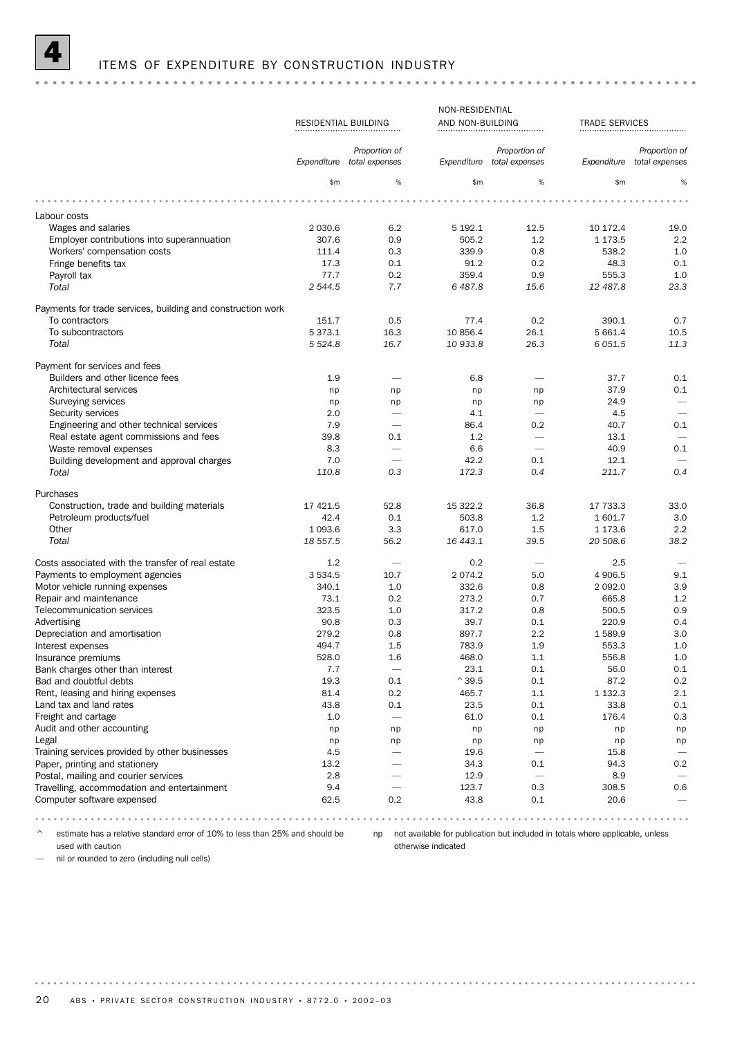

 $\alpha = \alpha$ 

|                                                             |                      |                                 | NON-RESIDENTIAL  |                                 |                       |                                 |
|-------------------------------------------------------------|----------------------|---------------------------------|------------------|---------------------------------|-----------------------|---------------------------------|
|                                                             | RESIDENTIAL BUILDING |                                 | AND NON-BUILDING |                                 | <b>TRADE SERVICES</b> |                                 |
|                                                             | Expenditure          | Proportion of<br>total expenses | Expenditure      | Proportion of<br>total expenses | Expenditure           | Proportion of<br>total expenses |
|                                                             | \$m\$                | %                               | \$m\$            | $\%$                            | \$m\$                 | %                               |
|                                                             |                      |                                 |                  |                                 |                       |                                 |
| Labour costs                                                |                      |                                 |                  |                                 |                       |                                 |
| Wages and salaries                                          | 2 0 3 0.6            | 6.2                             | 5 192.1          | 12.5                            | 10 172.4              | 19.0                            |
| Employer contributions into superannuation                  | 307.6                | 0.9                             | 505.2            | 1.2                             | 1 1 7 3 .5            | 2.2                             |
| Workers' compensation costs                                 | 111.4                | 0.3                             | 339.9            | 0.8                             | 538.2                 | 1.0                             |
| Fringe benefits tax                                         | 17.3                 | 0.1                             | 91.2             | 0.2                             | 48.3                  | 0.1                             |
| Payroll tax                                                 | 77.7                 | 0.2                             | 359.4            | 0.9                             | 555.3                 | 1.0                             |
| Total                                                       | 2 544.5              | 7.7                             | 6 487.8          | 15.6                            | 12 487.8              | 23.3                            |
| Payments for trade services, building and construction work |                      |                                 |                  |                                 |                       |                                 |
| To contractors                                              | 151.7                | 0.5                             | 77.4             | 0.2                             | 390.1                 | 0.7                             |
| To subcontractors                                           | 5 3 7 3 . 1          | 16.3                            | 10 856.4         | 26.1                            | 5 661.4               | 10.5                            |
| Total                                                       | 5 5 2 4.8            | 16.7                            | 10 933.8         | 26.3                            | 6 0 5 1.5             | 11.3                            |
| Payment for services and fees                               |                      |                                 |                  |                                 |                       |                                 |
| Builders and other licence fees                             | 1.9                  |                                 | 6.8              |                                 | 37.7                  | 0.1                             |
| Architectural services                                      | np                   | np                              | np               | np                              | 37.9                  | 0.1                             |
| Surveying services                                          | np                   | np                              | np               | np                              | 24.9                  | $\overline{\phantom{0}}$        |
| Security services                                           | 2.0                  |                                 | 4.1              |                                 | 4.5                   |                                 |
| Engineering and other technical services                    | 7.9                  | $\overline{\phantom{0}}$        | 86.4             | 0.2                             | 40.7                  | 0.1                             |
| Real estate agent commissions and fees                      | 39.8                 | 0.1                             | 1.2              | $\overline{\phantom{0}}$        | 13.1                  |                                 |
| Waste removal expenses                                      | 8.3                  | $\overbrace{\qquad \qquad }^{}$ | 6.6              | $\overbrace{\phantom{12332}}$   | 40.9                  | 0.1                             |
| Building development and approval charges                   | 7.0                  | $\overline{\phantom{0}}$        | 42.2             | 0.1                             | 12.1                  |                                 |
| Total                                                       | 110.8                | 0.3                             | 172.3            | 0.4                             | 211.7                 | 0.4                             |
| Purchases                                                   |                      |                                 |                  |                                 |                       |                                 |
| Construction, trade and building materials                  | 17 421.5             | 52.8                            | 15 322.2         | 36.8                            | 17 733.3              | 33.0                            |
| Petroleum products/fuel                                     | 42.4                 | 0.1                             | 503.8            | 1.2                             | 1601.7                | 3.0                             |
| Other                                                       | 1 0 9 3.6            | 3.3                             | 617.0            | 1.5                             | 1 1 7 3 . 6           | 2.2                             |
| Total                                                       | 18 557.5             | 56.2                            | 16 443.1         | 39.5                            | 20 508.6              | 38.2                            |
| Costs associated with the transfer of real estate           | 1.2                  | -                               | 0.2              |                                 | 2.5                   |                                 |
| Payments to employment agencies                             | 3 5 3 4 .5           | 10.7                            | 2 0 7 4 .2       | 5.0                             | 4 906.5               | 9.1                             |
| Motor vehicle running expenses                              | 340.1                | 1.0                             | 332.6            | 0.8                             | 2 0 9 2.0             | 3.9                             |
| Repair and maintenance                                      | 73.1                 | 0.2                             | 273.2            | 0.7                             | 665.8                 | 1.2                             |
| Telecommunication services                                  | 323.5                | 1.0                             | 317.2            | 0.8                             | 500.5                 | 0.9                             |
| Advertising                                                 | 90.8                 | 0.3                             | 39.7             | 0.1                             | 220.9                 | 0.4                             |
| Depreciation and amortisation                               | 279.2                | 0.8                             | 897.7            | 2.2                             | 1589.9                | 3.0                             |
| Interest expenses                                           | 494.7                | 1.5                             | 783.9            | 1.9                             | 553.3                 | 1.0                             |
| Insurance premiums                                          | 528.0                | 1.6                             | 468.0            | 1.1                             | 556.8                 | $1.0\,$                         |
| Bank charges other than interest                            | 7.7                  | $\overline{\phantom{m}}$        | 23.1             | 0.1                             | 56.0                  | 0.1                             |
| Bad and doubtful debts                                      | 19.3                 | 0.1                             | $^{\wedge}39.5$  | 0.1                             | 87.2                  | 0.2                             |
| Rent, leasing and hiring expenses                           | 81.4                 | 0.2                             | 465.7            | 1.1                             | 1 1 3 2.3             | 2.1                             |
| Land tax and land rates                                     | 43.8                 | 0.1                             | 23.5             | 0.1                             | 33.8                  | 0.1                             |
| Freight and cartage                                         | 1.0                  |                                 | 61.0             | 0.1                             | 176.4                 | 0.3                             |
| Audit and other accounting                                  | np                   | np                              | np               | np                              | np                    | np                              |
| Legal                                                       | np                   | np                              | np               | np                              | np                    | np                              |
| Training services provided by other businesses              | 4.5                  | $\overline{\phantom{0}}$        | 19.6             | $\overline{\phantom{m}}$        | 15.8                  |                                 |
| Paper, printing and stationery                              | 13.2                 |                                 | 34.3             | 0.1                             | 94.3                  | 0.2                             |
| Postal, mailing and courier services                        | 2.8                  |                                 | 12.9             |                                 | 8.9                   |                                 |
| Travelling, accommodation and entertainment                 | 9.4                  |                                 | 123.7            | 0.3                             | 308.5                 | 0.6                             |
| Computer software expensed                                  | 62.5                 | 0.2                             | 43.8             | 0.1                             | 20.6                  |                                 |
|                                                             |                      |                                 |                  |                                 |                       |                                 |

 $\hat{\ }$  estimate has a relative standard error of 10% to less than 25% and should be  $\qquad$  np not available for publication but included in totals where applicable, unless used with caution

otherwise indicated

— nil or rounded to zero (including null cells)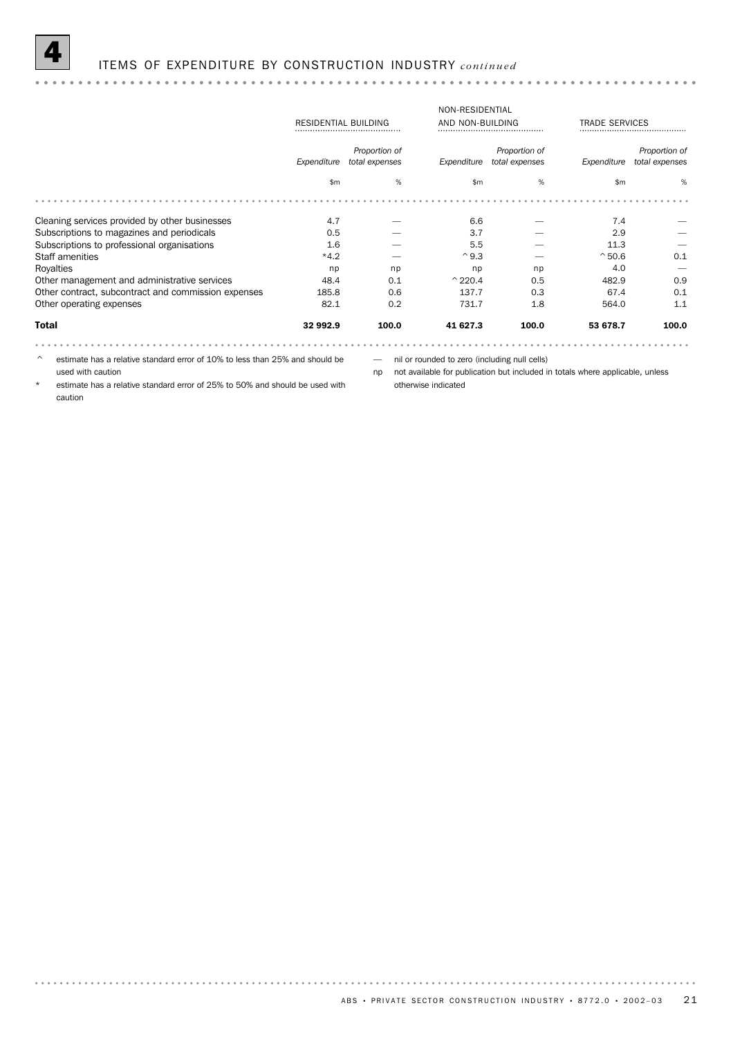

used with caution

#### 4 ITEMS OF EXPENDITURE BY CONSTRUCTION INDUSTRY *continued*

#### NON-RESIDENTIAL RESIDENTIAL BUILDING AND NON-BUILDING TRADE SERVICES *Proportion of Proportion of Proportion of Expenditure total expenses Expenditure total expenses Expenditure total expenses* \$m % \$m % \$m % Cleaning services provided by other businesses  $4.7$   $-$  6.6  $-$  7.4 Subscriptions to magazines and periodicals  $0.5$   $3.7$   $2.9$   $-$ Subscriptions to professional organisations  $1.6$   $5.5$   $11.3$   $-$ <br>Staff amenities  $*4.2$   $*3$   $*50.6$   $0.1$ <br>December 11.3  $-$ Other management and administrative services and the details and the term of the management and administrative services and the details and the management and administrative services and the details and the management and Staff amenities  $\begin{array}{ccc} 6.6 & 1.16 & 0.16 \end{array}$   $\begin{array}{ccc} 4.2 & - & 0.3 & - & 0.16 \end{array}$ Contract and and the contract and and the contract and commission expenses and commission expenses and commission expenses and commission expenses and commission expenses and commission expenses and commission expenses and  $R$ oyalties and the control of the control of the control of  $p$  is np  $p$  and  $p$  and  $p$  and  $p$  and  $p$  and  $p$  and  $p$  and  $p$  and  $p$  and  $p$  and  $p$  and  $p$  and  $p$  and  $p$  and  $p$  and  $p$  and  $p$  and  $p$  and  $p$  an Other operating expenses 64.0 1.1 2.1 6.2 731.7 1.8 564.0 1.1 Total 32 992.9 100.0 41 627.3 100.0 53 678.7 100.0

^ estimate has a relative standard error of 10% to less than 25% and should be

— nil or rounded to zero (including null cells)

np not available for publication but included in totals where applicable, unless otherwise indicated

estimate has a relative standard error of 25% to 50% and should be used with caution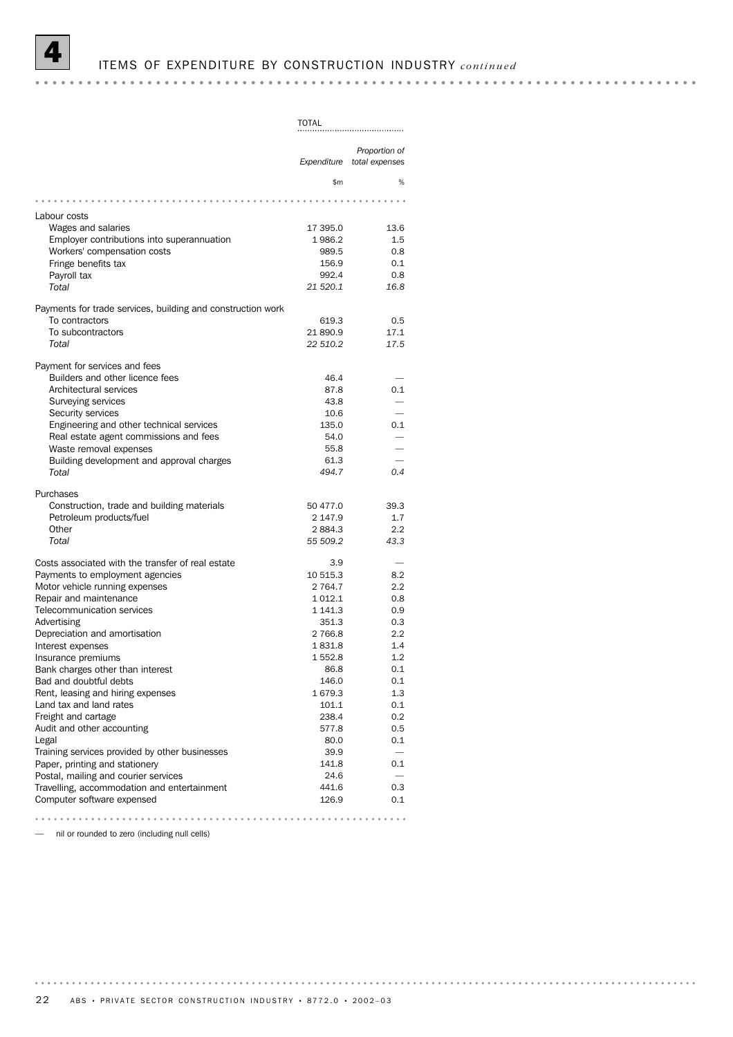|                                                                   | TOTAL           |                            |
|-------------------------------------------------------------------|-----------------|----------------------------|
|                                                                   |                 |                            |
|                                                                   |                 | Proportion of              |
|                                                                   |                 | Expenditure total expenses |
|                                                                   |                 |                            |
|                                                                   | \$m             | %                          |
|                                                                   |                 |                            |
| Labour costs                                                      |                 |                            |
| Wages and salaries                                                | 17 395.0        | 13.6                       |
| Employer contributions into superannuation                        | 1986.2          | 1.5                        |
| Workers' compensation costs                                       | 989.5           | 0.8                        |
| Fringe benefits tax                                               | 156.9           | 0.1                        |
| Payroll tax                                                       | 992.4           | 0.8                        |
| Total                                                             | 21 520.1        | 16.8                       |
| Payments for trade services, building and construction work       |                 |                            |
| To contractors                                                    | 619.3           | 0.5                        |
| To subcontractors                                                 | 21 890.9        | 17.1                       |
| Total                                                             | 22 510.2        | 17.5                       |
| Payment for services and fees                                     |                 |                            |
| Builders and other licence fees                                   | 46.4            |                            |
| Architectural services                                            | 87.8            | 0.1                        |
| Surveying services                                                | 43.8            |                            |
| Security services                                                 | 10.6            |                            |
| Engineering and other technical services                          | 135.0           | 0.1                        |
| Real estate agent commissions and fees                            | 54.0            |                            |
| Waste removal expenses                                            | 55.8            |                            |
| Building development and approval charges                         | 61.3            |                            |
| Total                                                             | 494.7           | 0.4                        |
| Purchases                                                         |                 |                            |
| Construction, trade and building materials                        | 50 477.0        | 39.3                       |
| Petroleum products/fuel                                           | 2 147.9         | 1.7                        |
| Other                                                             | 2884.3          | 2.2                        |
| Total                                                             | 55 509.2        | 43.3                       |
|                                                                   |                 |                            |
| Costs associated with the transfer of real estate                 | 3.9<br>10 515.3 | 8.2                        |
| Payments to employment agencies<br>Motor vehicle running expenses | 2 764.7         | 2.2                        |
| Repair and maintenance                                            | 1 0 1 2.1       | 0.8                        |
| Telecommunication services                                        | 1 141.3         | 0.9                        |
| Advertising                                                       | 351.3           | 0.3                        |
| Depreciation and amortisation                                     | 2 766.8         | 2.2                        |
| Interest expenses                                                 | 1831.8          | 1.4                        |
| Insurance premiums                                                | 1 552.8         | 1.2                        |
| Bank charges other than interest                                  | 86.8            | 0.1                        |
| Bad and doubtful debts                                            | 146.0           | 0.1                        |
| Rent, leasing and hiring expenses                                 | 1 679.3         | 1.3                        |
| Land tax and land rates                                           | 101.1           | 0.1                        |
| Freight and cartage                                               | 238.4           | 0.2                        |
| Audit and other accounting                                        | 577.8           | 0.5                        |
| Legal                                                             | 80.0            | 0.1                        |
| Training services provided by other businesses                    | 39.9            | $\overline{\phantom{0}}$   |
| Paper, printing and stationery                                    | 141.8           | 0.1                        |
| Postal, mailing and courier services                              | 24.6            | $\overline{\phantom{0}}$   |
| Travelling, accommodation and entertainment                       | 441.6           | 0.3                        |
| Computer software expensed                                        | 126.9           | 0.1                        |

— nil or rounded to zero (including null cells)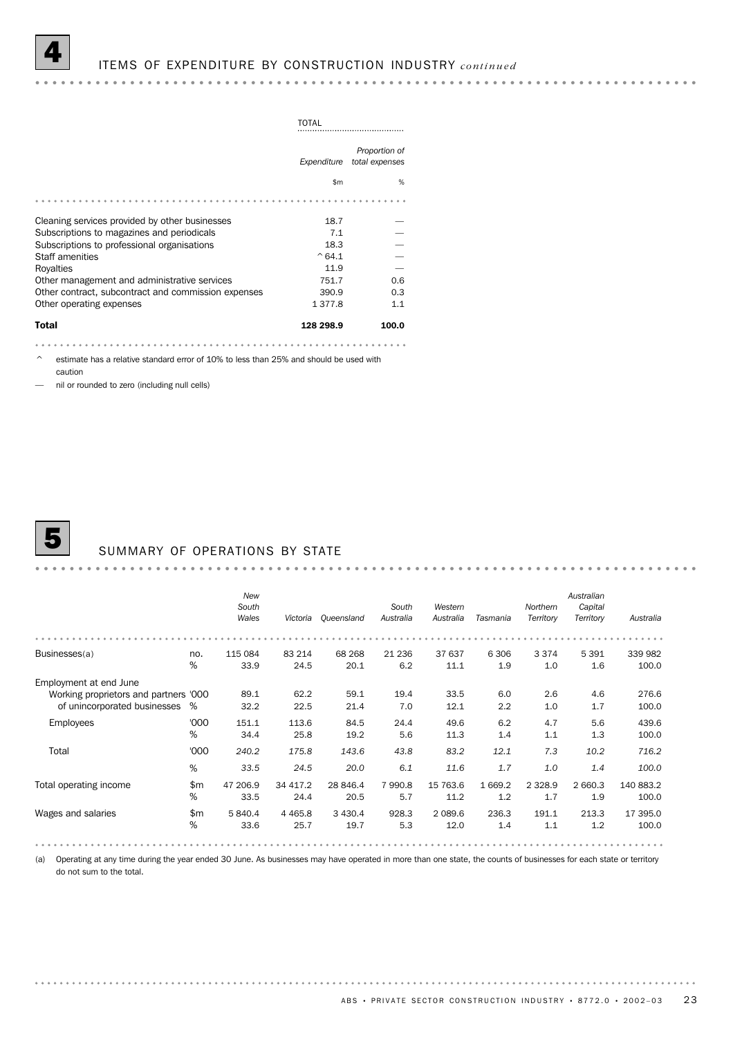#### 4 ITEMS OF EXPENDITURE BY CONSTRUCTION INDUSTRY *continued*

. . . . . . . . . .

|                                                     | TOTAL           |                                 |
|-----------------------------------------------------|-----------------|---------------------------------|
|                                                     | Expenditure     | Proportion of<br>total expenses |
|                                                     | \$m             | %                               |
|                                                     |                 |                                 |
| Cleaning services provided by other businesses      | 18.7            |                                 |
| Subscriptions to magazines and periodicals          | 7.1             |                                 |
| Subscriptions to professional organisations         | 18.3            |                                 |
| Staff amenities                                     | $^{\circ}$ 64.1 |                                 |
| Royalties                                           | 11.9            |                                 |
| Other management and administrative services        | 751.7           | 0.6                             |
| Other contract, subcontract and commission expenses | 390.9           | 0.3                             |
| Other operating expenses                            | 1 377.8         | 1.1                             |
| <b>Total</b>                                        | 128 298.9       | 100.0                           |

estimate has a relative standard error of 10% to less than 25% and should be used with caution

— nil or rounded to zero (including null cells)



. . . . . . . . . . . . .

## 5 SUMMARY OF OPERATIONS BY STATE

|                                                                                                 |           | New<br>South<br>Wales | Victoria          | Queensland        | South<br>Australia | Western<br>Australia | Tasmania       | Northern<br>Territory | Australian<br>Capital<br>Territory | Australia          |
|-------------------------------------------------------------------------------------------------|-----------|-----------------------|-------------------|-------------------|--------------------|----------------------|----------------|-----------------------|------------------------------------|--------------------|
|                                                                                                 |           |                       |                   |                   |                    |                      |                |                       |                                    |                    |
| Businesses(a)                                                                                   | no.       | 115 084               | 83 214            | 68 268            | 21 236             | 37 637               | 6 3 0 6        | 3 3 7 4               | 5 3 9 1                            | 339 982            |
|                                                                                                 | %         | 33.9                  | 24.5              | 20.1              | 6.2                | 11.1                 | 1.9            | 1.0                   | 1.6                                | 100.0              |
| Employment at end June<br>Working proprietors and partners '000<br>of unincorporated businesses | %         | 89.1<br>32.2          | 62.2<br>22.5      | 59.1<br>21.4      | 19.4<br>7.0        | 33.5<br>12.1         | 6.0<br>2.2     | 2.6<br>1.0            | 4.6<br>1.7                         | 276.6<br>100.0     |
| Employees                                                                                       | '000<br>% | 151.1<br>34.4         | 113.6<br>25.8     | 84.5<br>19.2      | 24.4<br>5.6        | 49.6<br>11.3         | 6.2<br>1.4     | 4.7<br>1.1            | 5.6<br>1.3                         | 439.6<br>100.0     |
| Total                                                                                           | '000      | 240.2                 | 175.8             | 143.6             | 43.8               | 83.2                 | 12.1           | 7.3                   | 10.2                               | 716.2              |
|                                                                                                 | %         | 33.5                  | 24.5              | 20.0              | 6.1                | 11.6                 | 1.7            | 1.0                   | 1.4                                | 100.0              |
| Total operating income                                                                          | \$m<br>%  | 47 206.9<br>33.5      | 34 417.2<br>24.4  | 28 846.4<br>20.5  | 7 990.8<br>5.7     | 15 763.6<br>11.2     | 1 669.2<br>1.2 | 2 3 2 8.9<br>1.7      | 2 660.3<br>1.9                     | 140 883.2<br>100.0 |
| Wages and salaries                                                                              | \$m<br>%  | 5840.4<br>33.6        | 4 4 6 5.8<br>25.7 | 3 4 3 0.4<br>19.7 | 928.3<br>5.3       | 2 0 8 9.6<br>12.0    | 236.3<br>1.4   | 191.1<br>1.1          | 213.3<br>1.2                       | 17 395.0<br>100.0  |
|                                                                                                 |           |                       |                   |                   |                    |                      |                |                       |                                    |                    |

(a) Operating at any time during the year ended 30 June. As businesses may have operated in more than one state, the counts of businesses for each state or territory do not sum to the total.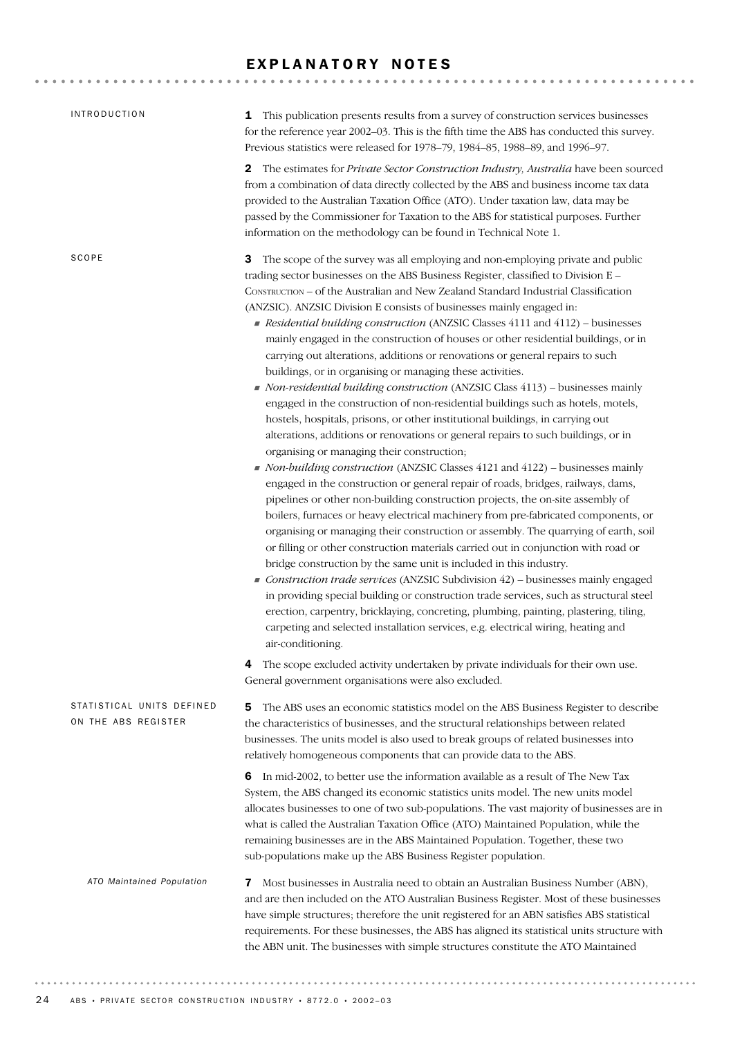## EXPLANATORY NOTES

| <b>INTRODUCTION</b>                              | <b>1</b> This publication presents results from a survey of construction services businesses<br>for the reference year 2002-03. This is the fifth time the ABS has conducted this survey.<br>Previous statistics were released for 1978-79, 1984-85, 1988-89, and 1996-97.                                                                                                                                                                                                                                                                                                                                                                                                                                                                                                                                                                                                                                                                                                                                                                                                                                                                                                                                                                                                                                                                                                                                                                                                                                                                                                                                                                                                                                                                                                                                                                                                                                                                                                                                                                          |
|--------------------------------------------------|-----------------------------------------------------------------------------------------------------------------------------------------------------------------------------------------------------------------------------------------------------------------------------------------------------------------------------------------------------------------------------------------------------------------------------------------------------------------------------------------------------------------------------------------------------------------------------------------------------------------------------------------------------------------------------------------------------------------------------------------------------------------------------------------------------------------------------------------------------------------------------------------------------------------------------------------------------------------------------------------------------------------------------------------------------------------------------------------------------------------------------------------------------------------------------------------------------------------------------------------------------------------------------------------------------------------------------------------------------------------------------------------------------------------------------------------------------------------------------------------------------------------------------------------------------------------------------------------------------------------------------------------------------------------------------------------------------------------------------------------------------------------------------------------------------------------------------------------------------------------------------------------------------------------------------------------------------------------------------------------------------------------------------------------------------|
|                                                  | The estimates for <i>Private Sector Construction Industry</i> , Australia have been sourced<br>2<br>from a combination of data directly collected by the ABS and business income tax data<br>provided to the Australian Taxation Office (ATO). Under taxation law, data may be<br>passed by the Commissioner for Taxation to the ABS for statistical purposes. Further<br>information on the methodology can be found in Technical Note 1.                                                                                                                                                                                                                                                                                                                                                                                                                                                                                                                                                                                                                                                                                                                                                                                                                                                                                                                                                                                                                                                                                                                                                                                                                                                                                                                                                                                                                                                                                                                                                                                                          |
| SCOPE                                            | The scope of the survey was all employing and non-employing private and public<br>З<br>trading sector businesses on the ABS Business Register, classified to Division E -<br>CONSTRUCTION - of the Australian and New Zealand Standard Industrial Classification<br>(ANZSIC). ANZSIC Division E consists of businesses mainly engaged in:<br>Residential building construction (ANZSIC Classes 4111 and 4112) - businesses<br>mainly engaged in the construction of houses or other residential buildings, or in<br>carrying out alterations, additions or renovations or general repairs to such<br>buildings, or in organising or managing these activities.<br>Non-residential building construction (ANZSIC Class 4113) - businesses mainly<br>engaged in the construction of non-residential buildings such as hotels, motels,<br>hostels, hospitals, prisons, or other institutional buildings, in carrying out<br>alterations, additions or renovations or general repairs to such buildings, or in<br>organising or managing their construction;<br>Non-building construction (ANZSIC Classes 4121 and 4122) - businesses mainly<br>engaged in the construction or general repair of roads, bridges, railways, dams,<br>pipelines or other non-building construction projects, the on-site assembly of<br>boilers, furnaces or heavy electrical machinery from pre-fabricated components, or<br>organising or managing their construction or assembly. The quarrying of earth, soil<br>or filling or other construction materials carried out in conjunction with road or<br>bridge construction by the same unit is included in this industry.<br>■ <i>Construction trade services</i> (ANZSIC Subdivision $42$ ) – businesses mainly engaged<br>in providing special building or construction trade services, such as structural steel<br>erection, carpentry, bricklaying, concreting, plumbing, painting, plastering, tiling,<br>carpeting and selected installation services, e.g. electrical wiring, heating and<br>air-conditioning. |
|                                                  | The scope excluded activity undertaken by private individuals for their own use.<br>4<br>General government organisations were also excluded.                                                                                                                                                                                                                                                                                                                                                                                                                                                                                                                                                                                                                                                                                                                                                                                                                                                                                                                                                                                                                                                                                                                                                                                                                                                                                                                                                                                                                                                                                                                                                                                                                                                                                                                                                                                                                                                                                                       |
| STATISTICAL UNITS DEFINED<br>ON THE ABS REGISTER | The ABS uses an economic statistics model on the ABS Business Register to describe<br>5<br>the characteristics of businesses, and the structural relationships between related<br>businesses. The units model is also used to break groups of related businesses into<br>relatively homogeneous components that can provide data to the ABS.                                                                                                                                                                                                                                                                                                                                                                                                                                                                                                                                                                                                                                                                                                                                                                                                                                                                                                                                                                                                                                                                                                                                                                                                                                                                                                                                                                                                                                                                                                                                                                                                                                                                                                        |
|                                                  | 6 In mid-2002, to better use the information available as a result of The New Tax<br>System, the ABS changed its economic statistics units model. The new units model<br>allocates businesses to one of two sub-populations. The vast majority of businesses are in<br>what is called the Australian Taxation Office (ATO) Maintained Population, while the<br>remaining businesses are in the ABS Maintained Population. Together, these two<br>sub-populations make up the ABS Business Register population.                                                                                                                                                                                                                                                                                                                                                                                                                                                                                                                                                                                                                                                                                                                                                                                                                                                                                                                                                                                                                                                                                                                                                                                                                                                                                                                                                                                                                                                                                                                                      |
| ATO Maintained Population                        | Most businesses in Australia need to obtain an Australian Business Number (ABN),<br>7<br>and are then included on the ATO Australian Business Register. Most of these businesses<br>have simple structures; therefore the unit registered for an ABN satisfies ABS statistical<br>requirements. For these businesses, the ABS has aligned its statistical units structure with<br>the ABN unit. The businesses with simple structures constitute the ATO Maintained                                                                                                                                                                                                                                                                                                                                                                                                                                                                                                                                                                                                                                                                                                                                                                                                                                                                                                                                                                                                                                                                                                                                                                                                                                                                                                                                                                                                                                                                                                                                                                                 |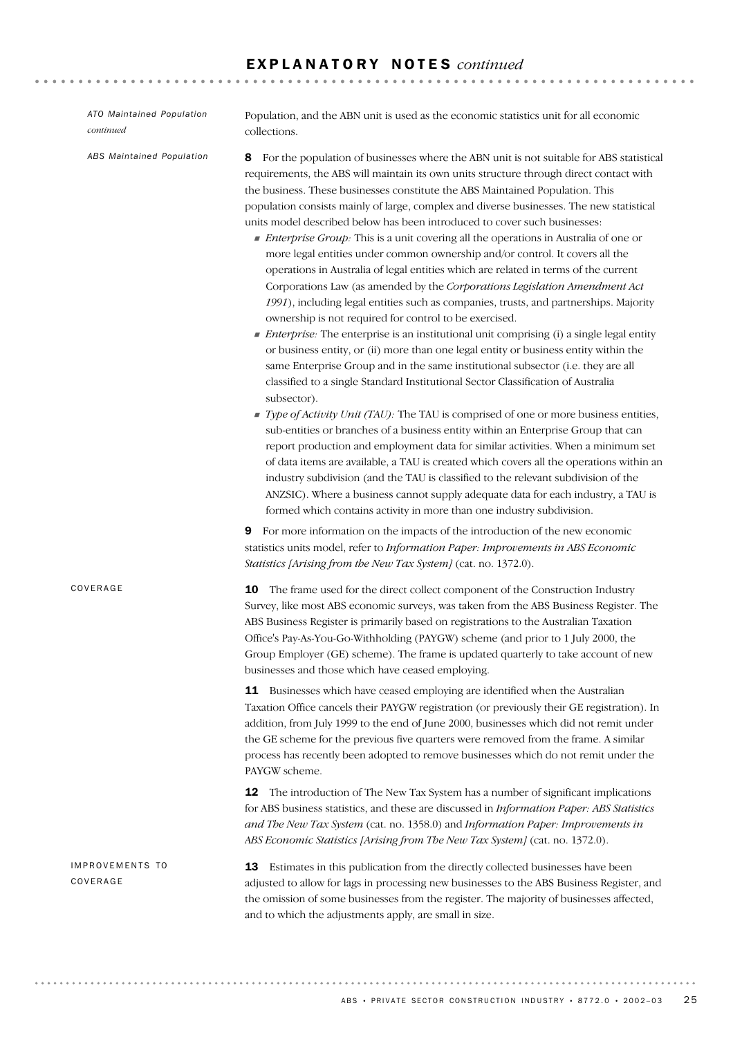*ATO Maintained Population continued*

Population, and the ABN unit is used as the economic statistics unit for all economic collections.

*ABS Maintained Population*

COVERAGE

COVERAGE

8 For the population of businesses where the ABN unit is not suitable for ABS statistical requirements, the ABS will maintain its own units structure through direct contact with the business. These businesses constitute the ABS Maintained Population. This population consists mainly of large, complex and diverse businesses. The new statistical units model described below has been introduced to cover such businesses:

- ! *Enterprise Group:* This is a unit covering all the operations in Australia of one or more legal entities under common ownership and/or control. It covers all the operations in Australia of legal entities which are related in terms of the current Corporations Law (as amended by the *Corporations Legislation Amendment Act 1991*), including legal entities such as companies, trusts, and partnerships. Majority ownership is not required for control to be exercised.
- ! *Enterprise:* The enterprise is an institutional unit comprising (i) a single legal entity or business entity, or (ii) more than one legal entity or business entity within the same Enterprise Group and in the same institutional subsector (i.e. they are all classified to a single Standard Institutional Sector Classification of Australia subsector).
- ! *Type of Activity Unit (TAU):* The TAU is comprised of one or more business entities, sub-entities or branches of a business entity within an Enterprise Group that can report production and employment data for similar activities. When a minimum set of data items are available, a TAU is created which covers all the operations within an industry subdivision (and the TAU is classified to the relevant subdivision of the ANZSIC). Where a business cannot supply adequate data for each industry, a TAU is formed which contains activity in more than one industry subdivision.

9 For more information on the impacts of the introduction of the new economic statistics units model, refer to *Information Paper: Improvements in ABS Economic Statistics [Arising from the New Tax System]* (cat. no. 1372.0).

**10** The frame used for the direct collect component of the Construction Industry Survey, like most ABS economic surveys, was taken from the ABS Business Register. The ABS Business Register is primarily based on registrations to the Australian Taxation Office's Pay-As-You-Go-Withholding (PAYGW) scheme (and prior to 1 July 2000, the Group Employer (GE) scheme). The frame is updated quarterly to take account of new businesses and those which have ceased employing.

> **11** Businesses which have ceased employing are identified when the Australian Taxation Office cancels their PAYGW registration (or previously their GE registration). In addition, from July 1999 to the end of June 2000, businesses which did not remit under the GE scheme for the previous five quarters were removed from the frame. A similar process has recently been adopted to remove businesses which do not remit under the PAYGW scheme.

**12** The introduction of The New Tax System has a number of significant implications for ABS business statistics, and these are discussed in *Information Paper: ABS Statistics and The New Tax System* (cat. no. 1358.0) and *Information Paper: Improvements in ABS Economic Statistics [Arising from The New Tax System]* (cat. no. 1372.0).

13 Estimates in this publication from the directly collected businesses have been adjusted to allow for lags in processing new businesses to the ABS Business Register, and the omission of some businesses from the register. The majority of businesses affected, and to which the adjustments apply, are small in size. IMPROVEMENTS TO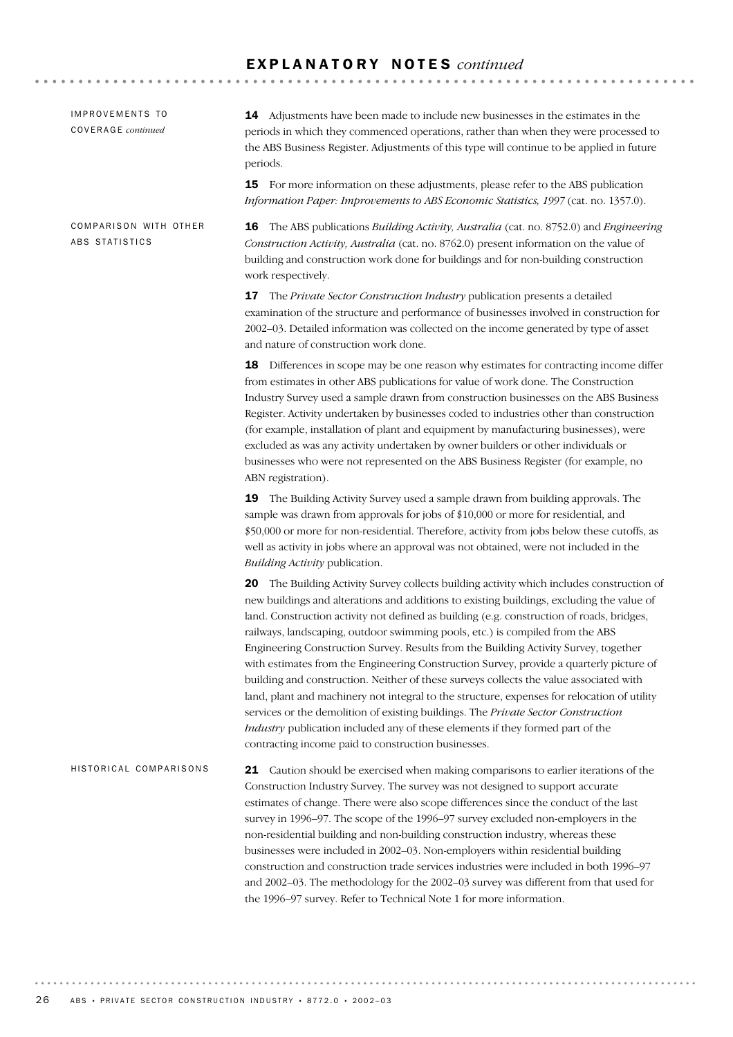| <b>IMPROVEMENTS TO</b><br>COVERAGE continued | 14 Adjustments have been made to include new businesses in the estimates in the<br>periods in which they commenced operations, rather than when they were processed to<br>the ABS Business Register. Adjustments of this type will continue to be applied in future<br>periods.                                                                                                                                                                                                                                                                                                                                                                                                                                                                                                                                                                                                                                                                                                   |
|----------------------------------------------|-----------------------------------------------------------------------------------------------------------------------------------------------------------------------------------------------------------------------------------------------------------------------------------------------------------------------------------------------------------------------------------------------------------------------------------------------------------------------------------------------------------------------------------------------------------------------------------------------------------------------------------------------------------------------------------------------------------------------------------------------------------------------------------------------------------------------------------------------------------------------------------------------------------------------------------------------------------------------------------|
|                                              | For more information on these adjustments, please refer to the ABS publication<br>15<br>Information Paper: Improvements to ABS Economic Statistics, 1997 (cat. no. 1357.0).                                                                                                                                                                                                                                                                                                                                                                                                                                                                                                                                                                                                                                                                                                                                                                                                       |
| COMPARISON WITH OTHER<br>ABS STATISTICS      | The ABS publications <i>Building Activity, Australia</i> (cat. no. 8752.0) and <i>Engineering</i><br>16<br>Construction Activity, Australia (cat. no. 8762.0) present information on the value of<br>building and construction work done for buildings and for non-building construction<br>work respectively.                                                                                                                                                                                                                                                                                                                                                                                                                                                                                                                                                                                                                                                                    |
|                                              | The Private Sector Construction Industry publication presents a detailed<br>17<br>examination of the structure and performance of businesses involved in construction for<br>2002-03. Detailed information was collected on the income generated by type of asset<br>and nature of construction work done.                                                                                                                                                                                                                                                                                                                                                                                                                                                                                                                                                                                                                                                                        |
|                                              | <b>18</b> Differences in scope may be one reason why estimates for contracting income differ<br>from estimates in other ABS publications for value of work done. The Construction<br>Industry Survey used a sample drawn from construction businesses on the ABS Business<br>Register. Activity undertaken by businesses coded to industries other than construction<br>(for example, installation of plant and equipment by manufacturing businesses), were<br>excluded as was any activity undertaken by owner builders or other individuals or<br>businesses who were not represented on the ABS Business Register (for example, no<br>ABN registration).                                                                                                                                                                                                                                                                                                                      |
|                                              | The Building Activity Survey used a sample drawn from building approvals. The<br>19<br>sample was drawn from approvals for jobs of \$10,000 or more for residential, and<br>\$50,000 or more for non-residential. Therefore, activity from jobs below these cutoffs, as<br>well as activity in jobs where an approval was not obtained, were not included in the<br><b>Building Activity publication.</b>                                                                                                                                                                                                                                                                                                                                                                                                                                                                                                                                                                         |
|                                              | The Building Activity Survey collects building activity which includes construction of<br>20<br>new buildings and alterations and additions to existing buildings, excluding the value of<br>land. Construction activity not defined as building (e.g. construction of roads, bridges,<br>railways, landscaping, outdoor swimming pools, etc.) is compiled from the ABS<br>Engineering Construction Survey. Results from the Building Activity Survey, together<br>with estimates from the Engineering Construction Survey, provide a quarterly picture of<br>building and construction. Neither of these surveys collects the value associated with<br>land, plant and machinery not integral to the structure, expenses for relocation of utility<br>services or the demolition of existing buildings. The Private Sector Construction<br>Industry publication included any of these elements if they formed part of the<br>contracting income paid to construction businesses. |
| HISTORICAL COMPARISONS                       | Caution should be exercised when making comparisons to earlier iterations of the<br>21<br>Construction Industry Survey. The survey was not designed to support accurate<br>estimates of change. There were also scope differences since the conduct of the last<br>survey in 1996-97. The scope of the 1996-97 survey excluded non-employers in the<br>non-residential building and non-building construction industry, whereas these<br>businesses were included in 2002-03. Non-employers within residential building<br>construction and construction trade services industries were included in both 1996-97<br>and 2002-03. The methodology for the 2002-03 survey was different from that used for<br>the 1996-97 survey. Refer to Technical Note 1 for more information.                                                                                                                                                                                                   |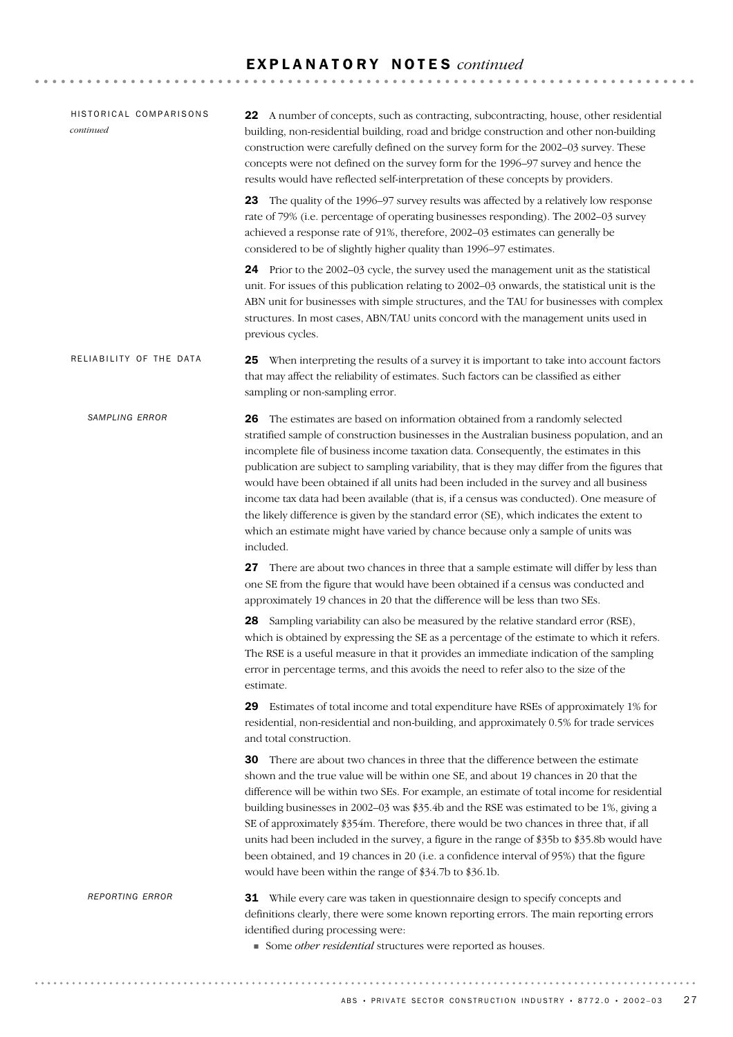| HISTORICAL COMPARISONS<br>continued | 22 A number of concepts, such as contracting, subcontracting, house, other residential<br>building, non-residential building, road and bridge construction and other non-building<br>construction were carefully defined on the survey form for the 2002-03 survey. These<br>concepts were not defined on the survey form for the 1996-97 survey and hence the<br>results would have reflected self-interpretation of these concepts by providers.                                                                                                                                                                                                                                                                                                            |  |  |  |  |  |  |  |
|-------------------------------------|---------------------------------------------------------------------------------------------------------------------------------------------------------------------------------------------------------------------------------------------------------------------------------------------------------------------------------------------------------------------------------------------------------------------------------------------------------------------------------------------------------------------------------------------------------------------------------------------------------------------------------------------------------------------------------------------------------------------------------------------------------------|--|--|--|--|--|--|--|
|                                     | The quality of the 1996–97 survey results was affected by a relatively low response<br>23<br>rate of 79% (i.e. percentage of operating businesses responding). The 2002-03 survey<br>achieved a response rate of 91%, therefore, 2002-03 estimates can generally be<br>considered to be of slightly higher quality than 1996-97 estimates.                                                                                                                                                                                                                                                                                                                                                                                                                    |  |  |  |  |  |  |  |
|                                     | 24 Prior to the 2002-03 cycle, the survey used the management unit as the statistical<br>unit. For issues of this publication relating to 2002-03 onwards, the statistical unit is the<br>ABN unit for businesses with simple structures, and the TAU for businesses with complex<br>structures. In most cases, ABN/TAU units concord with the management units used in<br>previous cycles.                                                                                                                                                                                                                                                                                                                                                                   |  |  |  |  |  |  |  |
| RELIABILITY OF THE DATA             | <b>25</b> When interpreting the results of a survey it is important to take into account factors<br>that may affect the reliability of estimates. Such factors can be classified as either<br>sampling or non-sampling error.                                                                                                                                                                                                                                                                                                                                                                                                                                                                                                                                 |  |  |  |  |  |  |  |
| SAMPLING ERROR                      | <b>26</b> The estimates are based on information obtained from a randomly selected<br>stratified sample of construction businesses in the Australian business population, and an<br>incomplete file of business income taxation data. Consequently, the estimates in this<br>publication are subject to sampling variability, that is they may differ from the figures that<br>would have been obtained if all units had been included in the survey and all business<br>income tax data had been available (that is, if a census was conducted). One measure of<br>the likely difference is given by the standard error (SE), which indicates the extent to<br>which an estimate might have varied by chance because only a sample of units was<br>included. |  |  |  |  |  |  |  |
|                                     | 27<br>There are about two chances in three that a sample estimate will differ by less than<br>one SE from the figure that would have been obtained if a census was conducted and<br>approximately 19 chances in 20 that the difference will be less than two SEs.                                                                                                                                                                                                                                                                                                                                                                                                                                                                                             |  |  |  |  |  |  |  |
|                                     | Sampling variability can also be measured by the relative standard error (RSE),<br>28<br>which is obtained by expressing the SE as a percentage of the estimate to which it refers.<br>The RSE is a useful measure in that it provides an immediate indication of the sampling<br>error in percentage terms, and this avoids the need to refer also to the size of the<br>estimate.                                                                                                                                                                                                                                                                                                                                                                           |  |  |  |  |  |  |  |
|                                     | 29 Estimates of total income and total expenditure have RSEs of approximately 1% for<br>residential, non-residential and non-building, and approximately 0.5% for trade services<br>and total construction.                                                                                                                                                                                                                                                                                                                                                                                                                                                                                                                                                   |  |  |  |  |  |  |  |
|                                     | <b>30</b> There are about two chances in three that the difference between the estimate<br>shown and the true value will be within one SE, and about 19 chances in 20 that the<br>difference will be within two SEs. For example, an estimate of total income for residential<br>building businesses in 2002-03 was \$35.4b and the RSE was estimated to be 1%, giving a<br>SE of approximately \$354m. Therefore, there would be two chances in three that, if all<br>units had been included in the survey, a figure in the range of \$35b to \$35.8b would have<br>been obtained, and 19 chances in 20 (i.e. a confidence interval of 95%) that the figure<br>would have been within the range of \$34.7b to \$36.1b.                                      |  |  |  |  |  |  |  |
| REPORTING ERROR                     | 31 While every care was taken in questionnaire design to specify concepts and<br>definitions clearly, there were some known reporting errors. The main reporting errors<br>identified during processing were:<br>Some other residential structures were reported as houses.                                                                                                                                                                                                                                                                                                                                                                                                                                                                                   |  |  |  |  |  |  |  |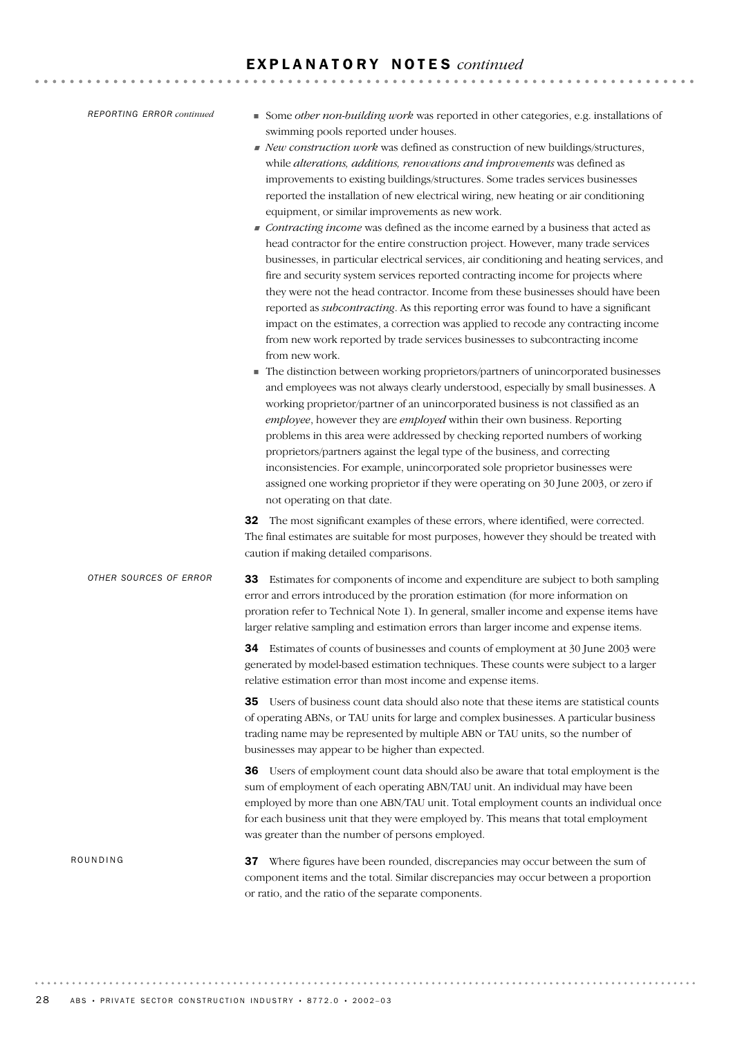**\*\*\*\*\*\*\*\*\*\*\*\*\*\*\*\*\*\*\***\*

**37** Where figures have been rounded, discrepancies may occur between the sum of ROUNDING 33 Estimates for components of income and expenditure are subject to both sampling error and errors introduced by the proration estimation (for more information on proration refer to Technical Note 1). In general, smaller income and expense items have larger relative sampling and estimation errors than larger income and expense items. 34 Estimates of counts of businesses and counts of employment at 30 June 2003 were generated by model-based estimation techniques. These counts were subject to a larger relative estimation error than most income and expense items. **35** Users of business count data should also note that these items are statistical counts of operating ABNs, or TAU units for large and complex businesses. A particular business trading name may be represented by multiple ABN or TAU units, so the number of businesses may appear to be higher than expected. 36 Users of employment count data should also be aware that total employment is the sum of employment of each operating ABN/TAU unit. An individual may have been employed by more than one ABN/TAU unit. Total employment counts an individual once for each business unit that they were employed by. This means that total employment was greater than the number of persons employed. *OTHER SOURCES OF ERROR* ! Some *other non-building work* was reported in other categories, e.g. installations of swimming pools reported under houses. ! *New construction work* was defined as construction of new buildings/structures, while *alterations, additions, renovations and improvements* was defined as improvements to existing buildings/structures. Some trades services businesses reported the installation of new electrical wiring, new heating or air conditioning equipment, or similar improvements as new work. ! *Contracting income* was defined as the income earned by a business that acted as head contractor for the entire construction project. However, many trade services businesses, in particular electrical services, air conditioning and heating services, and fire and security system services reported contracting income for projects where they were not the head contractor. Income from these businesses should have been reported as *subcontracting*. As this reporting error was found to have a significant impact on the estimates, a correction was applied to recode any contracting income from new work reported by trade services businesses to subcontracting income from new work. ! The distinction between working proprietors/partners of unincorporated businesses and employees was not always clearly understood, especially by small businesses. A working proprietor/partner of an unincorporated business is not classified as an *employee*, however they are *employed* within their own business. Reporting problems in this area were addressed by checking reported numbers of working proprietors/partners against the legal type of the business, and correcting inconsistencies. For example, unincorporated sole proprietor businesses were assigned one working proprietor if they were operating on 30 June 2003, or zero if not operating on that date. 32 The most significant examples of these errors, where identified, were corrected. The final estimates are suitable for most purposes, however they should be treated with caution if making detailed comparisons. *REPORTING ERROR continued*

or ratio, and the ratio of the separate components.

component items and the total. Similar discrepancies may occur between a proportion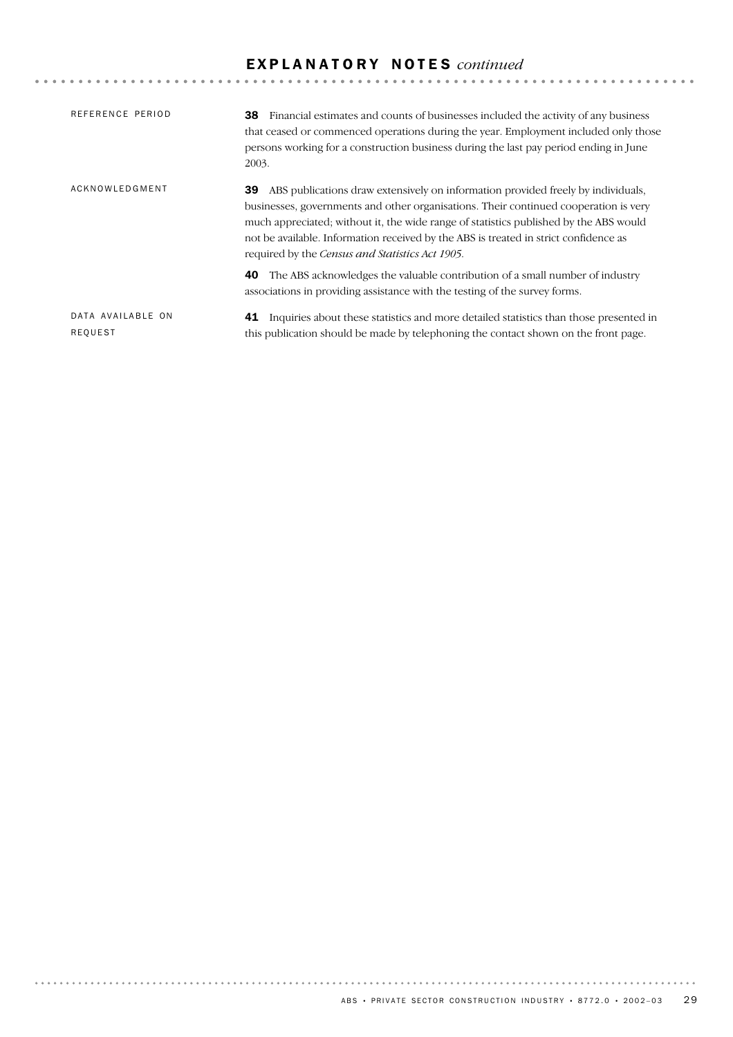| REFERENCE PERIOD             | <b>38</b> Financial estimates and counts of businesses included the activity of any business<br>that ceased or commenced operations during the year. Employment included only those<br>persons working for a construction business during the last pay period ending in June<br>2003.                                                                                                                                  |
|------------------------------|------------------------------------------------------------------------------------------------------------------------------------------------------------------------------------------------------------------------------------------------------------------------------------------------------------------------------------------------------------------------------------------------------------------------|
| ACKNOWLEDGMENT               | <b>39</b> ABS publications draw extensively on information provided freely by individuals,<br>businesses, governments and other organisations. Their continued cooperation is very<br>much appreciated; without it, the wide range of statistics published by the ABS would<br>not be available. Information received by the ABS is treated in strict confidence as<br>required by the Census and Statistics Act 1905. |
|                              | The ABS acknowledges the valuable contribution of a small number of industry<br>40<br>associations in providing assistance with the testing of the survey forms.                                                                                                                                                                                                                                                       |
| DATA AVAILABLE ON<br>REQUEST | Inquiries about these statistics and more detailed statistics than those presented in<br>41<br>this publication should be made by telephoning the contact shown on the front page.                                                                                                                                                                                                                                     |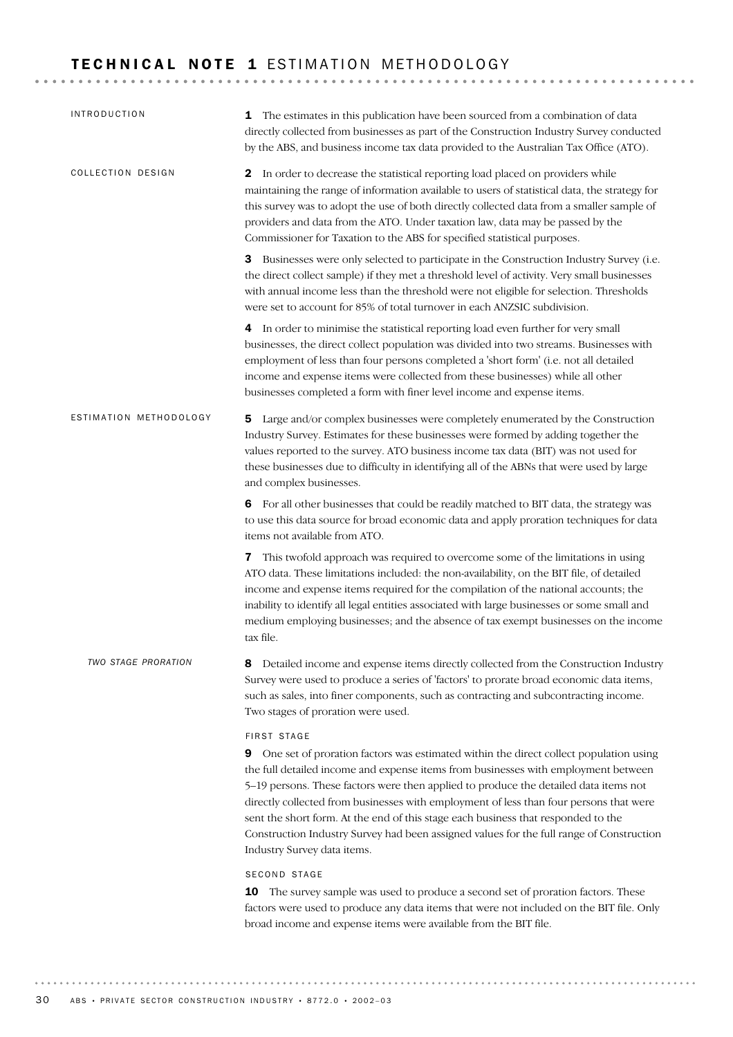## TECHNICAL NOTE 1 ESTIMATION METHODOLOGY

| <b>INTRODUCTION</b>        | 1 The estimates in this publication have been sourced from a combination of data<br>directly collected from businesses as part of the Construction Industry Survey conducted<br>by the ABS, and business income tax data provided to the Australian Tax Office (ATO).                                                                                                                                                                                                                                                                                                           |
|----------------------------|---------------------------------------------------------------------------------------------------------------------------------------------------------------------------------------------------------------------------------------------------------------------------------------------------------------------------------------------------------------------------------------------------------------------------------------------------------------------------------------------------------------------------------------------------------------------------------|
| COLLECTION DESIGN          | 2 In order to decrease the statistical reporting load placed on providers while<br>maintaining the range of information available to users of statistical data, the strategy for<br>this survey was to adopt the use of both directly collected data from a smaller sample of<br>providers and data from the ATO. Under taxation law, data may be passed by the<br>Commissioner for Taxation to the ABS for specified statistical purposes.                                                                                                                                     |
|                            | 3 Businesses were only selected to participate in the Construction Industry Survey (i.e.<br>the direct collect sample) if they met a threshold level of activity. Very small businesses<br>with annual income less than the threshold were not eligible for selection. Thresholds<br>were set to account for 85% of total turnover in each ANZSIC subdivision.                                                                                                                                                                                                                  |
|                            | 4 In order to minimise the statistical reporting load even further for very small<br>businesses, the direct collect population was divided into two streams. Businesses with<br>employment of less than four persons completed a 'short form' (i.e. not all detailed<br>income and expense items were collected from these businesses) while all other<br>businesses completed a form with finer level income and expense items.                                                                                                                                                |
| ESTIMATION METHODOLOGY     | 5 Large and/or complex businesses were completely enumerated by the Construction<br>Industry Survey. Estimates for these businesses were formed by adding together the<br>values reported to the survey. ATO business income tax data (BIT) was not used for<br>these businesses due to difficulty in identifying all of the ABNs that were used by large<br>and complex businesses.                                                                                                                                                                                            |
|                            | For all other businesses that could be readily matched to BIT data, the strategy was<br>6<br>to use this data source for broad economic data and apply proration techniques for data<br>items not available from ATO.                                                                                                                                                                                                                                                                                                                                                           |
|                            | This twofold approach was required to overcome some of the limitations in using<br>$\mathbf{7}$<br>ATO data. These limitations included: the non-availability, on the BIT file, of detailed<br>income and expense items required for the compilation of the national accounts; the<br>inability to identify all legal entities associated with large businesses or some small and<br>medium employing businesses; and the absence of tax exempt businesses on the income<br>tax file.                                                                                           |
| <b>TWO STAGE PRORATION</b> | 8 Detailed income and expense items directly collected from the Construction Industry<br>Survey were used to produce a series of 'factors' to prorate broad economic data items,<br>such as sales, into finer components, such as contracting and subcontracting income.<br>Two stages of proration were used.                                                                                                                                                                                                                                                                  |
|                            | <b>FIRST STAGE</b>                                                                                                                                                                                                                                                                                                                                                                                                                                                                                                                                                              |
|                            | 9 One set of proration factors was estimated within the direct collect population using<br>the full detailed income and expense items from businesses with employment between<br>5-19 persons. These factors were then applied to produce the detailed data items not<br>directly collected from businesses with employment of less than four persons that were<br>sent the short form. At the end of this stage each business that responded to the<br>Construction Industry Survey had been assigned values for the full range of Construction<br>Industry Survey data items. |
|                            | SECOND STAGE                                                                                                                                                                                                                                                                                                                                                                                                                                                                                                                                                                    |
|                            | The survey sample was used to produce a second set of proration factors. These<br>10<br>factors were used to produce any data items that were not included on the BIT file. Only<br>broad income and expense items were available from the BIT file.                                                                                                                                                                                                                                                                                                                            |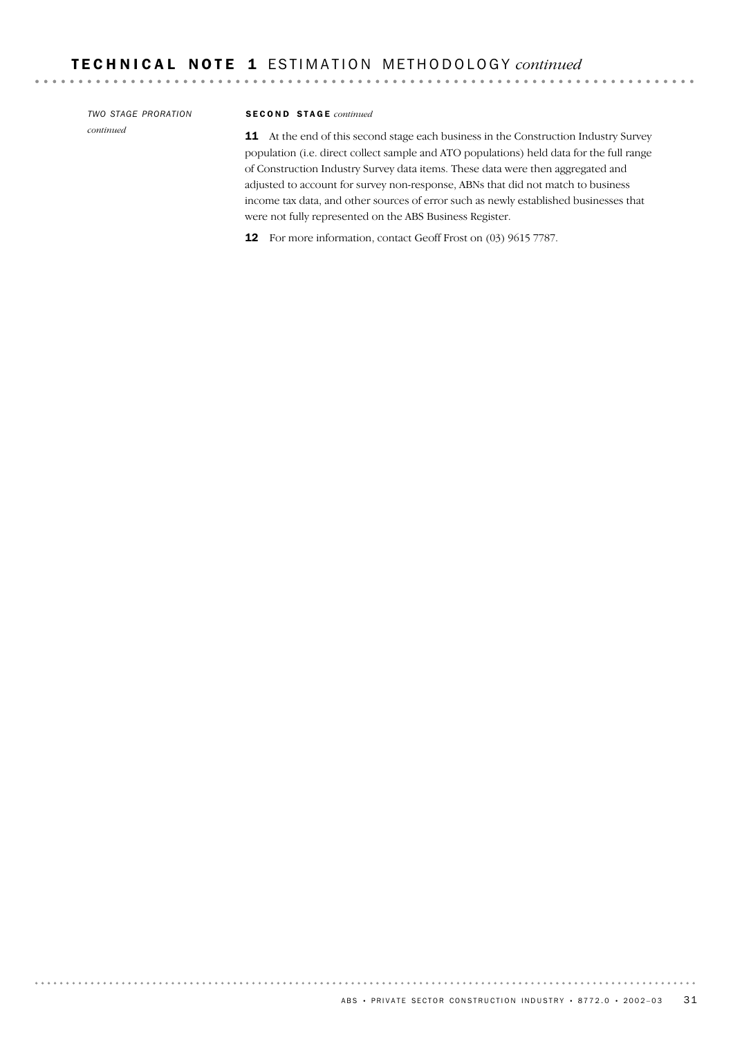*TWO STAGE PRORATION continued*

 $\sim$   $\sim$   $\sim$ 

#### S E C O N D S T A G E *continued*

11 At the end of this second stage each business in the Construction Industry Survey population (i.e. direct collect sample and ATO populations) held data for the full range of Construction Industry Survey data items. These data were then aggregated and adjusted to account for survey non-response, ABNs that did not match to business income tax data, and other sources of error such as newly established businesses that were not fully represented on the ABS Business Register.

12 For more information, contact Geoff Frost on (03) 9615 7787.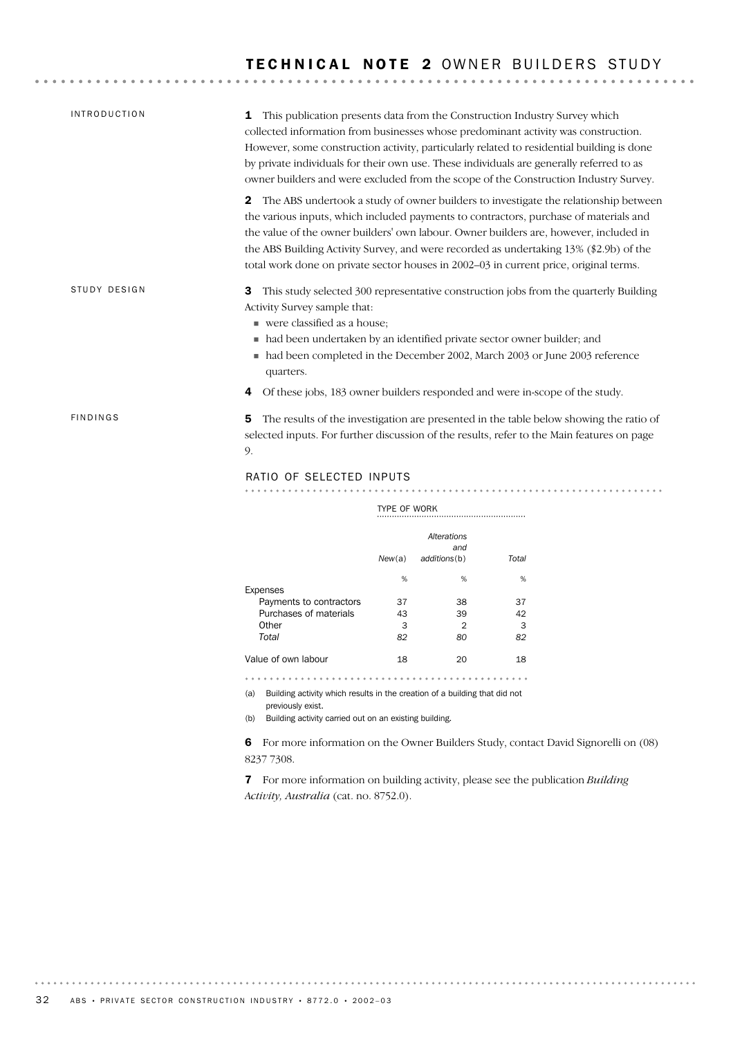| <b>INTRODUCTION</b> | <b>1</b> This publication presents data from the Construction Industry Survey which<br>collected information from businesses whose predominant activity was construction.<br>However, some construction activity, particularly related to residential building is done<br>by private individuals for their own use. These individuals are generally referred to as<br>owner builders and were excluded from the scope of the Construction Industry Survey.    |              |                    |       |  |
|---------------------|---------------------------------------------------------------------------------------------------------------------------------------------------------------------------------------------------------------------------------------------------------------------------------------------------------------------------------------------------------------------------------------------------------------------------------------------------------------|--------------|--------------------|-------|--|
|                     | The ABS undertook a study of owner builders to investigate the relationship between<br>2<br>the various inputs, which included payments to contractors, purchase of materials and<br>the value of the owner builders' own labour. Owner builders are, however, included in<br>the ABS Building Activity Survey, and were recorded as undertaking 13% (\$2.9b) of the<br>total work done on private sector houses in 2002-03 in current price, original terms. |              |                    |       |  |
| STUDY DESIGN        | This study selected 300 representative construction jobs from the quarterly Building<br>3<br>Activity Survey sample that:<br>were classified as a house;<br>• had been undertaken by an identified private sector owner builder; and<br>nad been completed in the December 2002, March 2003 or June 2003 reference<br>quarters.                                                                                                                               |              |                    |       |  |
|                     | Of these jobs, 183 owner builders responded and were in-scope of the study.<br>4                                                                                                                                                                                                                                                                                                                                                                              |              |                    |       |  |
| <b>FINDINGS</b>     | The results of the investigation are presented in the table below showing the ratio of<br>5<br>selected inputs. For further discussion of the results, refer to the Main features on page<br>9.                                                                                                                                                                                                                                                               |              |                    |       |  |
|                     | RATIO OF SELECTED INPUTS                                                                                                                                                                                                                                                                                                                                                                                                                                      |              |                    |       |  |
|                     |                                                                                                                                                                                                                                                                                                                                                                                                                                                               |              |                    |       |  |
|                     |                                                                                                                                                                                                                                                                                                                                                                                                                                                               | TYPE OF WORK |                    |       |  |
|                     |                                                                                                                                                                                                                                                                                                                                                                                                                                                               |              | Alterations<br>and |       |  |
|                     |                                                                                                                                                                                                                                                                                                                                                                                                                                                               | New(a)       | additions(b)       | Total |  |
|                     | Expenses                                                                                                                                                                                                                                                                                                                                                                                                                                                      | %            | %                  | $\%$  |  |
|                     | Payments to contractors                                                                                                                                                                                                                                                                                                                                                                                                                                       | 37           | 38                 | 37    |  |
|                     | Purchases of materials                                                                                                                                                                                                                                                                                                                                                                                                                                        | 43           | 39                 | 42    |  |

Value of own labour 18 20 18 

*Total 82 80 82* Other 3 2 3

(a) Building activity which results in the creation of a building that did not previously exist.

(b) Building activity carried out on an existing building.

6 For more information on the Owner Builders Study, contact David Signorelli on (08) 8237 7308.

7 For more information on building activity, please see the publication *Building Activity, Australia* (cat. no. 8752.0).

. . . . . . . . .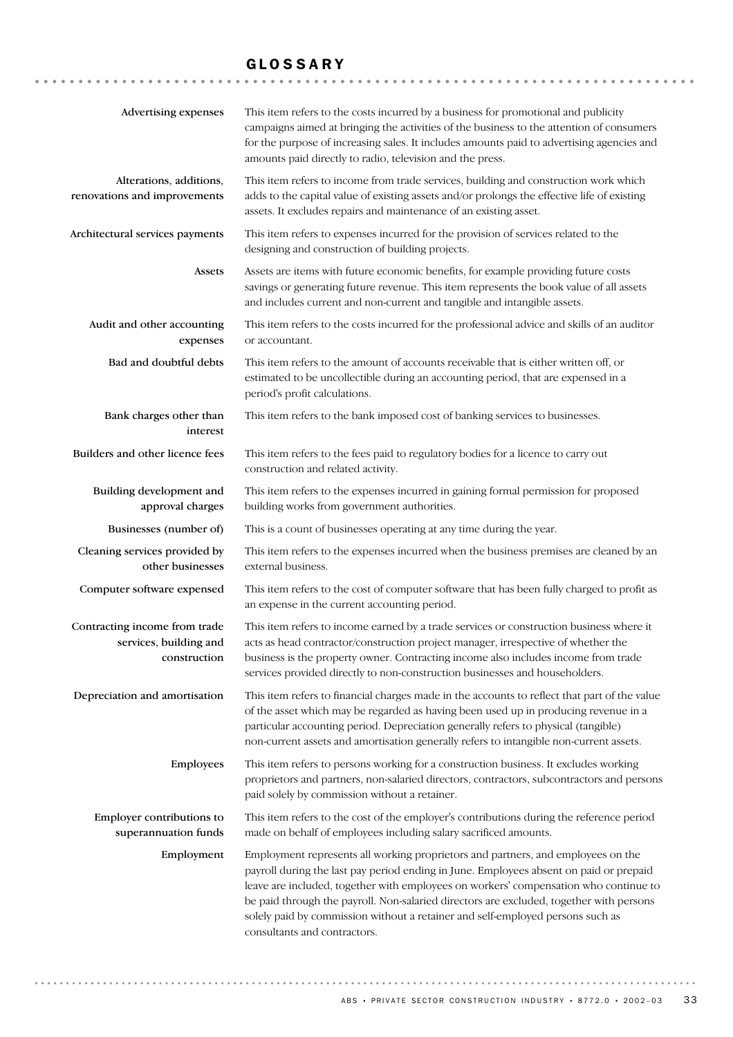## GLOSSARY

| Advertising expenses                                                    | This item refers to the costs incurred by a business for promotional and publicity<br>campaigns aimed at bringing the activities of the business to the attention of consumers<br>for the purpose of increasing sales. It includes amounts paid to advertising agencies and<br>amounts paid directly to radio, television and the press.                                                                                                                                        |
|-------------------------------------------------------------------------|---------------------------------------------------------------------------------------------------------------------------------------------------------------------------------------------------------------------------------------------------------------------------------------------------------------------------------------------------------------------------------------------------------------------------------------------------------------------------------|
| Alterations, additions,<br>renovations and improvements                 | This item refers to income from trade services, building and construction work which<br>adds to the capital value of existing assets and/or prolongs the effective life of existing<br>assets. It excludes repairs and maintenance of an existing asset.                                                                                                                                                                                                                        |
| Architectural services payments                                         | This item refers to expenses incurred for the provision of services related to the<br>designing and construction of building projects.                                                                                                                                                                                                                                                                                                                                          |
| Assets                                                                  | Assets are items with future economic benefits, for example providing future costs<br>savings or generating future revenue. This item represents the book value of all assets<br>and includes current and non-current and tangible and intangible assets.                                                                                                                                                                                                                       |
| Audit and other accounting<br>expenses                                  | This item refers to the costs incurred for the professional advice and skills of an auditor<br>or accountant.                                                                                                                                                                                                                                                                                                                                                                   |
| Bad and doubtful debts                                                  | This item refers to the amount of accounts receivable that is either written off, or<br>estimated to be uncollectible during an accounting period, that are expensed in a<br>period's profit calculations.                                                                                                                                                                                                                                                                      |
| Bank charges other than<br>interest                                     | This item refers to the bank imposed cost of banking services to businesses.                                                                                                                                                                                                                                                                                                                                                                                                    |
| Builders and other licence fees                                         | This item refers to the fees paid to regulatory bodies for a licence to carry out<br>construction and related activity.                                                                                                                                                                                                                                                                                                                                                         |
| Building development and<br>approval charges                            | This item refers to the expenses incurred in gaining formal permission for proposed<br>building works from government authorities.                                                                                                                                                                                                                                                                                                                                              |
| Businesses (number of)                                                  | This is a count of businesses operating at any time during the year.                                                                                                                                                                                                                                                                                                                                                                                                            |
| Cleaning services provided by<br>other businesses                       | This item refers to the expenses incurred when the business premises are cleaned by an<br>external business.                                                                                                                                                                                                                                                                                                                                                                    |
| Computer software expensed                                              | This item refers to the cost of computer software that has been fully charged to profit as<br>an expense in the current accounting period.                                                                                                                                                                                                                                                                                                                                      |
| Contracting income from trade<br>services, building and<br>construction | This item refers to income earned by a trade services or construction business where it<br>acts as head contractor/construction project manager, irrespective of whether the<br>business is the property owner. Contracting income also includes income from trade<br>services provided directly to non-construction businesses and householders.                                                                                                                               |
| Depreciation and amortisation                                           | This item refers to financial charges made in the accounts to reflect that part of the value<br>of the asset which may be regarded as having been used up in producing revenue in a<br>particular accounting period. Depreciation generally refers to physical (tangible)<br>non-current assets and amortisation generally refers to intangible non-current assets.                                                                                                             |
| Employees                                                               | This item refers to persons working for a construction business. It excludes working<br>proprietors and partners, non-salaried directors, contractors, subcontractors and persons<br>paid solely by commission without a retainer.                                                                                                                                                                                                                                              |
| Employer contributions to<br>superannuation funds                       | This item refers to the cost of the employer's contributions during the reference period<br>made on behalf of employees including salary sacrificed amounts.                                                                                                                                                                                                                                                                                                                    |
| Employment                                                              | Employment represents all working proprietors and partners, and employees on the<br>payroll during the last pay period ending in June. Employees absent on paid or prepaid<br>leave are included, together with employees on workers' compensation who continue to<br>be paid through the payroll. Non-salaried directors are excluded, together with persons<br>solely paid by commission without a retainer and self-employed persons such as<br>consultants and contractors. |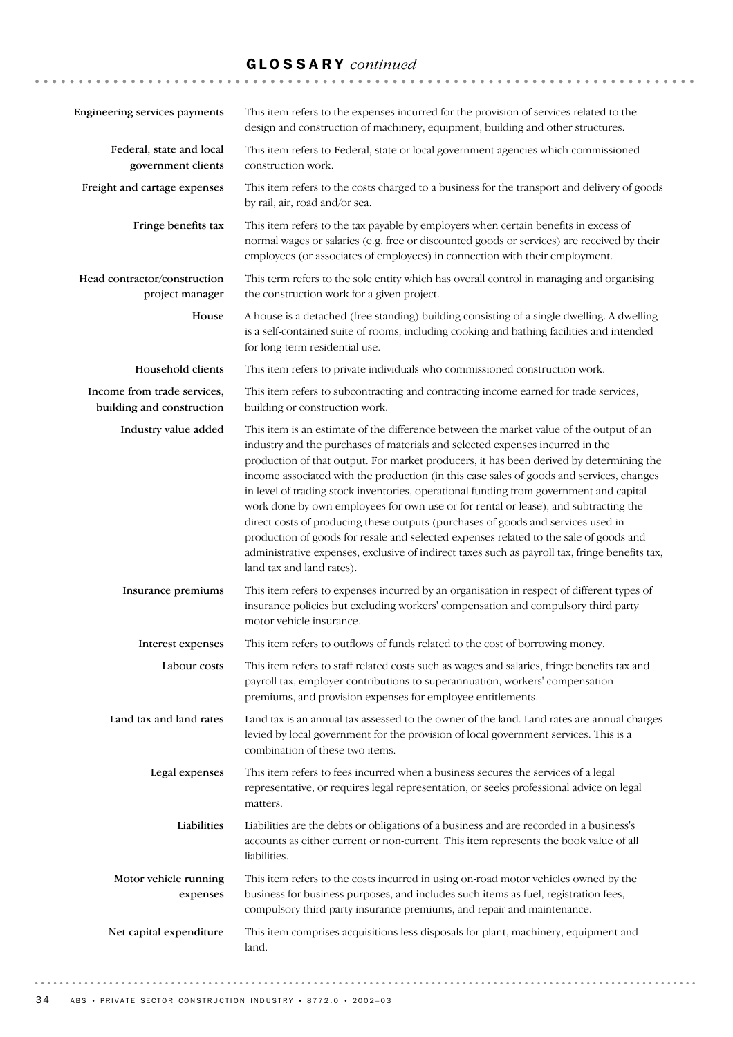| Engineering services payments                            | This item refers to the expenses incurred for the provision of services related to the<br>design and construction of machinery, equipment, building and other structures.                                                                                                                                                                                                                                                                                                                                                                                                                                                                                                                                                                                                                                                                                    |
|----------------------------------------------------------|--------------------------------------------------------------------------------------------------------------------------------------------------------------------------------------------------------------------------------------------------------------------------------------------------------------------------------------------------------------------------------------------------------------------------------------------------------------------------------------------------------------------------------------------------------------------------------------------------------------------------------------------------------------------------------------------------------------------------------------------------------------------------------------------------------------------------------------------------------------|
| Federal, state and local<br>government clients           | This item refers to Federal, state or local government agencies which commissioned<br>construction work.                                                                                                                                                                                                                                                                                                                                                                                                                                                                                                                                                                                                                                                                                                                                                     |
| Freight and cartage expenses                             | This item refers to the costs charged to a business for the transport and delivery of goods<br>by rail, air, road and/or sea.                                                                                                                                                                                                                                                                                                                                                                                                                                                                                                                                                                                                                                                                                                                                |
| Fringe benefits tax                                      | This item refers to the tax payable by employers when certain benefits in excess of<br>normal wages or salaries (e.g. free or discounted goods or services) are received by their<br>employees (or associates of employees) in connection with their employment.                                                                                                                                                                                                                                                                                                                                                                                                                                                                                                                                                                                             |
| Head contractor/construction<br>project manager          | This term refers to the sole entity which has overall control in managing and organising<br>the construction work for a given project.                                                                                                                                                                                                                                                                                                                                                                                                                                                                                                                                                                                                                                                                                                                       |
| House                                                    | A house is a detached (free standing) building consisting of a single dwelling. A dwelling<br>is a self-contained suite of rooms, including cooking and bathing facilities and intended<br>for long-term residential use.                                                                                                                                                                                                                                                                                                                                                                                                                                                                                                                                                                                                                                    |
| Household clients                                        | This item refers to private individuals who commissioned construction work.                                                                                                                                                                                                                                                                                                                                                                                                                                                                                                                                                                                                                                                                                                                                                                                  |
| Income from trade services,<br>building and construction | This item refers to subcontracting and contracting income earned for trade services,<br>building or construction work.                                                                                                                                                                                                                                                                                                                                                                                                                                                                                                                                                                                                                                                                                                                                       |
| Industry value added                                     | This item is an estimate of the difference between the market value of the output of an<br>industry and the purchases of materials and selected expenses incurred in the<br>production of that output. For market producers, it has been derived by determining the<br>income associated with the production (in this case sales of goods and services, changes<br>in level of trading stock inventories, operational funding from government and capital<br>work done by own employees for own use or for rental or lease), and subtracting the<br>direct costs of producing these outputs (purchases of goods and services used in<br>production of goods for resale and selected expenses related to the sale of goods and<br>administrative expenses, exclusive of indirect taxes such as payroll tax, fringe benefits tax,<br>land tax and land rates). |
| Insurance premiums                                       | This item refers to expenses incurred by an organisation in respect of different types of<br>insurance policies but excluding workers' compensation and compulsory third party<br>motor vehicle insurance.                                                                                                                                                                                                                                                                                                                                                                                                                                                                                                                                                                                                                                                   |
| Interest expenses                                        | This item refers to outflows of funds related to the cost of borrowing money.                                                                                                                                                                                                                                                                                                                                                                                                                                                                                                                                                                                                                                                                                                                                                                                |
| Labour costs                                             | This item refers to staff related costs such as wages and salaries, fringe benefits tax and<br>payroll tax, employer contributions to superannuation, workers' compensation<br>premiums, and provision expenses for employee entitlements.                                                                                                                                                                                                                                                                                                                                                                                                                                                                                                                                                                                                                   |
| Land tax and land rates                                  | Land tax is an annual tax assessed to the owner of the land. Land rates are annual charges<br>levied by local government for the provision of local government services. This is a<br>combination of these two items.                                                                                                                                                                                                                                                                                                                                                                                                                                                                                                                                                                                                                                        |
| Legal expenses                                           | This item refers to fees incurred when a business secures the services of a legal<br>representative, or requires legal representation, or seeks professional advice on legal<br>matters.                                                                                                                                                                                                                                                                                                                                                                                                                                                                                                                                                                                                                                                                     |
| Liabilities                                              | Liabilities are the debts or obligations of a business and are recorded in a business's<br>accounts as either current or non-current. This item represents the book value of all<br>liabilities.                                                                                                                                                                                                                                                                                                                                                                                                                                                                                                                                                                                                                                                             |
| Motor vehicle running<br>expenses                        | This item refers to the costs incurred in using on-road motor vehicles owned by the<br>business for business purposes, and includes such items as fuel, registration fees,<br>compulsory third-party insurance premiums, and repair and maintenance.                                                                                                                                                                                                                                                                                                                                                                                                                                                                                                                                                                                                         |
| Net capital expenditure                                  | This item comprises acquisitions less disposals for plant, machinery, equipment and<br>land.                                                                                                                                                                                                                                                                                                                                                                                                                                                                                                                                                                                                                                                                                                                                                                 |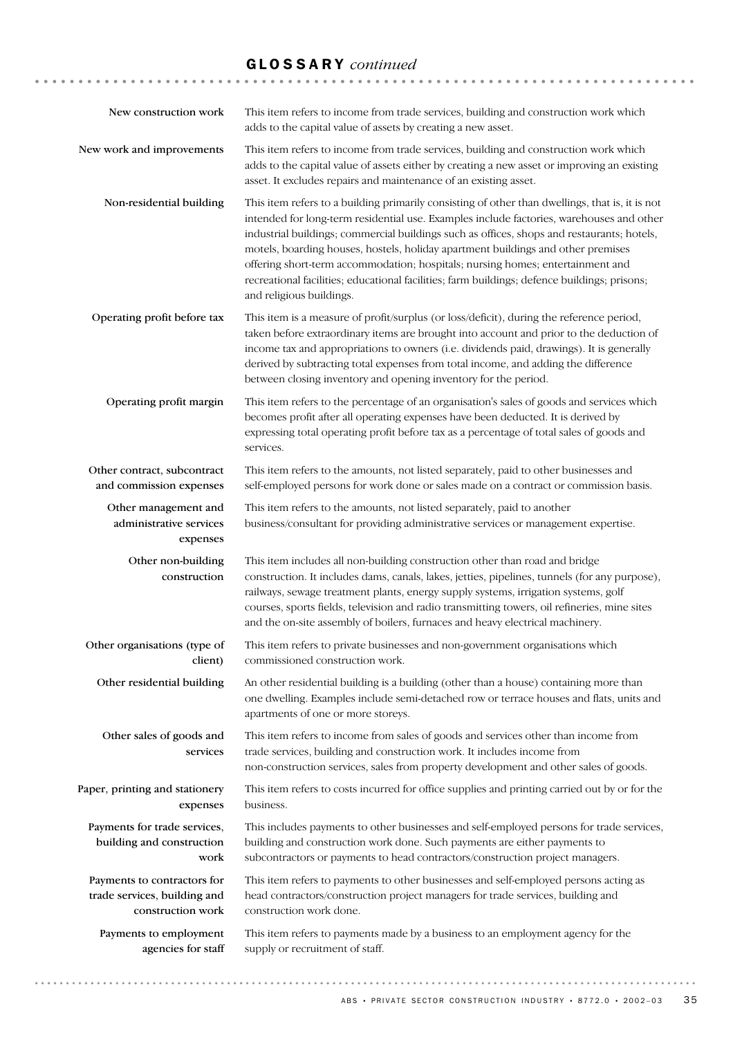| New construction work                                                            | This item refers to income from trade services, building and construction work which<br>adds to the capital value of assets by creating a new asset.                                                                                                                                                                                                                                                                                                                                                                                                                                        |
|----------------------------------------------------------------------------------|---------------------------------------------------------------------------------------------------------------------------------------------------------------------------------------------------------------------------------------------------------------------------------------------------------------------------------------------------------------------------------------------------------------------------------------------------------------------------------------------------------------------------------------------------------------------------------------------|
| New work and improvements                                                        | This item refers to income from trade services, building and construction work which<br>adds to the capital value of assets either by creating a new asset or improving an existing<br>asset. It excludes repairs and maintenance of an existing asset.                                                                                                                                                                                                                                                                                                                                     |
| Non-residential building                                                         | This item refers to a building primarily consisting of other than dwellings, that is, it is not<br>intended for long-term residential use. Examples include factories, warehouses and other<br>industrial buildings; commercial buildings such as offices, shops and restaurants; hotels,<br>motels, boarding houses, hostels, holiday apartment buildings and other premises<br>offering short-term accommodation; hospitals; nursing homes; entertainment and<br>recreational facilities; educational facilities; farm buildings; defence buildings; prisons;<br>and religious buildings. |
| Operating profit before tax                                                      | This item is a measure of profit/surplus (or loss/deficit), during the reference period,<br>taken before extraordinary items are brought into account and prior to the deduction of<br>income tax and appropriations to owners (i.e. dividends paid, drawings). It is generally<br>derived by subtracting total expenses from total income, and adding the difference<br>between closing inventory and opening inventory for the period.                                                                                                                                                    |
| Operating profit margin                                                          | This item refers to the percentage of an organisation's sales of goods and services which<br>becomes profit after all operating expenses have been deducted. It is derived by<br>expressing total operating profit before tax as a percentage of total sales of goods and<br>services.                                                                                                                                                                                                                                                                                                      |
| Other contract, subcontract<br>and commission expenses                           | This item refers to the amounts, not listed separately, paid to other businesses and<br>self-employed persons for work done or sales made on a contract or commission basis.                                                                                                                                                                                                                                                                                                                                                                                                                |
| Other management and<br>administrative services<br>expenses                      | This item refers to the amounts, not listed separately, paid to another<br>business/consultant for providing administrative services or management expertise.                                                                                                                                                                                                                                                                                                                                                                                                                               |
| Other non-building<br>construction                                               | This item includes all non-building construction other than road and bridge<br>construction. It includes dams, canals, lakes, jetties, pipelines, tunnels (for any purpose),<br>railways, sewage treatment plants, energy supply systems, irrigation systems, golf<br>courses, sports fields, television and radio transmitting towers, oil refineries, mine sites<br>and the on-site assembly of boilers, furnaces and heavy electrical machinery.                                                                                                                                         |
| Other organisations (type of<br>client)                                          | This item refers to private businesses and non-government organisations which<br>commissioned construction work.                                                                                                                                                                                                                                                                                                                                                                                                                                                                            |
| Other residential building                                                       | An other residential building is a building (other than a house) containing more than<br>one dwelling. Examples include semi-detached row or terrace houses and flats, units and<br>apartments of one or more storeys.                                                                                                                                                                                                                                                                                                                                                                      |
| Other sales of goods and<br>services                                             | This item refers to income from sales of goods and services other than income from<br>trade services, building and construction work. It includes income from<br>non-construction services, sales from property development and other sales of goods.                                                                                                                                                                                                                                                                                                                                       |
| Paper, printing and stationery<br>expenses                                       | This item refers to costs incurred for office supplies and printing carried out by or for the<br>business.                                                                                                                                                                                                                                                                                                                                                                                                                                                                                  |
| Payments for trade services,<br>building and construction<br>work                | This includes payments to other businesses and self-employed persons for trade services,<br>building and construction work done. Such payments are either payments to<br>subcontractors or payments to head contractors/construction project managers.                                                                                                                                                                                                                                                                                                                                      |
| Payments to contractors for<br>trade services, building and<br>construction work | This item refers to payments to other businesses and self-employed persons acting as<br>head contractors/construction project managers for trade services, building and<br>construction work done.                                                                                                                                                                                                                                                                                                                                                                                          |
| Payments to employment<br>agencies for staff                                     | This item refers to payments made by a business to an employment agency for the<br>supply or recruitment of staff.                                                                                                                                                                                                                                                                                                                                                                                                                                                                          |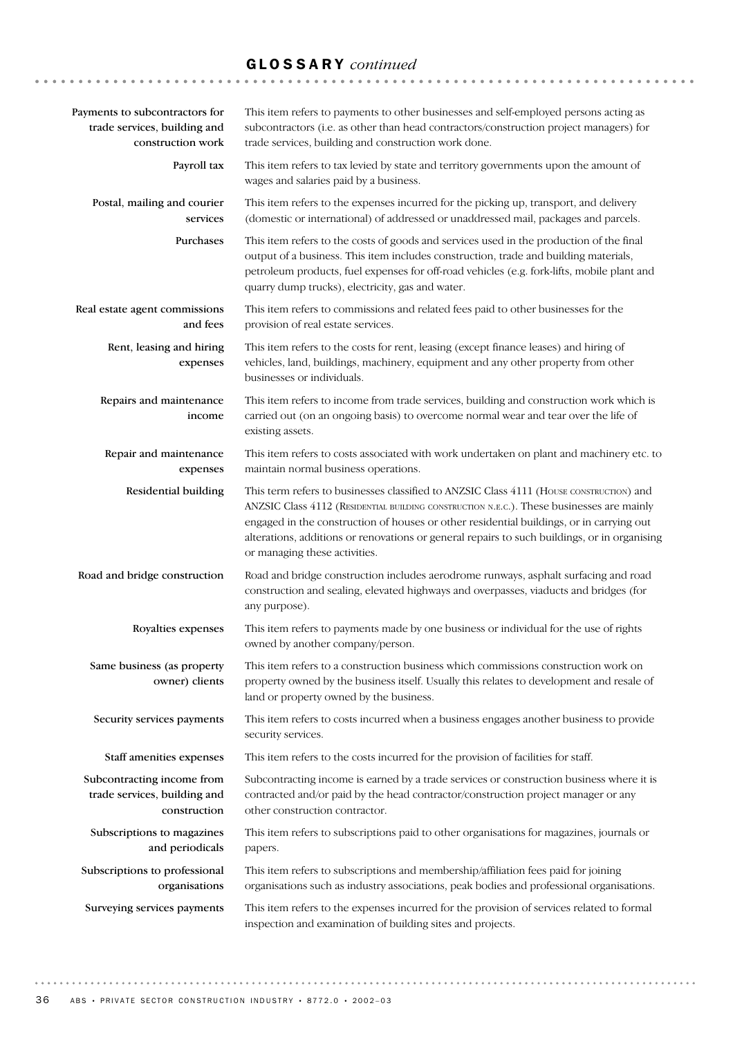| Payments to subcontractors for<br>trade services, building and<br>construction work | This item refers to payments to other businesses and self-employed persons acting as<br>subcontractors (i.e. as other than head contractors/construction project managers) for<br>trade services, building and construction work done.                                                                                                                                                                            |
|-------------------------------------------------------------------------------------|-------------------------------------------------------------------------------------------------------------------------------------------------------------------------------------------------------------------------------------------------------------------------------------------------------------------------------------------------------------------------------------------------------------------|
| Payroll tax                                                                         | This item refers to tax levied by state and territory governments upon the amount of<br>wages and salaries paid by a business.                                                                                                                                                                                                                                                                                    |
| Postal, mailing and courier<br>services                                             | This item refers to the expenses incurred for the picking up, transport, and delivery<br>(domestic or international) of addressed or unaddressed mail, packages and parcels.                                                                                                                                                                                                                                      |
| Purchases                                                                           | This item refers to the costs of goods and services used in the production of the final<br>output of a business. This item includes construction, trade and building materials,<br>petroleum products, fuel expenses for off-road vehicles (e.g. fork-lifts, mobile plant and<br>quarry dump trucks), electricity, gas and water.                                                                                 |
| Real estate agent commissions<br>and fees                                           | This item refers to commissions and related fees paid to other businesses for the<br>provision of real estate services.                                                                                                                                                                                                                                                                                           |
| Rent, leasing and hiring<br>expenses                                                | This item refers to the costs for rent, leasing (except finance leases) and hiring of<br>vehicles, land, buildings, machinery, equipment and any other property from other<br>businesses or individuals.                                                                                                                                                                                                          |
| Repairs and maintenance<br>income                                                   | This item refers to income from trade services, building and construction work which is<br>carried out (on an ongoing basis) to overcome normal wear and tear over the life of<br>existing assets.                                                                                                                                                                                                                |
| Repair and maintenance<br>expenses                                                  | This item refers to costs associated with work undertaken on plant and machinery etc. to<br>maintain normal business operations.                                                                                                                                                                                                                                                                                  |
| Residential building                                                                | This term refers to businesses classified to ANZSIC Class 4111 (HOUSE CONSTRUCTION) and<br>ANZSIC Class 4112 (RESIDENTIAL BUILDING CONSTRUCTION N.E.C.). These businesses are mainly<br>engaged in the construction of houses or other residential buildings, or in carrying out<br>alterations, additions or renovations or general repairs to such buildings, or in organising<br>or managing these activities. |
| Road and bridge construction                                                        | Road and bridge construction includes aerodrome runways, asphalt surfacing and road<br>construction and sealing, elevated highways and overpasses, viaducts and bridges (for<br>any purpose).                                                                                                                                                                                                                     |
| Royalties expenses                                                                  | This item refers to payments made by one business or individual for the use of rights<br>owned by another company/person.                                                                                                                                                                                                                                                                                         |
| Same business (as property<br>owner) clients                                        | This item refers to a construction business which commissions construction work on<br>property owned by the business itself. Usually this relates to development and resale of<br>land or property owned by the business.                                                                                                                                                                                         |
| Security services payments                                                          | This item refers to costs incurred when a business engages another business to provide<br>security services.                                                                                                                                                                                                                                                                                                      |
| Staff amenities expenses                                                            | This item refers to the costs incurred for the provision of facilities for staff.                                                                                                                                                                                                                                                                                                                                 |
| Subcontracting income from<br>trade services, building and<br>construction          | Subcontracting income is earned by a trade services or construction business where it is<br>contracted and/or paid by the head contractor/construction project manager or any<br>other construction contractor.                                                                                                                                                                                                   |
| Subscriptions to magazines<br>and periodicals                                       | This item refers to subscriptions paid to other organisations for magazines, journals or<br>papers.                                                                                                                                                                                                                                                                                                               |
| Subscriptions to professional<br>organisations                                      | This item refers to subscriptions and membership/affiliation fees paid for joining<br>organisations such as industry associations, peak bodies and professional organisations.                                                                                                                                                                                                                                    |
| Surveying services payments                                                         | This item refers to the expenses incurred for the provision of services related to formal<br>inspection and examination of building sites and projects.                                                                                                                                                                                                                                                           |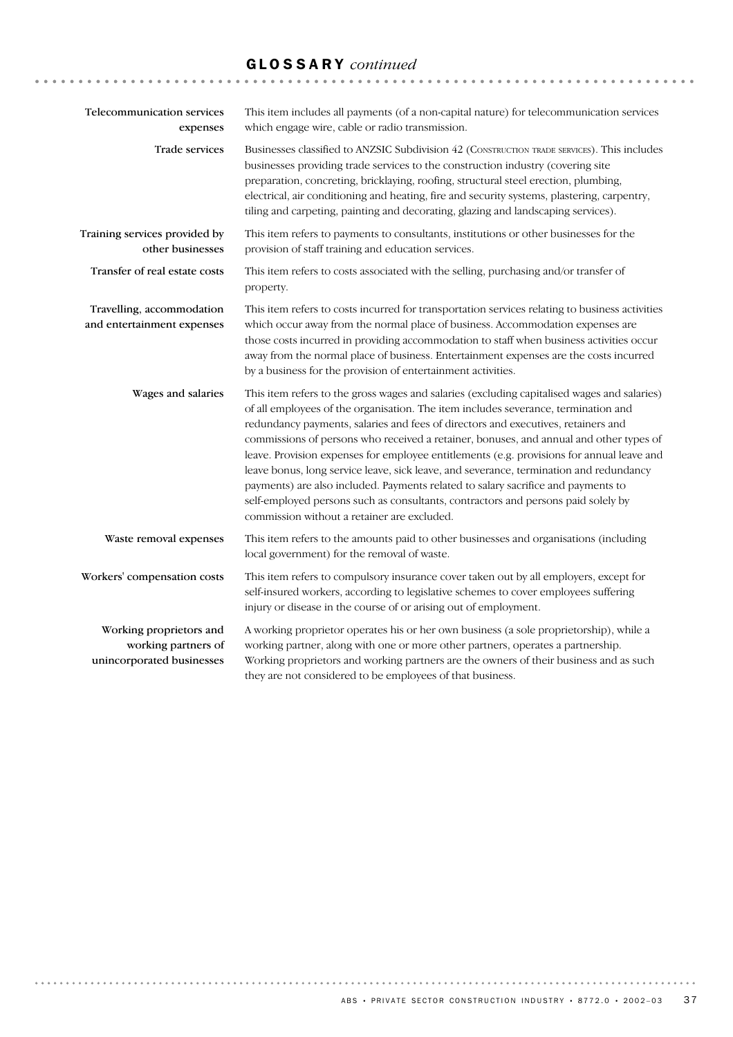| Telecommunication services<br>expenses                                      | This item includes all payments (of a non-capital nature) for telecommunication services<br>which engage wire, cable or radio transmission.                                                                                                                                                                                                                                                                                                                                                                                                                                                                                                                                                                                                                                      |
|-----------------------------------------------------------------------------|----------------------------------------------------------------------------------------------------------------------------------------------------------------------------------------------------------------------------------------------------------------------------------------------------------------------------------------------------------------------------------------------------------------------------------------------------------------------------------------------------------------------------------------------------------------------------------------------------------------------------------------------------------------------------------------------------------------------------------------------------------------------------------|
| <b>Trade services</b>                                                       | Businesses classified to ANZSIC Subdivision 42 (CONSTRUCTION TRADE SERVICES). This includes<br>businesses providing trade services to the construction industry (covering site<br>preparation, concreting, bricklaying, roofing, structural steel erection, plumbing,<br>electrical, air conditioning and heating, fire and security systems, plastering, carpentry,<br>tiling and carpeting, painting and decorating, glazing and landscaping services).                                                                                                                                                                                                                                                                                                                        |
| Training services provided by<br>other businesses                           | This item refers to payments to consultants, institutions or other businesses for the<br>provision of staff training and education services.                                                                                                                                                                                                                                                                                                                                                                                                                                                                                                                                                                                                                                     |
| Transfer of real estate costs                                               | This item refers to costs associated with the selling, purchasing and/or transfer of<br>property.                                                                                                                                                                                                                                                                                                                                                                                                                                                                                                                                                                                                                                                                                |
| Travelling, accommodation<br>and entertainment expenses                     | This item refers to costs incurred for transportation services relating to business activities<br>which occur away from the normal place of business. Accommodation expenses are<br>those costs incurred in providing accommodation to staff when business activities occur<br>away from the normal place of business. Entertainment expenses are the costs incurred<br>by a business for the provision of entertainment activities.                                                                                                                                                                                                                                                                                                                                             |
| Wages and salaries                                                          | This item refers to the gross wages and salaries (excluding capitalised wages and salaries)<br>of all employees of the organisation. The item includes severance, termination and<br>redundancy payments, salaries and fees of directors and executives, retainers and<br>commissions of persons who received a retainer, bonuses, and annual and other types of<br>leave. Provision expenses for employee entitlements (e.g. provisions for annual leave and<br>leave bonus, long service leave, sick leave, and severance, termination and redundancy<br>payments) are also included. Payments related to salary sacrifice and payments to<br>self-employed persons such as consultants, contractors and persons paid solely by<br>commission without a retainer are excluded. |
| Waste removal expenses                                                      | This item refers to the amounts paid to other businesses and organisations (including<br>local government) for the removal of waste.                                                                                                                                                                                                                                                                                                                                                                                                                                                                                                                                                                                                                                             |
| Workers' compensation costs                                                 | This item refers to compulsory insurance cover taken out by all employers, except for<br>self-insured workers, according to legislative schemes to cover employees suffering<br>injury or disease in the course of or arising out of employment.                                                                                                                                                                                                                                                                                                                                                                                                                                                                                                                                 |
| Working proprietors and<br>working partners of<br>unincorporated businesses | A working proprietor operates his or her own business (a sole proprietorship), while a<br>working partner, along with one or more other partners, operates a partnership.<br>Working proprietors and working partners are the owners of their business and as such<br>they are not considered to be employees of that business.                                                                                                                                                                                                                                                                                                                                                                                                                                                  |